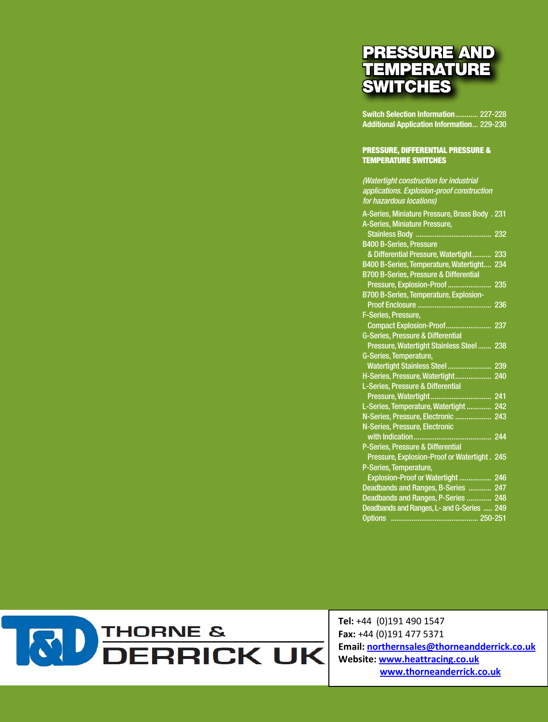## PRESSURE AND **TEMPERATURE SWITCHES**

**Switch Selection Information**............ 227-228 **Additional Application Information**... 229-230

## Pressure, DIFFERENTIAL Pressure & Temperature Switches

*(Watertight construction for industrial applications. Explosion-proof construction for hazardous locations)* A-Series, Miniature Pressure, Brass Body . 231 A-Series, Miniature Pressure, Stainless Body ........................................ 232 B400 B-Series, Pressure & Differential Pressure, Watertight.......... 233 B400 B-Series, Temperature, Watertight.... 234 B700 B-Series, Pressure & Differential Pressure, Explosion-Proof ....................... 235 B700 B-Series, Temperature, Explosion- Proof Enclosure ....................................... 236 F-Series, Pressure, Compact Explosion-Proof........................ 237 G-Series, Pressure & Differential Pressure, Watertight Stainless Steel ....... 238 G-Series, Temperature, Watertight Stainless Steel ....................... 239 H-Series, Pressure, Watertight................... 240 L-Series, Pressure & Differential Pressure, Watertight................................ 241 L-Series, Temperature, Watertight ............. 242 N-Series, Pressure, Electronic ................... 243 N-Series, Pressure, Electronic with Indication......................................... 244 P-Series, Pressure & Differential Pressure, Explosion-Proof or Watertight . 245 P-Series, Temperature, Explosion-Proof or Watertight ................. 246 Deadbands and Ranges, B-Series ............ 247 Deadbands and Ranges, P-Series ............. 248 Deadbands and Ranges, L- and G-Series ..... 249 Options .............................................. 250-251

**KID** THORNE &<br>DERRICK UK

*Consult factory for guidance in product selection*

Tel: +44 (0)191 490 1547 Fax: +44 (0)191 477 5371 Email: northernsales@thorneandderrick.co.uk Website: www.heattracing.co.uk www.thorneanderrick.co.uk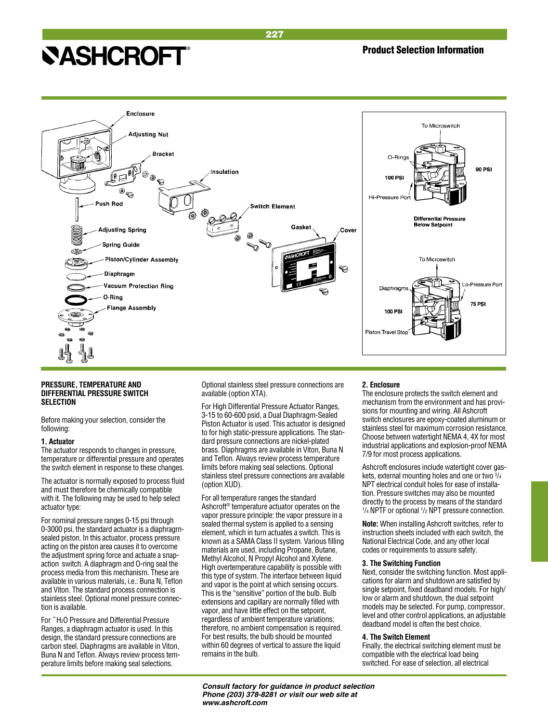

227

## **PRESSURE, TEMPERATURE AND DIFFERENTIAL PRESSURE SWITCH SELECTION**

Before making your selection, consider the following:

## **1. Actuator**

The actuator responds to changes in pressure, temperature or differential pressure and operates the switch element in response to these changes.

The actuator is normally exposed to process fluid and must therefore be chemically compatible with it. The following may be used to help select actuator type:

For nominal pressure ranges 0-15 psi through 0-3000 psi, the standard actuator is a diaphragmsealed piston. In this actuator, process pressure acting on the piston area causes it to overcome the adjustment spring force and actuate a snapaction switch. A diaphragm and O-ring seal the process media from this mechanism. These are available in various materials, i.e.: Buna N, Teflon and Viton. The standard process connection is stainless steel. Optional monel pressure connection is available.

For ˝ H2O Pressure and Differential Pressure Ranges, a diaphragm actuator is used. In this design, the standard pressure connections are carbon steel. Diaphragms are available in Viton, Buna N and Teflon. Always review process temperature limits before making seal selections.

Optional stainless steel pressure connections are available (option XTA).

For High Differential Pressure Actuator Ranges, 3-15 to 60-600 psid, a Dual Diaphragm-Sealed Piston Actuator is used. This actuator is designed to for high static-pressure applications. The standard pressure connections are nickel-plated brass. Diaphragms are available in Viton, Buna N and Teflon. Always review process temperature limits before making seal selections. Optional stainless steel pressure connections are available (option XUD).

For all temperature ranges the standard Ashcroft® temperature actuator operates on the vapor pressure principle: the vapor pressure in a sealed thermal system is applied to a sensing element, which in turn actuates a switch. This is known as a SAMA Class II system. Various filling materials are used, including Propane, Butane, Methyl Alcohol, N Propyl Alcohol and Xylene. High overtemperature capability is possible with this type of system. The interface between liquid and vapor is the point at which sensing occurs. This is the "sensitive" portion of the bulb. Bulb extensions and capillary are normally filled with vapor, and have little effect on the setpoint, regardless of ambient temperature variations; therefore, no ambient compensation is required. For best results, the bulb should be mounted within 60 degrees of vertical to assure the liquid remains in the bulb.

## **2. Enclosure**

The enclosure protects the switch element and [mechanism from the environment and has provi](#page-18-0)sions for mounting and wiring. All Ashcroft [switch enclosures are epoxy-coated aluminum or](#page-20-0)  [stainless steel for maximum corrosion resistance.](#page-19-0)  Choose between watertight NEMA 4, 4X for most [industrial applications and explosion-proof NEMA](#page-22-0)  7/9 for most process applications.

[Ashcroft enclosures include watertight cover gas](#page-23-0)kets, external mounting holes and one or two  $\frac{3}{4}$ [NPT electrical conduit holes for ease of installa](#page-24-0)[tion. Pressure switches may also be mounted](#page-25-0)  [directly to the process by means of the standard](#page-26-0)  <sup>1</sup>/<sub>4</sub> NPTF or optional <sup>1</sup>/<sub>2</sub> NPT pressure connection.

**Note:** [When installing Ashcroft switches, refer to](#page--1-0)  instruction sheets included with each switch, the National Electrical Code, and any other local codes or requirements to assure safety.

## **3. The Switching Function**

Next, consider the switching function. Most applications for alarm and shutdown are satisfied by single setpoint, fixed deadband models. For high/ low or alarm and shutdown, the dual setpoint models may be selected. For pump, compressor, level and other control applications, an adjustable deadband model is often the best choice.

## **4. The Switch Element**

Finally, the electrical switching element must be compatible with the electrical load being switched. For ease of selection, all electrical

*Consult factory for guidance in product selection Phone (203) 378-8281 or visit our web site at www.ashcroft.com*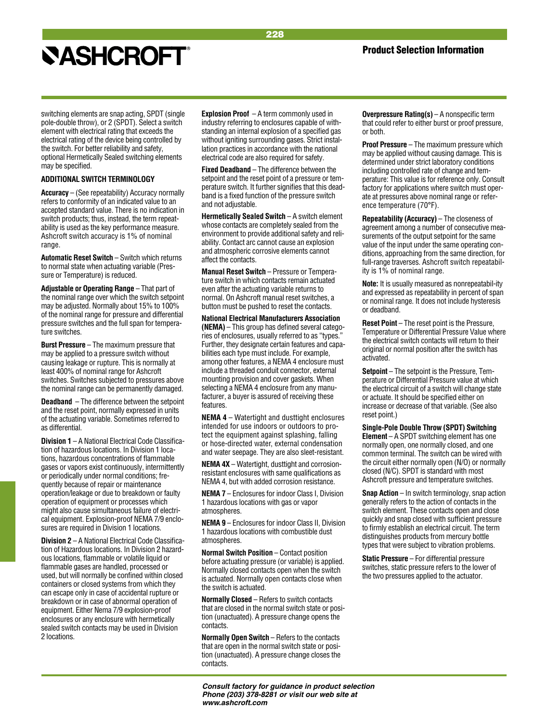## Product Selection Information

switching elements are snap acting, SPDT (single pole-double throw), or 2 (SPDT). Select a switch element with electrical rating that exceeds the electrical rating of the device being controlled by the switch. For better reliability and safety, optional Hermetically Sealed switching elements may be specified.

### **Additional Switch Terminology**

**Accuracy** – (See repeatability) Accuracy normally refers to conformity of an indicated value to an accepted standard value. There is no indication in switch products; thus, instead, the term repeatability is used as the key performance measure. Ashcroft switch accuracy is 1% of nominal range.

**Automatic Reset Switch** – Switch which returns to normal state when actuating variable (Pressure or Temperature) is reduced.

**Adjustable or Operating Range** – That part of the nominal range over which the switch setpoint may be adjusted. Normally about 15% to 100% of the nominal range for pressure and differential pressure switches and the full span for temperature switches.

**Burst Pressure** – The maximum pressure that may be applied to a pressure switch without causing leakage or rupture. This is normally at least 400% of nominal range for Ashcroft switches. Switches subjected to pressures above the nominal range can be permanently damaged.

**Deadband** – The difference between the setpoint and the reset point, normally expressed in units of the actuating variable. Sometimes referred to as differential.

**Division 1** – A National Electrical Code Classification of hazardous locations. In Division 1 locations, hazardous concentrations of flammable gases or vapors exist continuously, intermittently or periodically under normal conditions; frequently because of repair or maintenance operation/leakage or due to breakdown or faulty operation of equipment or processes which might also cause simultaneous failure of electrical equipment. Explosion-proof NEMA 7/9 enclosures are required in Division 1 locations.

**Division 2** – A National Electrical Code Classification of Hazardous locations. In Division 2 hazardous locations, flammable or volatile liquid or flammable gases are handled, processed or used, but will normally be confined within closed containers or closed systems from which they can escape only in case of accidental rupture or breakdown or in case of abnormal operation of equipment. Either Nema 7/9 explosion-proof enclosures or any enclosure with hermetically sealed switch contacts may be used in Division 2 locations.

**Explosion Proof** – A term commonly used in industry referring to enclosures capable of withstanding an internal explosion of a specified gas without igniting surrounding gases. Strict installation practices in accordance with the national electrical code are also required for safety.

228

**Fixed Deadband** – The difference between the setpoint and the reset point of a pressure or temperature switch. It further signifies that this deadband is a fixed function of the pressure switch and not adjustable.

**Hermetically Sealed Switch** – A switch element whose contacts are completely sealed from the environment to provide additional safety and reliability. Contact arc cannot cause an explosion and atmospheric corrosive elements cannot affect the contacts.

**Manual Reset Switch** – Pressure or Temperature switch in which contacts remain actuated even after the actuating variable returns to normal. On Ashcroft manual reset switches, a button must be pushed to reset the contacts.

**National Electrical Manufacturers Association (NEMA)** – This group has defined several categories of enclosures, usually referred to as "types." Further, they designate certain features and capabilities each type must include. For example, among other features, a NEMA 4 enclosure must include a threaded conduit connector, external mounting provision and cover gaskets. When selecting a NEMA 4 enclosure from any manufacturer, a buyer is assured of receiving these features.

**NEMA 4** – Watertight and dusttight enclosures intended for use indoors or outdoors to protect the equipment against splashing, falling or hose-directed water, external condensation and water seepage. They are also sleet-resistant.

**NEMA 4X** – Watertight, dusttight and corrosionresistant enclosures with same qualifications as NEMA 4, but with added corrosion resistance.

**NEMA 7** – Enclosures for indoor Class I, Division 1 hazardous locations with gas or vapor atmospheres.

**NEMA 9** – Enclosures for indoor Class II, Division 1 hazardous locations with combustible dust atmospheres.

**Normal Switch Position** – Contact position before actuating pressure (or variable) is applied. Normally closed contacts open when the switch is actuated. Normally open contacts close when the switch is actuated.

**Normally Closed** – Refers to switch contacts that are closed in the normal switch state or position (unactuated). A pressure change opens the contacts.

**Normally Open Switch** – Refers to the contacts that are open in the normal switch state or position (unactuated). A pressure change closes the contacts.

**Overpressure Rating(s)** – A nonspecific term that could refer to either burst or proof pressure, or both.

**Proof Pressure** – The maximum pressure which may be applied without causing damage. This is determined under strict laboratory conditions including controlled rate of change and temperature: This value is for reference only. Consult factory for applications where switch must operate at pressures above nominal range or reference temperature (70°F).

**Repeatability (Accuracy)** – The closeness of agreement among a number of consecutive measurements of the output setpoint for the same value of the input under the same operating conditions, approaching from the same direction, for full-range traverses. Ashcroft switch repeatability is 1% of nominal range.

**Note:** It is usually measured as nonrepeatabil-ity and expressed as repeatability in percent of span or nominal range. It does not include hysteresis or deadband.

**Reset Point** – The reset point is the Pressure, Temperature or Differential Pressure Value where the electrical switch contacts will return to their original or normal position after the switch has activated.

**Setpoint** – The setpoint is the Pressure, Temperature or Differential Pressure value at which the electrical circuit of a switch will change state or actuate. It should be specified either on increase or decrease of that variable. (See also reset point.)

**Single-Pole Double Throw (SPDT) Switching Element** – A SPDT switching element has one normally open, one normally closed, and one common terminal. The switch can be wired with the circuit either normally open (N/O) or normally closed (N/C). SPDT is standard with most Ashcroft pressure and temperature switches.

**Snap Action** – In switch terminology, snap action generally refers to the action of contacts in the switch element. These contacts open and close quickly and snap closed with sufficient pressure to firmly establish an electrical circuit. The term distinguishes products from mercury bottle types that were subject to vibration problems.

**Static Pressure** – For differential pressure switches, static pressure refers to the lower of the two pressures applied to the actuator.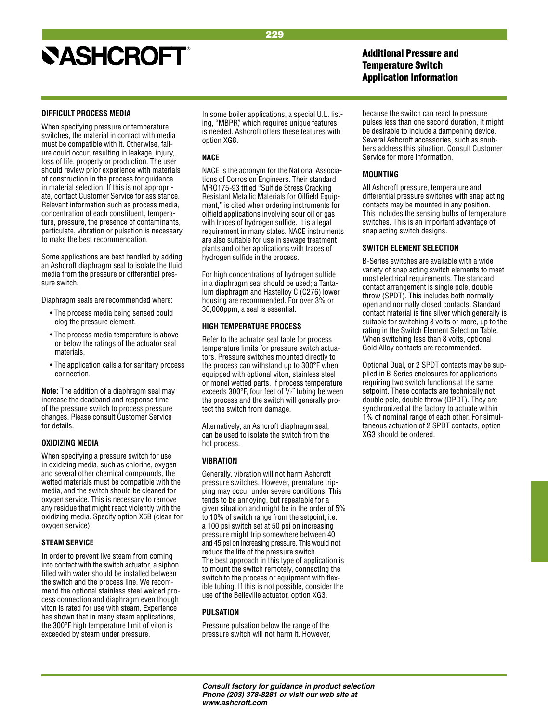## 229

## **NASHCROFT®**

## **DIFFICULT PROCESS MEDIA**

When specifying pressure or temperature switches, the material in contact with media must be compatible with it. Otherwise, failure could occur, resulting in leakage, injury, loss of life, property or production. The user should review prior experience with materials of construction in the process for guidance in material selection. If this is not appropriate, contact Customer Service for assistance. Relevant information such as process media, concentration of each constituent, temperature, pressure, the presence of contaminants, particulate, vibration or pulsation is necessary to make the best recommendation.

Some applications are best handled by adding an Ashcroft diaphragm seal to isolate the fluid media from the pressure or differential pressure switch.

Diaphragm seals are recommended where:

- The process media being sensed could clog the pressure element.
- The process media temperature is above or below the ratings of the actuator seal materials.
- The application calls a for sanitary process connection.

**Note:** The addition of a diaphragm seal may increase the deadband and response time of the pressure switch to process pressure changes. Please consult Customer Service for details.

## **OXIDIZING MEDIA**

When specifying a pressure switch for use in oxidizing media, such as chlorine, oxygen and several other chemical compounds, the wetted materials must be compatible with the media, and the switch should be cleaned for oxygen service. This is necessary to remove any residue that might react violently with the oxidizing media. Specify option X6B (clean for oxygen service).

## **STEAM SERVICE**

In order to prevent live steam from coming into contact with the switch actuator, a siphon filled with water should be installed between the switch and the process line. We recommend the optional stainless steel welded process connection and diaphragm even though viton is rated for use with steam. Experience has shown that in many steam applications, the 300°F high temperature limit of viton is exceeded by steam under pressure.

In some boiler applications, a special U.L. listing, "MBPR", which requires unique features is needed. Ashcroft offers these features with option XG8.

## **NACE**

NACE is the acronym for the National Associations of Corrosion Engineers. Their standard MRO175-93 titled "Sulfide Stress Cracking Resistant Metallic Materials for Oilfield Equipment," is cited when ordering instruments for oilfield applications involving sour oil or gas with traces of hydrogen sulfide. It is a legal requirement in many states. NACE instruments are also suitable for use in sewage treatment plants and other applications with traces of hydrogen sulfide in the process.

For high concentrations of hydrogen sulfide in a diaphragm seal should be used; a Tantalum diaphragm and Hastelloy C (C276) lower housing are recommended. For over 3% or 30,000ppm, a seal is essential.

## **HIGH TEMPERATURE PROCESS**

Refer to the actuator seal table for process temperature limits for pressure switch actuators. Pressure switches mounted directly to the process can withstand up to 300°F when equipped with optional viton, stainless steel or monel wetted parts. If process temperature exceeds 300°F, four feet of 1 /2˝ tubing between the process and the switch will generally protect the switch from damage.

Alternatively, an Ashcroft diaphragm seal, can be used to isolate the switch from the hot process.

## **VIBRATION**

Generally, vibration will not harm Ashcroft pressure switches. However, premature tripping may occur under severe conditions. This tends to be annoying, but repeatable for a given situation and might be in the order of 5% to 10% of switch range from the setpoint, i.e. a 100 psi switch set at 50 psi on increasing pressure might trip somewhere between 40 and 45 psi on increasing pressure. This would not reduce the life of the pressure switch. The best approach in this type of application is to mount the switch remotely, connecting the switch to the process or equipment with flexible tubing. If this is not possible, consider the use of the Belleville actuator, option XG3.

## **PULSATION**

Pressure pulsation below the range of the pressure switch will not harm it. However, Additional Pressure and Temperature Switch Application Information

because the switch can react to pressure pulses less than one second duration, it might be desirable to include a dampening device. Several Ashcroft accessories, such as snubbers address this situation. Consult Customer Service for more information.

## **MOUNTING**

All Ashcroft pressure, temperature and differential pressure switches with snap acting contacts may be mounted in any position. This includes the sensing bulbs of temperature switches. This is an important advantage of snap acting switch designs.

## **SWITCH ELEMENT SELECTION**

B-Series switches are available with a wide variety of snap acting switch elements to meet most electrical requirements. The standard contact arrangement is single pole, double throw (SPDT). This includes both normally open and normally closed contacts. Standard contact material is fine silver which generally is suitable for switching 8 volts or more, up to the rating in the Switch Element Selection Table. When switching less than 8 volts, optional Gold Alloy contacts are recommended.

Optional Dual, or 2 SPDT contacts may be supplied in B-Series enclosures for applications requiring two switch functions at the same setpoint. These contacts are technically not double pole, double throw (DPDT). They are synchronized at the factory to actuate within 1% of nominal range of each other. For simultaneous actuation of 2 SPDT contacts, option XG3 should be ordered.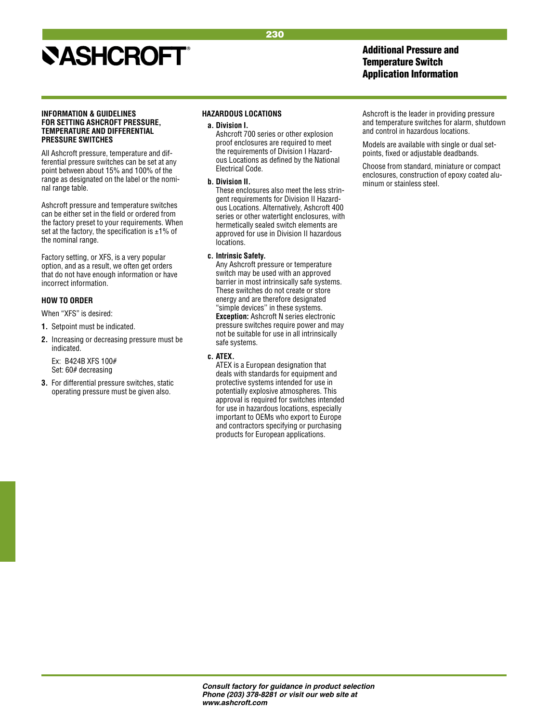## Additional Pressure and Temperature Switch Application Information

### **INFORMATION & GUIDELINES FOR SETTING ASHCROFT PRESSURE, TEMPERATURE AND DIFFERENTIAL PRESSURE SWITCHES**

All Ashcroft pressure, temperature and differential pressure switches can be set at any point between about 15% and 100% of the range as designated on the label or the nominal range table.

Ashcroft pressure and temperature switches can be either set in the field or ordered from the factory preset to your requirements. When set at the factory, the specification is  $\pm 1\%$  of the nominal range.

Factory setting, or XFS, is a very popular option, and as a result, we often get orders that do not have enough information or have incorrect information.

## **HOW TO ORDER**

### When "XFS" is desired:

- **1.** Setpoint must be indicated.
- **2.** Increasing or decreasing pressure must be indicated.

Ex: B424B XFS 100# Set: 60# decreasing

**3.** For differential pressure switches, static operating pressure must be given also.

## **HAZARDOUS LOCATIONS**

**a. Division I.**

Ashcroft 700 series or other explosion proof enclosures are required to meet the requirements of Division I Hazardous Locations as defined by the National Electrical Code.

230

## **b. Division II.**

These enclosures also meet the less stringent requirements for Division II Hazardous Locations. Alternatively, Ashcroft 400 series or other watertight enclosures, with hermetically sealed switch elements are approved for use in Division II hazardous locations.

## **c. Intrinsic Safety.**

Any Ashcroft pressure or temperature switch may be used with an approved barrier in most intrinsically safe systems. These switches do not create or store energy and are therefore designated "simple devices'' in these systems. **Exception:** Ashcroft N series electronic pressure switches require power and may not be suitable for use in all intrinsically safe systems.

## **c. ATEX.**

ATEX is a European designation that deals with standards for equipment and protective systems intended for use in potentially explosive atmospheres. This approval is required for switches intended for use in hazardous locations, especially important to OEMs who export to Europe and contractors specifying or purchasing products for European applications.

Ashcroft is the leader in providing pressure and temperature switches for alarm, shutdown and control in hazardous locations.

Models are available with single or dual setpoints, fixed or adjustable deadbands.

Choose from standard, miniature or compact enclosures, construction of epoxy coated aluminum or stainless steel.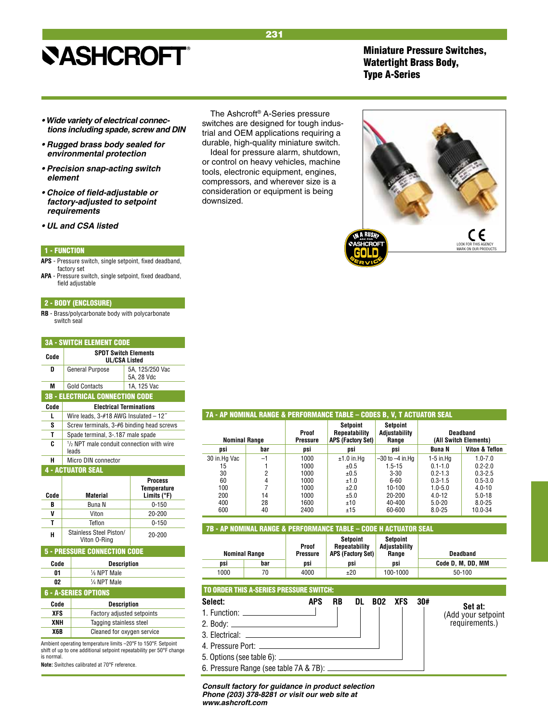## Miniature Pressure Switches, Watertight Brass Body, Type A-Series

- **Wide variety of electrical connec****tions including spade, screw and DIN**
- **Rugged brass body sealed for**  *environmental protection*
- **Precision snap-acting switch**  *element*
- **Choice of field-adjustable or factory-adjusted to setpoint**  *requirements*
- **UL and CSA listed**

### 1 - FUNCTION

- **APS**  Pressure switch, single setpoint, fixed deadband, factory set
- **APA**  Pressure switch, single setpoint, fixed deadband, field adjustable

### 2 - BODY (ENCLOSURE)

**RB** - Brass/polycarbonate body with polycarbonate switch seal

|      | <b>3A - SWITCH ELEMENT CODE</b>                              |                                                     |  |  |  |  |
|------|--------------------------------------------------------------|-----------------------------------------------------|--|--|--|--|
| Code | <b>SPDT Switch Elements</b><br><b>UL/CSA Listed</b>          |                                                     |  |  |  |  |
| D    | General Purpose<br>5A. 125/250 Vac<br>5A, 28 Vdc             |                                                     |  |  |  |  |
| M    | <b>Gold Contacts</b>                                         | 1A, 125 Vac                                         |  |  |  |  |
|      | <b>3B - ELECTRICAL CONNECTION CODE</b>                       |                                                     |  |  |  |  |
| Code | <b>Electrical Terminations</b>                               |                                                     |  |  |  |  |
| L    | Wire leads, 3-#18 AWG Insulated - 12"                        |                                                     |  |  |  |  |
| S    | Screw terminals, 3-#6 binding head screws                    |                                                     |  |  |  |  |
| Т    | Spade terminal, 3-.187 male spade                            |                                                     |  |  |  |  |
| c    | $\frac{1}{2}$ NPT male conduit connection with wire<br>leads |                                                     |  |  |  |  |
| н    | Micro DIN connector                                          |                                                     |  |  |  |  |
|      | <b>4 - ACTUATOR SEAL</b>                                     |                                                     |  |  |  |  |
| Code | <b>Material</b>                                              | <b>Process</b><br><b>Temperature</b><br>Limits (°F) |  |  |  |  |
| B    | Buna N                                                       | $0 - 150$                                           |  |  |  |  |
| V    | Viton                                                        | 20-200                                              |  |  |  |  |
| Т    | Teflon                                                       | $0 - 150$                                           |  |  |  |  |
| н    | Stainless Steel Piston/<br>Viton 0-Ring                      | 20-200                                              |  |  |  |  |
|      | <b>5 - Pressure Connection Code</b>                          |                                                     |  |  |  |  |

| Code | <b>Description</b>     |  |  |  |  |
|------|------------------------|--|--|--|--|
| N1   | $\frac{1}{8}$ NPT Male |  |  |  |  |
| 02   | 1/4 NPT Male           |  |  |  |  |

## 6 - A-SERIES OPTIONS

| Code | <b>Description</b>         |  |  |  |  |
|------|----------------------------|--|--|--|--|
| XFS  | Factory adjusted setpoints |  |  |  |  |
| XNH  | Tagging stainless steel    |  |  |  |  |
| X6B  | Cleaned for oxygen service |  |  |  |  |

Ambient operating temperature limits –20°F to 150°F. Setpoint shift of up to one additional setpoint repeatability per 50°F change is normal

**Note:** Switches calibrated at 70°F reference.

The Ashcroft® A-Series pressure switches are designed for tough industrial and OEM applications requiring a durable, high-quality miniature switch.

Ideal for pressure alarm, shutdown, or control on heavy vehicles, machine tools, electronic equipment, engines, compressors, and wherever size is a consideration or equipment is being downsized.

## 7A - AP NOMINAL RANGE & PERFORMANCE TABLE – CODES B, V, T ACTUATOR SEAL

| <b>Nominal Range</b> |      | Proof<br>Pressure | Setpoint<br><b>Repeatability</b><br><b>APS (Factory Set)</b> | Setpoint<br>Adjustability<br>Range |               | <b>Deadband</b><br>(All Switch Elements) |
|----------------------|------|-------------------|--------------------------------------------------------------|------------------------------------|---------------|------------------------------------------|
| psi                  | bar  | psi               | psi                                                          | psi                                | Buna N        | Viton & Teflon                           |
| 30 in.Hg Vac         | $-1$ | 1000              | $±1.0$ in Hq                                                 | $-30$ to $-4$ in.Ha                | $1-5$ in $Hq$ | $1.0 - 7.0$                              |
| 15                   |      | 1000              | ±0.5                                                         | 1.5-15                             | $0.1 - 1.0$   | $0.2 - 2.0$                              |
| 30                   | 2    | 1000              | ±0.5                                                         | $3 - 30$                           | $0.2 - 1.3$   | $0.3 - 2.5$                              |
| 60                   | 4    | 1000              | ±1.0                                                         | 6-60                               | $0.3 - 1.5$   | $0.5 - 3.0$                              |
| 100                  |      | 1000              | ±2.0                                                         | $10-100$                           | $1.0 - 5.0$   | $4.0 - 10$                               |
| 200                  | 14   | 1000              | ±5.0                                                         | 20-200                             | $4.0 - 12$    | $5.0 - 18$                               |
| 400                  | 28   | 1600              | ±10                                                          | 40-400                             | $5.0 - 20$    | $8.0 - 25$                               |
| 600                  | 40   | 2400              | ±15                                                          | 60-600                             | $8.0 - 25$    | 10.0-34                                  |
|                      |      |                   |                                                              |                                    |               |                                          |

## 7B - AP NOMINAL RANGE & PERFORMANCE TABLE – CODE H ACTUATOR SEAL

| <b>Nominal Range</b> |     | Proof<br>Pressure | Setpoint<br>Repeatability<br><b>APS (Factory Set)</b> | Setpoint<br>Adiustability<br>Range | Deadband          |  |
|----------------------|-----|-------------------|-------------------------------------------------------|------------------------------------|-------------------|--|
| DSİ                  | bar | DSİ               | DSİ                                                   | DSİ                                | Code D. M. DD. MM |  |
| 1000                 | 70  | 4000              | ±20                                                   | 100-1000                           | 50-100            |  |

## TO ORDER THIS A-SERIES PRESSURE SWITCH:

| Select:                                                                                                                                                                                                                                                                                                                                                                                                                                                                                    | <b>APS</b> | RB | DL | <b>BO2</b> | XFS | -30# | Set at:            |
|--------------------------------------------------------------------------------------------------------------------------------------------------------------------------------------------------------------------------------------------------------------------------------------------------------------------------------------------------------------------------------------------------------------------------------------------------------------------------------------------|------------|----|----|------------|-----|------|--------------------|
|                                                                                                                                                                                                                                                                                                                                                                                                                                                                                            |            |    |    |            |     |      | (Add your setpoint |
|                                                                                                                                                                                                                                                                                                                                                                                                                                                                                            |            |    |    |            |     |      | requirements.)     |
| 3. Electrical: <u>__________________________</u>                                                                                                                                                                                                                                                                                                                                                                                                                                           |            |    |    |            |     |      |                    |
|                                                                                                                                                                                                                                                                                                                                                                                                                                                                                            |            |    |    |            |     |      |                    |
| $\blacksquare$ $\blacksquare$ $\blacksquare$ $\blacksquare$ $\blacksquare$ $\blacksquare$ $\blacksquare$ $\blacksquare$ $\blacksquare$ $\blacksquare$ $\blacksquare$ $\blacksquare$ $\blacksquare$ $\blacksquare$ $\blacksquare$ $\blacksquare$ $\blacksquare$ $\blacksquare$ $\blacksquare$ $\blacksquare$ $\blacksquare$ $\blacksquare$ $\blacksquare$ $\blacksquare$ $\blacksquare$ $\blacksquare$ $\blacksquare$ $\blacksquare$ $\blacksquare$ $\blacksquare$ $\blacksquare$ $\blacks$ |            |    |    |            |     |      |                    |

5. Options (see table 6): 6. Pressure Range (see table 7A & 7B):

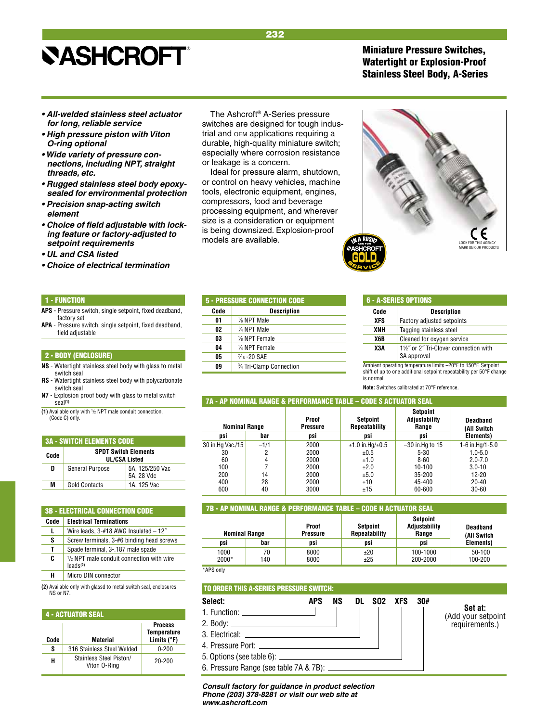Miniature Pressure Switches, Watertight or Explosion-Proof Stainless Steel Body, A-Series

- **All-welded stainless steel actuator**  *for long, reliable service*
- **High pressure piston with Viton**  *O-ring optional*
- **Wide variety of pressure con***nections, including NPT, straight threads, etc.*
- **Rugged stainless steel body epoxy***sealed for environmental protection*
- **Precision snap-acting switch**  *element*
- **Choice of field adjustable with lock****ing feature or factory-adjusted to**  *setpoint requirements*
- **UL and CSA listed**
- **Choice of electrical termination**

#### 1 - FUNCTION

- **APS**  Pressure switch, single setpoint, fixed deadband, factory set
- **APA**  Pressure switch, single setpoint, fixed deadband, field adjustable

### 2 - BODY (ENCLOSURE)

- **NS** Watertight stainless steel body with glass to metal switch seal
- **RS** Watertight stainless steel body with polycarbonate switch seal
- **N7** Explosion proof body with glass to metal switch seal**(1)**
- **(1)** Available only with 1 /2 NPT male conduit connection. (Code C) only.

| <b>3A - SWITCH ELEMENTS CODE</b> |                                                     |                               |  |  |  |  |
|----------------------------------|-----------------------------------------------------|-------------------------------|--|--|--|--|
| Code                             | <b>SPDT Switch Elements</b><br><b>UL/CSA Listed</b> |                               |  |  |  |  |
| D                                | General Purpose                                     | 5A, 125/250 Vac<br>5A. 28 Vdc |  |  |  |  |
| M                                | <b>Gold Contacts</b>                                | 1A. 125 Vac                   |  |  |  |  |

#### 3B - ELECTRICAL CONNECTION CODE  **Code Electrical Terminations** L | Wire leads, 3-#18 AWG Insulated – 12<sup>"</sup> **S** Screw terminals, 3-#6 binding head screws **T** Spade terminal, 3-.187 male spade **C** <sup>1</sup> <sup>1</sup>/<sub>2</sub> NPT male conduit connection with wire leads**(2) H** Micro DIN connector

**(2)** Available only with glassd to metal switch seal, enclosures NS or N7.

## 4 - ACTUATOR SEAL  **Process Code Code Material Code Material Election Material** Limits (°F) **S** 316 Stainless Steel Welded 0-200 **H** Stainless Steel Piston/ 20-200

The Ashcroft® A-Series pressure switches are designed for tough industrial and oem applications requiring a durable, high-quality miniature switch; especially where corrosion resistance or leakage is a concern.

Ideal for pressure alarm, shutdown, or control on heavy vehicles, machine tools, electronic equipment, engines, compressors, food and beverage processing equipment, and wherever size is a consideration or equipment is being downsized. Explosion-proof models are available.



| <b>5 - PRESSURE CONNECTION CODE</b> |                           |  |  |  |
|-------------------------------------|---------------------------|--|--|--|
| Code                                | Description               |  |  |  |
| 01                                  | 1/8 NPT Male              |  |  |  |
| 02                                  | 1/4 NPT Male              |  |  |  |
| 03                                  | 1/8 NPT Female            |  |  |  |
| 04                                  | 1/4 NPT Female            |  |  |  |
| 05                                  | 1/ <sub>16</sub> - 20 SAE |  |  |  |
| 09                                  | 3/4 Tri-Clamp Connection  |  |  |  |

| l 6 - A-series Options |  |  |
|------------------------|--|--|
|                        |  |  |

| Code       | <b>Description</b>                                          |
|------------|-------------------------------------------------------------|
| <b>XFS</b> | Factory adjusted setpoints                                  |
| XNH        | Tagging stainless steel                                     |
| X6B        | Cleaned for oxygen service                                  |
| X3A        | 11/2" or 2" Tri-Clover connection with<br>3A approval       |
|            | Ambient energting temperature limite 00°E to 150°E Cetneint |

Ambient operating temperature limits –20°F to 150°F. Setpoint shift of up to one additional setpoint repeatability per 50°F change is normal.

**Note:** Switches calibrated at 70°F reference.

### 7A - AP NOMINAL RANGE & PERFORMANCE TABLE – CODE S ACTUATOR SEAL

| <b>Nominal Range</b> |        | Proof<br><b>Pressure</b> | Setpoint<br>Repeatability | Setpoint<br>Adiustability<br>Range | <b>Deadband</b><br>(All Switch |
|----------------------|--------|--------------------------|---------------------------|------------------------------------|--------------------------------|
| psi                  | bar    | psi                      | psi                       | psi                                | Elements)                      |
| 30 in.Hg Vac./15     | $-1/1$ | 2000                     | $±1.0$ in.Hg/ $±0.5$      | $-30$ in. Hg to 15                 | 1-6 in.Hg/1-5.0                |
| 30                   | ŋ      | 2000                     | ±0.5                      | $5 - 30$                           | $1.0 - 5.0$                    |
| 60                   |        | 2000                     | ±1.0                      | $8 - 60$                           | $2.0 - 7.0$                    |
| 100                  |        | 2000                     | ±2.0                      | 10-100                             | $3.0 - 10$                     |
| 200                  | 14     | 2000                     | ±5.0                      | 35-200                             | 12-20                          |
| 400                  | 28     | 2000                     | ±10                       | 45-400                             | $20 - 40$                      |
| 600                  | 40     | 3000                     | ±15                       | 60-600                             | $30 - 60$                      |

## 7B - AP NOMINAL RANGE & PERFORMANCE TABLE – CODE H ACTUATOR SEAL

| <b>Nominal Range</b> |           | Proof<br><b>Pressure</b> | Setpoint<br><b>Repeatability</b> |                      | Deadband<br>(All Switch |
|----------------------|-----------|--------------------------|----------------------------------|----------------------|-------------------------|
| psi                  | bar       | psi                      | psi                              | psi                  | Elements)               |
| 1000<br>2000*        | 70<br>140 | 8000<br>8000             | ±20<br>±25                       | 100-1000<br>200-2000 | $50-100$<br>100-200     |

\*APS only

## TO ORDER THIS A-SERIES PRESSURE SWITCH:

## **Select: APS NS DL SO2 XFS 30#**

- 1. Function:
- 2. Body:
- 3. Electrical:
- 4. Pressure Port:
- 5. Options (see table 6):

*www.ashcroft.com*

6. Pressure Range (see table 7A & 7B):

*Consult factory for guidance in product selection Phone (203) 378-8281 or visit our web site at* 

**Set at:** (Add your setpoint requirements.)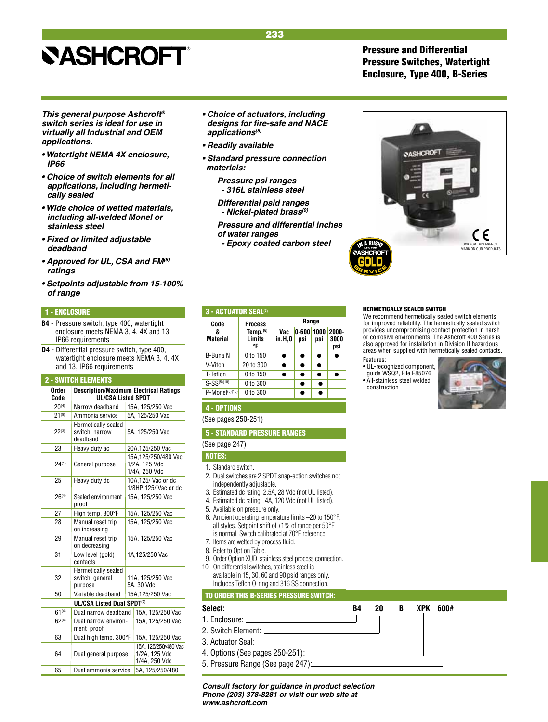*This general purpose Ashcroft® switch series is ideal for use in virtually all Industrial and OEM* 

**• Watertight NEMA 4X enclosure,** 

**• Choice of switch elements for all**  *applications, including hermeti-*

**• Wide choice of wetted materials,**  *including all-welded Monel or* 

**• Approved for UL, CSA and FM***(8)* 

**• Setpoints adjustable from 15-100%** 

**• Fixed or limited adjustable** 

1 - ENCLOSURE

*applications.*

*cally sealed*

*stainless steel*

*deadband*

*ratings*

*of range*

*IP66*

IP66 requirements

2 - SWITCH ELEMENTS

**B4** - Pressure switch, type 400, watertight enclosure meets NEMA 3, 4, 4X and 13,

**D4** - Differential pressure switch, type 400, watertight enclosure meets NEMA 3, 4, 4X

 **Order Description/Maximum Electrical Ratings Code UL/CSA Listed SPDT**  $20^{(4)}$  Narrow deadband 15A, 125/250 Vac  $21^{(9)}$  Ammonia service 5A, 125/250 Vac

switch, narrow 5A, 125/250 Vac

1/4A, 250 Vdc

1/8HP 125/ Vac or dc

11A, 125/250 Vac<br>5A, 30 Vdc

1/4A, 250 Vdc

 23 Heavy duty ac 20A,125/250 Vac 24<sup>(1)</sup> General purpose 1/2A, 125/250/480 Vac

25 | Heavy duty dc | 10A,125/ Vac or dc

26<sup>(4)</sup> Sealed environment 15A, 125/250 Vac

 27 High temp. 300°F 15A, 125/250 Vac 28 | Manual reset trip | 15A, 125/250 Vac

29 | Manual reset trip | 15A, 125/250 Vac

31 Low level (gold) 1A,125/250 Vac

 50 Variable deadband 15A,125/250 Vac **UL/CSA Listed Dual SPDT(2)** 61<sup>(4)</sup> Dual narrow deadband 15A, 125/250 Vac  $62<sup>(4)</sup>$  Dual narrow environ- 15A, 125/250 Vac

 63 Dual high temp. 300°F 15A, 125/250 Vac 64 Dual general purpose 1/2A, 125/250/480 Vac

65 Dual ammonia service 5A, 125/250/480

and 13, IP66 requirements

 $22^{(3)}$  Hermetically sealed

General purpose

on increasing

on decreasing

 contacts Hermetically sealed<br>32 switch, general

purpose

ment proof

Dual general purpose

deadband

proof

## **• Choice of actuators, including designs for fire-safe and NACE**  *applications(8)*

- **Readily available**
- **Standard pressure connection**  *materials:*
	- *Pressure psi ranges - 316L stainless steel*

**Differential psid ranges - Nickel-plated brass(9)**

**Code** Process Range<br>& Temp.<sup>(6)</sup> Vac 0-600 10

**Material** Limits  $\begin{array}{|c|c|c|c|c|} \hline \text{M}} & \text{M}} & \text{N}} & \text{N}} & \text{N}} & \text{N}} & \text{N}} & \text{N}} & \text{N}} & \text{N}} & \text{N}} & \text{N}} & \text{N}} & \text{N}} & \text{N}} & \text{N}} & \text{N}} & \text{N}} & \text{N}} & \text{N}} & \text{N}} & \text{N}} & \text{N}} & \text{N}} & \text{N}} & \text{N}} & \text{N}} & \text{N}} & \text{N}} & \text{N}} & \text{$  **°F psi** B-Buna N 0 to 150  $\bullet$   $\bullet$   $\bullet$   $\bullet$ V-Viton 20 to 300 T-Teflon  $0$  to 150  $\bullet$   $\bullet$   $\bullet$   $\bullet$  $S-SS^{(5)(10)}$  0 to 300 **P-Monel**<sup>(5)(10)</sup> 0 to 300

*Vac* **0-600 1000 2000-<br>in.H<sub>2</sub>0 psi psi 3000** 

*Pressure and differential inches of water ranges* 

*- Epoxy coated carbon steel*



## HERMETICALLY SEALED SWITCH

We recommend hermetically sealed switch elements for improved reliability. The hermetically sealed switch provides uncompromising contact protection in harsh or corrosive environments. The Ashcroft 400 Series is also approved for installation in Division II hazardous areas when supplied with hermetically sealed contacts.

Features:

• UL-recognized component, guide WSQ2, File E85076 • All-stainless steel welded construction



LOOK FOR THIS AGENCY MARK ON OUR PRODUCTS

C E

## 4 - OPTIONS

(See pages 250-251)

3 - ACTUATOR SEAL<sup>(7)</sup>

## 5 - STANDARD PRESSURE RANGES

(See page 247)

NOTES:

- 1. Standard switch.
- 2. Dual switches are 2 SPDT snap-action switches not independently adjustable.
- 3. Estimated dc rating, 2.5A, 28 Vdc (not UL listed).
- 4. Estimated dc rating, .4A, 120 Vdc (not UL listed).
- 5. Available on pressure only.
- 6. Ambient operating temperature limits –20 to 150°F, all styles. Setpoint shift of  $\pm 1\%$  of range per 50°F is normal. Switch calibrated at 70°F reference.
- 7. Items are wetted by process fluid.
- 8. Refer to Option Table.

j

- 9. Order Option XUD, stainless steel process connection.
- 10. On differential switches, stainless steel is available in 15, 30, 60 and 90 psid ranges only. Includes Teflon O-ring and 316 SS connection.

TO ORDER THIS B-SERIES PRESSURE SWITCH:

## **Select: B4 20 B XPK 600#**  1. Enclosure: 2. Switch Element: 3. Actuator Seal: 4. Options (See pages 250-251): 5. Pressure Range (See page 247):

*Consult factory for guidance in product selection Phone (203) 378-8281 or visit our web site at www.ashcroft.com*



## Pressure and Differential Pressure Switches, Watertight Enclosure, Type 400, B-Series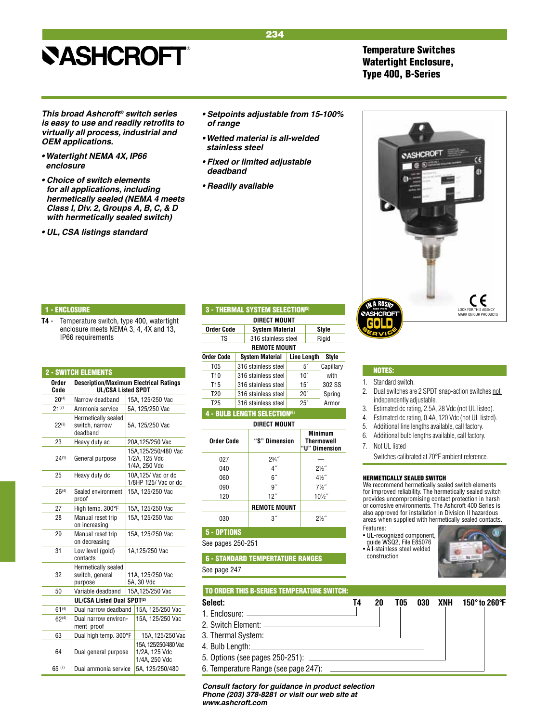## Temperature Switches Watertight Enclosure, Type 400, B-Series

*This broad Ashcroft® switch series*  **is easy to use and readily retrofits to**  *virtually all process, industrial and OEM applications.*

- **Watertight NEMA 4X, IP66**  *enclosure*
- **Choice of switch elements**  *for all applications, including hermetically sealed (NEMA 4 meets*  **Class I, Div. 2, Groups A, B, C, & D**  *with hermetically sealed switch)*
- **UL, CSA listings standard**

**• Setpoints adjustable from 15-100%**  *of range*

234

- **Wetted material is all-welded**  *stainless steel*
- **Fixed or limited adjustable**  *deadband*
- **Readily available**

## 1 - ENCLOSURE

**T4** - Temperature switch, type 400, watertight enclosure meets NEMA 3, 4, 4X and 13, IP66 requirements

| <b>2 - SWITCH ELEMENTS</b><br><b>Description/Maximum Electrical Ratings</b><br>Order<br><b>UL/CSA Listed SPDT</b><br>Code<br>$20^{(4)}$<br>Narrow deadband<br>15A, 125/250 Vac<br>$21^{(7)}$<br>5A, 125/250 Vac<br>Ammonia service<br>Hermetically sealed<br>switch, narrow<br>$22^{(3)}$<br>5A, 125/250 Vac<br>deadband<br>23<br>Heavy duty ac<br>20A,125/250 Vac<br>15A.125/250/480 Vac<br>1/2A. 125 Vdc<br>$24^{(1)}$<br>General purpose<br>1/4A, 250 Vdc<br>10A,125/ Vac or dc<br>25<br>Heavy duty dc<br>1/8HP 125/ Vac or dc<br>Sealed environment<br>$26^{(4)}$<br>15A. 125/250 Vac<br>proof<br>27<br>High temp. 300°F<br>15A, 125/250 Vac<br>28<br>Manual reset trip<br>15A, 125/250 Vac<br>on increasing<br>29<br>Manual reset trip<br>15A, 125/250 Vac<br>on decreasing<br>31<br>Low level (gold)<br>1A,125/250 Vac<br>contacts<br>Hermetically sealed<br>32<br>switch, general<br>11A, 125/250 Vac<br>5A. 30 Vdc<br>purpose<br>Variable deadband<br>50<br>15A, 125/250 Vac<br>UL/CSA Listed Dual SPDT <sup>(2)</sup><br>$61^{(4)}$<br>Dual narrow deadband<br>15A, 125/250 Vac<br>$62^{(4)}$<br>15A, 125/250 Vac<br>Dual narrow environ-<br>ment proof<br>Dual high temp. 300°F<br>63<br>1/2A, 125 Vdc<br>Dual general purpose<br>64<br>1/4A, 250 Vdc<br>5A, 125/250/480<br>65 $(7)$<br>Dual ammonia service |  |  |                     |  |  |
|------------------------------------------------------------------------------------------------------------------------------------------------------------------------------------------------------------------------------------------------------------------------------------------------------------------------------------------------------------------------------------------------------------------------------------------------------------------------------------------------------------------------------------------------------------------------------------------------------------------------------------------------------------------------------------------------------------------------------------------------------------------------------------------------------------------------------------------------------------------------------------------------------------------------------------------------------------------------------------------------------------------------------------------------------------------------------------------------------------------------------------------------------------------------------------------------------------------------------------------------------------------------------------------------------------------------|--|--|---------------------|--|--|
|                                                                                                                                                                                                                                                                                                                                                                                                                                                                                                                                                                                                                                                                                                                                                                                                                                                                                                                                                                                                                                                                                                                                                                                                                                                                                                                        |  |  |                     |  |  |
|                                                                                                                                                                                                                                                                                                                                                                                                                                                                                                                                                                                                                                                                                                                                                                                                                                                                                                                                                                                                                                                                                                                                                                                                                                                                                                                        |  |  |                     |  |  |
|                                                                                                                                                                                                                                                                                                                                                                                                                                                                                                                                                                                                                                                                                                                                                                                                                                                                                                                                                                                                                                                                                                                                                                                                                                                                                                                        |  |  |                     |  |  |
|                                                                                                                                                                                                                                                                                                                                                                                                                                                                                                                                                                                                                                                                                                                                                                                                                                                                                                                                                                                                                                                                                                                                                                                                                                                                                                                        |  |  |                     |  |  |
|                                                                                                                                                                                                                                                                                                                                                                                                                                                                                                                                                                                                                                                                                                                                                                                                                                                                                                                                                                                                                                                                                                                                                                                                                                                                                                                        |  |  |                     |  |  |
|                                                                                                                                                                                                                                                                                                                                                                                                                                                                                                                                                                                                                                                                                                                                                                                                                                                                                                                                                                                                                                                                                                                                                                                                                                                                                                                        |  |  |                     |  |  |
|                                                                                                                                                                                                                                                                                                                                                                                                                                                                                                                                                                                                                                                                                                                                                                                                                                                                                                                                                                                                                                                                                                                                                                                                                                                                                                                        |  |  |                     |  |  |
|                                                                                                                                                                                                                                                                                                                                                                                                                                                                                                                                                                                                                                                                                                                                                                                                                                                                                                                                                                                                                                                                                                                                                                                                                                                                                                                        |  |  |                     |  |  |
|                                                                                                                                                                                                                                                                                                                                                                                                                                                                                                                                                                                                                                                                                                                                                                                                                                                                                                                                                                                                                                                                                                                                                                                                                                                                                                                        |  |  |                     |  |  |
|                                                                                                                                                                                                                                                                                                                                                                                                                                                                                                                                                                                                                                                                                                                                                                                                                                                                                                                                                                                                                                                                                                                                                                                                                                                                                                                        |  |  |                     |  |  |
|                                                                                                                                                                                                                                                                                                                                                                                                                                                                                                                                                                                                                                                                                                                                                                                                                                                                                                                                                                                                                                                                                                                                                                                                                                                                                                                        |  |  |                     |  |  |
|                                                                                                                                                                                                                                                                                                                                                                                                                                                                                                                                                                                                                                                                                                                                                                                                                                                                                                                                                                                                                                                                                                                                                                                                                                                                                                                        |  |  |                     |  |  |
|                                                                                                                                                                                                                                                                                                                                                                                                                                                                                                                                                                                                                                                                                                                                                                                                                                                                                                                                                                                                                                                                                                                                                                                                                                                                                                                        |  |  |                     |  |  |
|                                                                                                                                                                                                                                                                                                                                                                                                                                                                                                                                                                                                                                                                                                                                                                                                                                                                                                                                                                                                                                                                                                                                                                                                                                                                                                                        |  |  |                     |  |  |
|                                                                                                                                                                                                                                                                                                                                                                                                                                                                                                                                                                                                                                                                                                                                                                                                                                                                                                                                                                                                                                                                                                                                                                                                                                                                                                                        |  |  |                     |  |  |
|                                                                                                                                                                                                                                                                                                                                                                                                                                                                                                                                                                                                                                                                                                                                                                                                                                                                                                                                                                                                                                                                                                                                                                                                                                                                                                                        |  |  |                     |  |  |
|                                                                                                                                                                                                                                                                                                                                                                                                                                                                                                                                                                                                                                                                                                                                                                                                                                                                                                                                                                                                                                                                                                                                                                                                                                                                                                                        |  |  |                     |  |  |
|                                                                                                                                                                                                                                                                                                                                                                                                                                                                                                                                                                                                                                                                                                                                                                                                                                                                                                                                                                                                                                                                                                                                                                                                                                                                                                                        |  |  |                     |  |  |
|                                                                                                                                                                                                                                                                                                                                                                                                                                                                                                                                                                                                                                                                                                                                                                                                                                                                                                                                                                                                                                                                                                                                                                                                                                                                                                                        |  |  | 15A, 125/250 Vac    |  |  |
|                                                                                                                                                                                                                                                                                                                                                                                                                                                                                                                                                                                                                                                                                                                                                                                                                                                                                                                                                                                                                                                                                                                                                                                                                                                                                                                        |  |  | 15A.125/250/480 Vac |  |  |
|                                                                                                                                                                                                                                                                                                                                                                                                                                                                                                                                                                                                                                                                                                                                                                                                                                                                                                                                                                                                                                                                                                                                                                                                                                                                                                                        |  |  |                     |  |  |

|                             |                     | <b>3 - THERMAL SYSTEM SELECTION<sup>5</sup></b> |     |                                        |                |  |
|-----------------------------|---------------------|-------------------------------------------------|-----|----------------------------------------|----------------|--|
|                             |                     | DIRECT MOUNT                                    |     |                                        |                |  |
| <b>Order Code</b>           |                     | <b>System Material</b>                          |     |                                        | Style          |  |
| TS                          |                     | 316 stainless steel                             |     |                                        | Rigid          |  |
|                             |                     | <b>REMOTE MOUNT</b>                             |     |                                        |                |  |
| Order Code                  |                     | <b>System Material</b>                          |     | Line Length                            | Style          |  |
| T <sub>05</sub>             |                     | 316 stainless steel                             |     | 51                                     | Capillary      |  |
| T10                         |                     | 316 stainless steel                             |     | 10 <sup>′</sup>                        | with           |  |
| T <sub>15</sub>             |                     | 316 stainless steel                             |     | 15 <sup>′</sup>                        | 302 SS         |  |
| T <sub>20</sub>             | 316 stainless steel |                                                 |     | $20^{\prime}$                          | Spring         |  |
| T <sub>25</sub>             |                     | 316 stainless steel                             | 25' |                                        | Armor          |  |
|                             |                     | <b>4 - BULB LENGTH SELECTION<sup>(6)</sup></b>  |     |                                        |                |  |
|                             | DIRECT MOUNT        |                                                 |     |                                        |                |  |
| Order Code<br>"S" Dimension |                     |                                                 |     | Minimum<br>Thermowell<br>"U" Dimension |                |  |
| 027<br>$2^{3}/4$ "          |                     |                                                 |     |                                        |                |  |
| $4^{\prime\prime}$<br>040   |                     |                                                 |     | $2\frac{1}{2}$                         |                |  |
| 060                         |                     | $6^{\prime\prime}$                              |     |                                        | $4\frac{1}{2}$ |  |
| 090                         |                     | 9"                                              |     | $7\frac{1}{2}$                         |                |  |
| 12"<br>120                  |                     |                                                 |     | $10\frac{1}{2}$                        |                |  |

## **Remote Mount** 030  $3^{7}$  2<sup>1</sup>

## 5 - OPTIONS

See pages 250-251

 6 - STANDARD TEMPERTATURE RANGES See page 247

- $1.$
- 
- 
- 4.
- 5. Options (see pages 250-251):
- 6. Temperature Range (see page 247):

#### *Consult factory for guidance in product selection Phone (203) 378-8281 or visit our web site at www.ashcroft.com*



## NOTES:

- 1. Standard switch.
- 2. Dual switches are 2 SPDT snap-action switches not independently adjustable.
- 3. Estimated dc rating, 2.5A, 28 Vdc (not UL listed).
- 4. Estimated dc rating, 0.4A, 120 Vdc (not UL listed).
- 5. Additional line lengths available, call factory.
- 6. Additional bulb lengths available, call factory.
- 7. Not UL listed
- Switches calibrated at 70°F ambient reference.

### HERMETICALLY SEALED SWITCH

We recommend hermetically sealed switch elements for improved reliability. The hermetically sealed switch provides uncompromising contact protection in harsh or corrosive environments. The Ashcroft 400 Series is also approved for installation in Division II hazardous areas when supplied with hermetically sealed contacts.

- Features: • UL-recognized component,
- guide WSQ2, File E85076 • All-stainless steel welded construction



| TO ORDER THIS B-SERIES TEMPERATURE SWITCH: |    |    |     |  |                       |
|--------------------------------------------|----|----|-----|--|-----------------------|
| Select:                                    | T4 | 20 | T05 |  | 030 XNH 150° to 260°F |
|                                            |    |    |     |  |                       |
|                                            |    |    |     |  |                       |
|                                            |    |    |     |  |                       |
|                                            |    |    |     |  |                       |
|                                            |    |    |     |  |                       |
| 6. Tamperatura Ranga (soo naga 247):       |    |    |     |  |                       |

 $2\frac{1}{2}$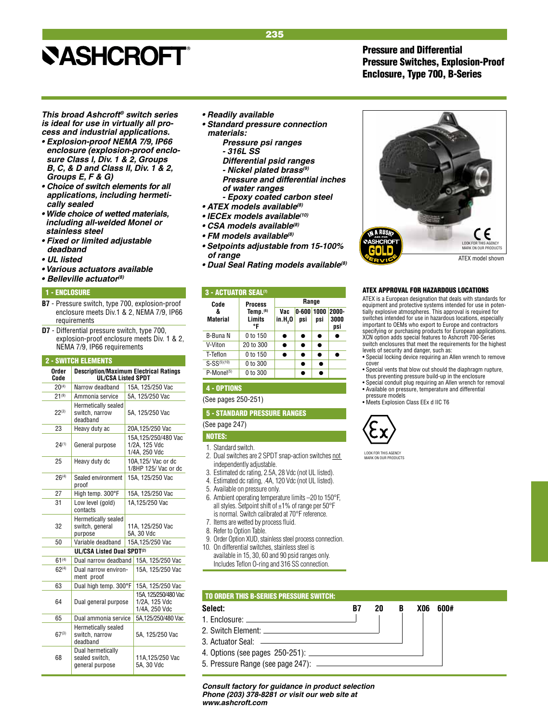## Pressure and Differential Pressure Switches, Explosion-Proof Enclosure, Type 700, B-Series

*This broad Ashcroft® switch series is ideal for use in virtually all process and industrial applications.*

- **Explosion-proof NEMA 7/9, IP66**  *enclosure (explosion-proof enclo***sure Class I, Div. 1 & 2, Groups B, C, & D and Class II, Div. 1 & 2, Groups E, F & G)**
- **Choice of switch elements for all**  *applications, including hermetically sealed*
- **Wide choice of wetted materials,**  *including all-welded Monel or stainless steel*
- **Fixed or limited adjustable**   *deadband*
- **UL listed**
- **Various actuators available**
- **Belleville actuator***(8)*

#### 1 - ENCLOSURE

- **B7**  Pressure switch, type 700, explosion-proof enclosure meets Div.1 & 2, NEMA 7/9, IP66 requirements
- **D7**  Differential pressure switch, type 700, explosion-proof enclosure meets Div. 1 & 2, NEMA 7/9, IP66 requirements

## 2 - SWITCH ELEMENTS

| Order<br>Code | <b>Description/Maximum Electrical Ratings</b><br><b>UL/CSA Listed SPDT</b> |  |                                                        |  |
|---------------|----------------------------------------------------------------------------|--|--------------------------------------------------------|--|
| $20^{(4)}$    | Narrow deadband                                                            |  | 15A, 125/250 Vac                                       |  |
| $21^{(9)}$    | Ammonia service                                                            |  | 5A. 125/250 Vac                                        |  |
| $22^{(3)}$    | Hermetically sealed<br>switch, narrow<br>deadband                          |  | 5A, 125/250 Vac                                        |  |
| 23            | Heavy duty ac                                                              |  | 20A,125/250 Vac                                        |  |
| $24^{(1)}$    | General purpose                                                            |  | 15A, 125/250/480 Vac<br>1/2A, 125 Vdc<br>1/4A, 250 Vdc |  |
| 25            | Heavy duty dc                                                              |  | 10A.125/ Vac or dc<br>1/8HP 125/ Vac or dc             |  |
| $26^{(4)}$    | Sealed environment<br>proof                                                |  | 15A, 125/250 Vac                                       |  |
| 27            | High temp. 300°F                                                           |  | 15A, 125/250 Vac                                       |  |
| 31            | Low level (gold)<br>1A,125/250 Vac<br>contacts                             |  |                                                        |  |
| 32            | Hermetically sealed<br>switch, general<br>purpose                          |  | 11A. 125/250 Vac<br>5A. 30 Vdc                         |  |
| 50            | Variable deadband                                                          |  | 15A, 125/250 Vac                                       |  |
|               | UL/CSA Listed Dual SPDT <sup>(2)</sup>                                     |  |                                                        |  |
| $61^{(4)}$    | Dual narrow deadband                                                       |  | 15A, 125/250 Vac                                       |  |
| $62^{(4)}$    | Dual narrow environ-<br>ment proof                                         |  | 15A, 125/250 Vac                                       |  |
| 63            | Dual high temp. 300°F                                                      |  | 15A, 125/250 Vac                                       |  |
| 64            | Dual general purpose                                                       |  | 15A. 125/250/480 Vac<br>1/2A, 125 Vdc<br>1/4A, 250 Vdc |  |
| 65            | Dual ammonia service                                                       |  | 5A,125/250/480 Vac                                     |  |
| $67^{(3)}$    | Hermetically sealed<br>switch, narrow<br>deadband                          |  | 5A, 125/250 Vac                                        |  |
| 68            | Dual hermetically<br>sealed switch,<br>general purpose                     |  | 11A,125/250 Vac<br>5A, 30 Vdc                          |  |

- **Readily available**
- **Standard pressure connection**   *materials:*

235

- *Pressure psi ranges - 316L SS*
- **Differential psid ranges**
- **Nickel plated brass(9)**
- *Pressure and differential inches of water ranges*
- *Epoxy coated carbon steel*
- **ATEX models available***(8)*
- **IECEx models available***(10)*
- **CSA models available***(8)*
- **FM models available***(8)*
- **Setpoints adjustable from 15-100%**  *of range*
- **Dual Seal Rating models available***(8)*

## 3 - ACTUATOR SEAL<sup>(7)</sup>

| Code                 | <b>Process</b>                       | Range                      |                       |           |                      |
|----------------------|--------------------------------------|----------------------------|-----------------------|-----------|----------------------|
| &<br><b>Material</b> | Iemp. <sub>(6)</sub><br>Limits<br>°F | Vac<br>in.H <sub>2</sub> 0 | $0 - 600 1000$<br>psi | psi       | 2000-<br>3000<br>psi |
| B-Buna N             | 0 to 150                             |                            |                       | ●         |                      |
| V-Viton              | 20 to 300                            | $\bullet$                  | ●                     | $\bullet$ |                      |
| T-Teflon             | 0 to 150                             | $\bullet$                  | $\bullet$             | $\bullet$ |                      |
| $S-SS^{(5)(10)}$     | 0 to 300                             |                            | ●                     |           |                      |
| $P-Mone1(5)$         | 0 to 300                             |                            |                       |           |                      |

## 4 - OPTIONS

(See pages 250-251)

#### 5 - STANDARD PRESSURE RANGES

(See page 247)

NOTES:

- 1. Standard switch.
- 2. Dual switches are 2 SPDT snap-action switches not independently adjustable.
- 3. Estimated dc rating, 2.5A, 28 Vdc (not UL listed).
- 4. Estimated dc rating, .4A, 120 Vdc (not UL listed).
- 5. Available on pressure only.
- 6. Ambient operating temperature limits –20 to 150°F, all styles. Setpoint shift of  $\pm 1\%$  of range per 50°F is normal. Switch calibrated at 70°F reference.
- 7. Items are wetted by process fluid.
- 8. Refer to Option Table.
- 9. Order Option XUD, stainless steel process connection.
- 10. On differential switches, stainless steel is
- available in 15, 30, 60 and 90 psid ranges only. Includes Teflon O-ring and 316 SS connection.



#### ATEX APPROVAL FOR HAZARDOUS LOCATIONS

ATEX is a European designation that deals with standards for equipment and protective systems intended for use in potentially explosive atmospheres. This approval is required for switches intended for use in hazardous locations, especially important to OEMs who export to Europe and contractors specifying or purchasing products for European applications. XCN option adds special features to Ashcroft 700-Series switch enclosures that meet the requirements for the highest levels of security and danger, such as:

- Special locking device requiring an Allen wrench to remove cover
- Special vents that blow out should the diaphragm rupture, thus preventing pressure build-up in the enclosure
- Special conduit plug requiring an Allen wrench for removal • Available on pressure, temperature and differential pressure models
- Meets Explosion Class EEx d IIC T6



LOOK FOR THIS AGENCY MARK ON OUR PRODUCTS



3. Actuator Seal:

j

- 4. Options (see pages 250-251):
- 5. Pressure Range (see page 247):

*Consult factory for guidance in product selection Phone (203) 378-8281 or visit our web site at www.ashcroft.com*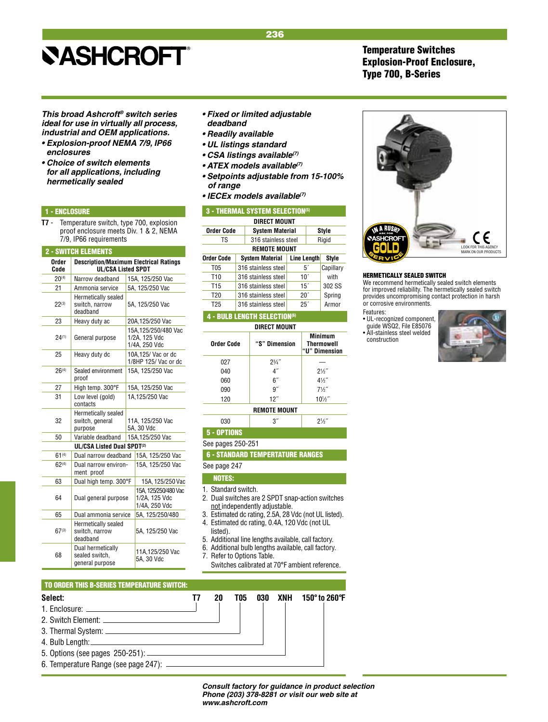*This broad Ashcroft® switch series ideal for use in virtually all process, industrial and OEM applications.*

- **Explosion-proof NEMA 7/9, IP66** *enclosures*
- **Choice of switch elements**  *for all applications, including hermetically sealed*

## 1 - ENCLOSURE

**T7** - Temperature switch, type 700, explosion proof enclosure meets Div. 1 & 2, NEMA 7/9, IP66 requirements

| <b>2 - SWITCH ELEMENTS</b> |                                                                                     |                  |                                                        |  |  |
|----------------------------|-------------------------------------------------------------------------------------|------------------|--------------------------------------------------------|--|--|
| Order<br>Code              | <b>Description/Maximum Electrical Ratings</b><br><b>UL/CSA Listed SPDT</b>          |                  |                                                        |  |  |
| $20^{(4)}$                 | Narrow deadband                                                                     |                  | 15A, 125/250 Vac                                       |  |  |
| 21                         | Ammonia service                                                                     |                  | 5A, 125/250 Vac                                        |  |  |
| $22^{(3)}$                 | Hermetically sealed<br>switch, narrow<br>deadband                                   |                  | 5A, 125/250 Vac                                        |  |  |
| 23                         | Heavy duty ac                                                                       |                  | 20A,125/250 Vac                                        |  |  |
| $24^{(1)}$                 | General purpose                                                                     |                  | 15A, 125/250/480 Vac<br>1/2A. 125 Vdc<br>1/4A, 250 Vdc |  |  |
| 25                         | Heavy duty dc                                                                       |                  | 10A.125/ Vac or dc<br>1/8HP 125/ Vac or dc             |  |  |
| $26^{(4)}$                 | Sealed environment<br>proof                                                         | 15A. 125/250 Vac |                                                        |  |  |
| 27                         | High temp. 300°F                                                                    |                  | 15A, 125/250 Vac                                       |  |  |
| 31                         | Low level (gold)<br>contacts                                                        |                  | 1A,125/250 Vac                                         |  |  |
| 32                         | Hermetically sealed<br>switch, general<br>11A, 125/250 Vac<br>5A, 30 Vdc<br>purpose |                  |                                                        |  |  |
| 50                         | Variable deadband                                                                   |                  | 15A, 125/250 Vac                                       |  |  |
|                            | UL/CSA Listed Dual SPDT(2)                                                          |                  |                                                        |  |  |
| $61^{(4)}$                 | Dual narrow deadband                                                                |                  | 15A, 125/250 Vac                                       |  |  |
| $62^{(4)}$                 | Dual narrow environ-<br>ment proof                                                  |                  | 15A, 125/250 Vac                                       |  |  |
| 63                         | Dual high temp. 300°F                                                               |                  | 15A, 125/250 Vac                                       |  |  |
| 64                         | Dual general purpose                                                                |                  | 15A.125/250/480 Vac<br>1/2A, 125 Vdc<br>1/4A, 250 Vdc  |  |  |
| 65                         | Dual ammonia service                                                                |                  | 5A, 125/250/480                                        |  |  |
| $67^{(3)}$                 | Hermetically sealed<br>switch, narrow<br>deadband                                   |                  | 5A, 125/250 Vac                                        |  |  |
| 68                         | Dual hermetically<br>sealed switch.<br>general purpose                              |                  | 11A,125/250 Vac<br>5A, 30 Vdc                          |  |  |

- **Fixed or limited adjustable**  *deadband*
- **Readily available**
- **UL listings standard**
- **CSA listings available***(7)*
- **ATEX models available***(7)*
- **Setpoints adjustable from 15-100%**  *of range*
- **IECEx models available***(7)*

| <b>3 - THERMAL SYSTEM SELECTION(5)</b> |  |                        |                    |    |           |
|----------------------------------------|--|------------------------|--------------------|----|-----------|
|                                        |  | <b>DIRECT MOUNT</b>    |                    |    |           |
| <b>Order Code</b>                      |  | <b>System Material</b> |                    |    | Style     |
| TS                                     |  | 316 stainless steel    |                    |    | Rigid     |
|                                        |  | <b>REMOTE MOUNT</b>    |                    |    |           |
| <b>Order Code</b>                      |  | <b>System Material</b> | <b>Line Length</b> |    | Style     |
| T <sub>05</sub>                        |  | 316 stainless steel    |                    | 51 | Capillary |
| T <sub>10</sub>                        |  | 316 stainless steel    | 10 <sup>7</sup>    |    | with      |
| T <sub>15</sub>                        |  | 316 stainless steel    | 15 <sup>′</sup>    |    | 302 SS    |
| T <sub>20</sub>                        |  | 316 stainless steel    | $20^{\circ}$       |    | Spring    |
| T <sub>25</sub>                        |  | 316 stainless steel    | 25 <sup>′</sup>    |    | Armor     |

## **4 - BULB LENGTH SELECTION**

| <b>DIRECT MOUNT</b> |                 |                                                      |  |  |
|---------------------|-----------------|------------------------------------------------------|--|--|
| Order Code          | "S" Dimension   | <b>Minimum</b><br><b>Thermowell</b><br>"U" Dimension |  |  |
| 027                 | $2^{3}/4$       |                                                      |  |  |
| 040                 | 4 <sup>''</sup> | $2\frac{1}{2}$                                       |  |  |
| 060                 | 6″              | $4\frac{1}{2}$                                       |  |  |
| 090                 | 9″              | $7\frac{1}{2}$                                       |  |  |
| 120                 | 12"             | $10\frac{1}{2}$                                      |  |  |
| DEMATE MAIINT       |                 |                                                      |  |  |

### **Remote Mount**  $030$   $37$

⁄2˝

5 - OPTIONS

See pages 250-251

6 - STANDARD TEMPERTATURE RANGES

See page 247

- NOTES:
- 1. Standard switch.
- 2. Dual switches are 2 SPDT snap-action switches not independently adjustable.
- 3. Estimated dc rating, 2.5A, 28 Vdc (not UL listed). 4. Estimated dc rating, 0.4A, 120 Vdc (not UL
- listed). 5. Additional line lengths available, call factory.
- 
- 6. Additional bulb lengths available, call factory. Refer to Options Table.
- Switches calibrated at 70°F ambient reference.

### TO ORDER THIS B-SERIES TEMPERATURE SWITCH:

## **Select: T7 20 T05 030 XNH 150° to 260°F** 1. Enclosure: 2. Switch Element: 3. Thermal System: 4. Bulb Length: 5. Options (see pages 250-251): 6. Temperature Range (see page 247):

## Temperature Switches Explosion-Proof Enclosure, Type 700, B-Series



#### HERMETICALLY SEALED SWITCH

We recommend hermetically sealed switch elements for improved reliability. The hermetically sealed switch provides uncompromising contact protection in harsh or corrosive environments.

#### Features:

• UL-recognized component, guide WSQ2, File E85076 • All-stainless steel welded construction



*Consult factory for guidance in product selection Phone (203) 378-8281 or visit our web site at www.ashcroft.com*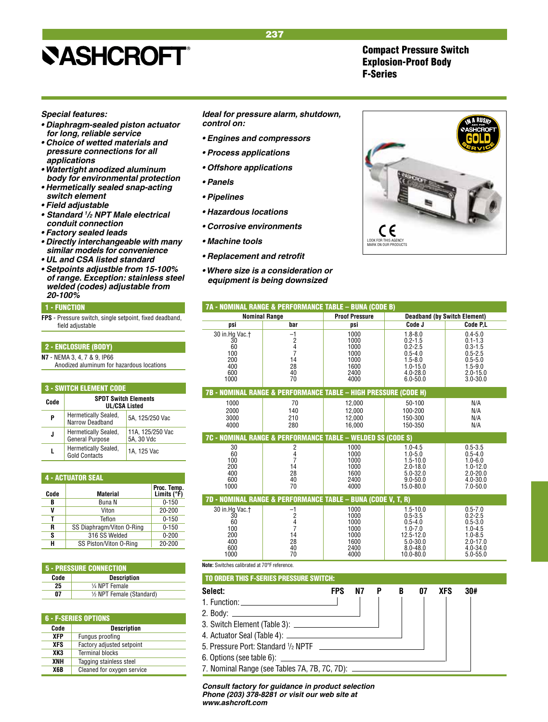Compact Pressure Switch Explosion-Proof Body F-Series

## *Special features:*

- **Diaphragm-sealed piston actuator**  *for long, reliable service*
- **Choice of wetted materials and**  *pressure connections for all applications*
- **Watertight anodized aluminum**  *body for environmental protection*
- **Hermetically sealed snap-acting**  *switch element*
- **Field adjustable**
- **• Standard** *<sup>1</sup> /2 NPT Male electrical conduit connection*
- **Factory sealed leads**
- **Directly interchangeable with many**  *similar models for convenience*
- **UL and CSA listed standard**
- **Setpoints adjustble from 15-100%**  *of range. Exception: stainless steel*  **welded (codes) adjustable from 20-100%**

### 1 - FUNCTION

**FPS** - Pressure switch, single setpoint, fixed deadband, field adjustable

## 2 - ENCLOSURE (BODY)

**N7** - NEMA 3, 4, 7 & 9, IP66 Anodized aluminum for hazardous locations

| <b>3 - SWITCH ELEMENT CODE</b> |                                                     |                                |  |  |  |
|--------------------------------|-----------------------------------------------------|--------------------------------|--|--|--|
| Code                           | <b>SPDT Switch Elements</b><br><b>UL/CSA Listed</b> |                                |  |  |  |
| P                              | Hermetically Sealed,<br>Narrow Deadband             | 5A. 125/250 Vac                |  |  |  |
| J                              | Hermetically Sealed,<br>General Purpose             | 11A, 125/250 Vac<br>5A, 30 Vdc |  |  |  |
|                                | Hermetically Sealed,<br><b>Gold Contacts</b>        | 1A. 125 Vac                    |  |  |  |

| <b>4 - ACTUATOR SEAL</b> |                           |                              |  |  |  |
|--------------------------|---------------------------|------------------------------|--|--|--|
| Code                     | <b>Material</b>           | Proc. Temp.<br>Limits $(°F)$ |  |  |  |
| B                        | Buna N                    | $0 - 150$                    |  |  |  |
| V                        | Viton                     | 20-200                       |  |  |  |
| т                        | Teflon                    | $0 - 150$                    |  |  |  |
| R                        | SS Diaphragm/Viton 0-Ring | $0 - 150$                    |  |  |  |
| S                        | 316 SS Welded             | $0 - 200$                    |  |  |  |
| н                        | SS Piston/Viton 0-Ring    | 20-200                       |  |  |  |

| <b>5 - PRESSURE CONNECTION</b> |                           |  |  |  |
|--------------------------------|---------------------------|--|--|--|
| Code                           | <b>Description</b>        |  |  |  |
| 25                             | 1/4 NPT Female            |  |  |  |
| Λ7                             | 1/2 NPT Female (Standard) |  |  |  |

|            | <b>6 - F-SERIES OPTIONS</b> |  |  |  |
|------------|-----------------------------|--|--|--|
| Code       | <b>Description</b>          |  |  |  |
| <b>XFP</b> | Fungus proofing             |  |  |  |
| <b>XFS</b> | Factory adjusted setpoint   |  |  |  |
| XK3        | <b>Terminal blocks</b>      |  |  |  |
| XNH        | Tagging stainless steel     |  |  |  |
| X6B        | Cleaned for oxygen service  |  |  |  |

### *Ideal for pressure alarm, shutdown, control on:*

- **Engines and compressors**
- **Process applications**
- **Offshore applications**
- **Panels**
- **Pipelines**
- **Hazardous locations**
- **Corrosive environments**
- **Machine tools**
- **Replacement and retrofit**
- **Where size is a consideration or**  *equipment is being downsized*



| 7A - NOMINAL RANGE & PERFORMANCE TABLE - BUNA (CODE B)                     |                                                                            |                                                                      |                                                                                                                         |                                                                                                                        |  |  |  |
|----------------------------------------------------------------------------|----------------------------------------------------------------------------|----------------------------------------------------------------------|-------------------------------------------------------------------------------------------------------------------------|------------------------------------------------------------------------------------------------------------------------|--|--|--|
| <b>Nominal Range</b>                                                       |                                                                            | <b>Proof Pressure</b>                                                |                                                                                                                         | <b>Deadband (by Switch Element)</b>                                                                                    |  |  |  |
| DSİ                                                                        | bar                                                                        | DSİ                                                                  | Code J                                                                                                                  | Code P.L                                                                                                               |  |  |  |
| 30 in.Hg Vac. <sup>+</sup><br>30<br>60<br>100<br>200<br>400<br>600<br>1000 | $-1$<br>$\begin{array}{c} 2 \\ 4 \\ 7 \end{array}$<br>14<br>28<br>40<br>70 | 1000<br>1000<br>1000<br>1000<br>1000<br>1600<br>2400<br>4000         | $1.8 - 8.0$<br>$0.2 - 1.5$<br>$0.2 - 2.5$<br>$0.5 - 4.0$<br>$1.5 - 8.0$<br>$1.0 - 15.0$<br>$4.0 - 28.0$<br>$6.0 - 50.0$ | $0.4 - 5.0$<br>$0.1 - 1.3$<br>$0.3 - 1.5$<br>$0.5 - 2.5$<br>$0.5 - 5.0$<br>$1.5 - 9.0$<br>$2.0 - 15.0$<br>$3.0 - 30.0$ |  |  |  |
|                                                                            |                                                                            | 7B - NOMINAL RANGE & PERFORMANCE TABLE - HIGH PRESSURE (CODE H)      |                                                                                                                         |                                                                                                                        |  |  |  |
| 1000<br>2000<br>3000<br>4000                                               | 70<br>140<br>210<br>280                                                    | 12.000<br>12,000<br>12.000<br>16.000                                 | $50 - 100$<br>100-200<br>150-300<br>150-350                                                                             | N/A<br>N/A<br>N/A<br>N/A                                                                                               |  |  |  |
|                                                                            |                                                                            | 7C - NOMINAL RANGE & PERFORMANCE TABLE - WELDED SS (CODE S)          |                                                                                                                         |                                                                                                                        |  |  |  |
| 30<br>60<br>100                                                            | $\begin{array}{c}\n2 \\ 4 \\ 7\n\end{array}$                               | 1000<br>1000                                                         | $1.0 - 4.5$<br>$1.0 - 5.0$                                                                                              | $0.5 - 3.5$<br>$0.5 - 4.0$                                                                                             |  |  |  |
| 200<br>400<br>600<br>1000                                                  | 14<br>28<br>40<br>70                                                       | 1000<br>1000<br>1600<br>2400<br>4000                                 | $1.5 - 10.0$<br>$2.0 - 18.0$<br>5.0-32.0<br>$9.0 - 50.0$<br>$15.0 - 80.0$                                               | $1.0 - 6.0$<br>$1.0 - 12.0$<br>$2.0 - 20.0$<br>$4.0 - 30.0$<br>$7.0 - 50.0$                                            |  |  |  |
| 30 in.Hg Vac.t                                                             |                                                                            | 7D - NOMINAL RANGE & PERFORMANCE TABLE - BUNA (CODE V, T, R)<br>1000 |                                                                                                                         | $0.5 - 7.0$                                                                                                            |  |  |  |

**Note:** Switches calibrated at 70°F reference.

| Select:                                                 | <b>FPS</b> | N7 | - P | $\overline{B}$ | 07 | <b>XFS</b> | 30# |
|---------------------------------------------------------|------------|----|-----|----------------|----|------------|-----|
|                                                         |            |    |     |                |    |            |     |
|                                                         |            |    |     |                |    |            |     |
|                                                         |            |    |     |                |    |            |     |
|                                                         |            |    |     |                |    |            |     |
| 5. Pressure Port: Standard 1/2 NPTF                     |            |    |     |                |    |            |     |
|                                                         |            |    |     |                |    |            |     |
| 7. Nominal Range (see Tables 7A, 7B, 7C, 7D): _________ |            |    |     |                |    |            |     |

*Consult factory for guidance in product selection Phone (203) 378-8281 or visit our web site at www.ashcroft.com*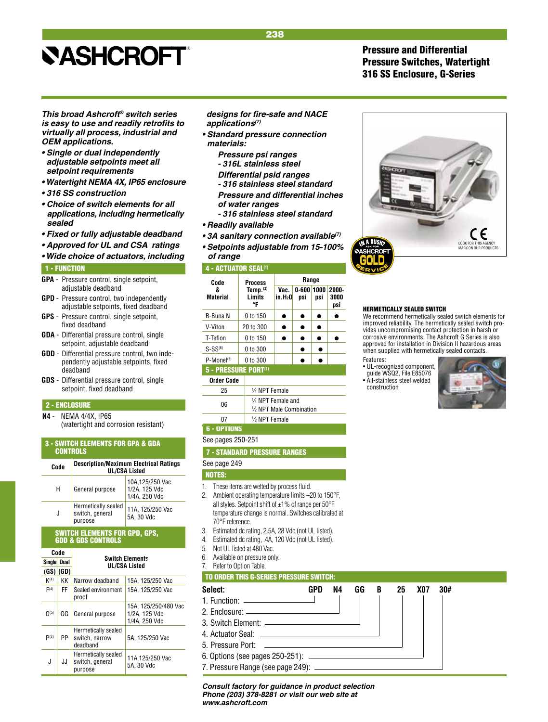## Pressure and Differential Pressure Switches, Watertight 316 SS Enclosure, G-Series

*This broad Ashcroft® switch series*  **is easy to use and readily retrofits to**  *virtually all process, industrial and OEM applications.*

- **Single or dual independently adjustable setpoints meet all**  *setpoint requirements*
- **Watertight NEMA 4X, IP65 enclosure**
- **316 SS construction**
- **Choice of switch elements for all**  *applications, including hermetically sealed*
- **Fixed or fully adjustable deadband**
- **Approved for UL and CSA ratings**
- **Wide choice of actuators, including**

#### 1 - FUNCTION

- **GPA**  Pressure control, single setpoint, adjustable deadband
- **GPD** Pressure control, two independently adjustable setpoints, fixed deadband
- **GPS** Pressure control, single setpoint, fixed deadband
- **GDA**  Differential pressure control, single setpoint, adjustable deadband
- **GDD** Differential pressure control, two inde pendently adjustable setpoints, fixed deadband
- **GDS** Differential pressure control, single setpoint, fixed deadband

## 2 - ENCLOSURE

**N4** - NEMA 4/4X, IP65 (watertight and corrosion resistant)

### 3 - SWITCH ELEMENTS FOR GPA & GDA **CONTROLS**

| Code | <b>Description/Maximum Electrical Ratings</b><br><b>UL/CSA Listed</b> |                                                   |  |  |  |  |
|------|-----------------------------------------------------------------------|---------------------------------------------------|--|--|--|--|
| Н    | General purpose                                                       | 10A,125/250 Vac<br>1/2A, 125 Vdc<br>1/4A, 250 Vdc |  |  |  |  |
| J    | Hermetically sealed<br>switch, general<br>purpose                     | 11A, 125/250 Vac<br>5A. 30 Vdc                    |  |  |  |  |

## SWITCH ELEMENTS FOR GPD, GPS, GDD & GDS CONTROLS

| Code<br><b>Single</b><br>Dual |     | <b>Switch Elements</b><br><b>UL/CSA Listed</b>    |                                                        |  |  |  |  |  |               |
|-------------------------------|-----|---------------------------------------------------|--------------------------------------------------------|--|--|--|--|--|---------------|
|                               |     |                                                   |                                                        |  |  |  |  |  | $(GS)$ $(GD)$ |
| K <sup>(4)</sup>              | KΚ  | Narrow deadband                                   | 15A, 125/250 Vac                                       |  |  |  |  |  |               |
| F(4)                          | FF. | Sealed environment<br>proof                       | 15A. 125/250 Vac                                       |  |  |  |  |  |               |
| G(5)                          | GG  | General purpose                                   | 15A. 125/250/480 Vac<br>1/2A. 125 Vdc<br>1/4A, 250 Vdc |  |  |  |  |  |               |
| P(3)                          | PP  | Hermetically sealed<br>switch, narrow<br>deadband | 5A. 125/250 Vac                                        |  |  |  |  |  |               |
| J                             | JJ. | Hermetically sealed<br>switch, general<br>purpose | 11A,125/250 Vac<br>5A, 30 Vdc                          |  |  |  |  |  |               |

## **designs for fire-safe and NACE**  *applications(7)*

- **Standard pressure connection** *materials:*
	- *Pressure psi ranges - 316L stainless steel*
	- **Differential psid ranges**
	- *316 stainless steel standard Pressure and differential inches*
	- *of water ranges*
	- *316 stainless steel standard*
- **Readily available**
- **3A sanitary connection available***(7)*
- **Setpoints adjustable from 15-100%**  *of range*

#### 4 - ACTUATOR SEAL<sup>(1)</sup>

| Code                                | Process                            |                                                | Range            |             |                      |  |  |
|-------------------------------------|------------------------------------|------------------------------------------------|------------------|-------------|----------------------|--|--|
| 8<br><b>Material</b>                | Temp. $(2)$<br><b>Limits</b><br>°F | Vac.<br>in.H <sub>2</sub> 0                    | $0 - 600$<br>psi | 1000<br>psi | 2000-<br>3000<br>psi |  |  |
| B-Buna N                            | 0 to 150                           |                                                |                  |             |                      |  |  |
| V-Viton                             | 20 to 300                          |                                                |                  |             |                      |  |  |
| T-Teflon                            | 0 to 150                           |                                                |                  |             |                      |  |  |
| $S-SS^{(6)}$                        | 0 to 300                           |                                                |                  |             |                      |  |  |
| $P-Mone1(6)$                        | 0 to 300                           |                                                |                  |             |                      |  |  |
| 5 - PRESSURE PORT(1)                |                                    |                                                |                  |             |                      |  |  |
| <b>Order Code</b>                   |                                    |                                                |                  |             |                      |  |  |
| 25                                  |                                    | 1/4 NPT Female                                 |                  |             |                      |  |  |
| 06                                  |                                    | 1/4 NPT Female and<br>1/2 NPT Male Combination |                  |             |                      |  |  |
| 07                                  | 1/ <sub>2</sub> NPT Female         |                                                |                  |             |                      |  |  |
| <b>6 - OPTIONS</b>                  |                                    |                                                |                  |             |                      |  |  |
| See pages 250-251                   |                                    |                                                |                  |             |                      |  |  |
| <b>7 - STANDARD PRESSURE RANGES</b> |                                    |                                                |                  |             |                      |  |  |
| See page 249                        |                                    |                                                |                  |             |                      |  |  |



- 1. These items are wetted by process fluid.
- 2. Ambient operating temperature limits –20 to 150°F, all styles. Setpoint shift of  $\pm 1\%$  of range per 50°F temperature change is normal. Switches calibrated at 70°F reference.
- 3. Estimated dc rating, 2.5A, 28 Vdc (not UL listed).
- 4. Estimated dc rating, .4A, 120 Vdc (not UL listed).
- 5. Not UL listed at 480 Vac.
- 6. Available on pressure only.
- 7. Refer to Option Table.

## TO ORDER THIS G-SERIES PRESSURE SWITCH:

| Select:           | GPD | N4 | GG | B | 25 | X07 | 30# |
|-------------------|-----|----|----|---|----|-----|-----|
|                   |     |    |    |   |    |     |     |
|                   |     |    |    |   |    |     |     |
|                   |     |    |    |   |    |     |     |
|                   |     |    |    |   |    |     |     |
| 5. Pressure Port: |     |    |    |   |    |     |     |
|                   |     |    |    |   |    |     |     |
|                   |     |    |    |   |    |     |     |

*Consult factory for guidance in product selection Phone (203) 378-8281 or visit our web site at www.ashcroft.com*



#### HERMETICALLY SEALED SWITCH

We recommend hermetically sealed switch elements for improved reliability. The hermetically sealed switch provides uncompromising contact protection in harsh or corrosive environments. The Ashcroft G Series is also approved for installation in Division II hazardous areas when supplied with hermetically sealed contacts.

Features:

• UL-recognized component, guide WSQ2, File E85076 • All-stainless steel welded construction

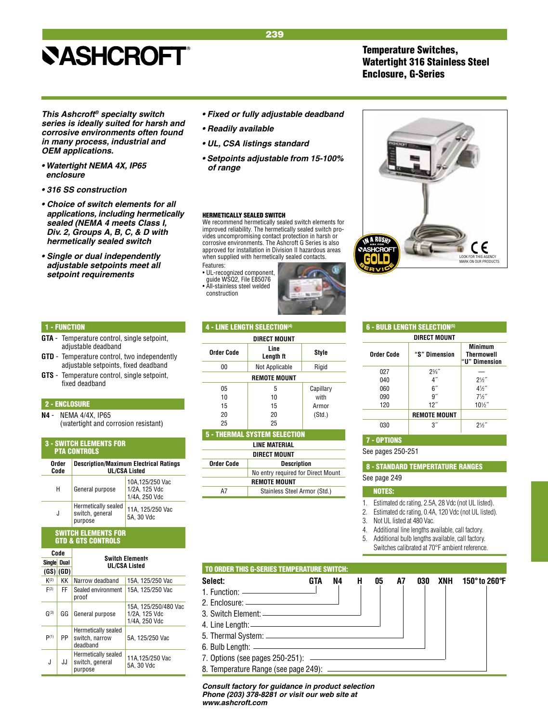# **SASHCROFT®**

## Temperature Switches, Watertight 316 Stainless Steel Enclosure, G-Series

*This Ashcroft® specialty switch series is ideally suited for harsh and corrosive environments often found in many process, industrial and OEM applications.*

- **Watertight NEMA 4X, IP65**  *enclosure*
- **316 SS construction**
- **Choice of switch elements for all**  *applications, including hermetically sealed (NEMA 4 meets Class I,*  **Div. 2, Groups A, B, C, & D with**  *hermetically sealed switch*
- **Single or dual independently adjustable setpoints meet all**  *setpoint requirements*
- **Fixed or fully adjustable deadband**
- **Readily available**
- **UL, CSA listings standard**
- **Setpoints adjustable from 15-100%**  *of range*

#### HERMETICALLY SEALED SWITCH

We recommend hermetically sealed switch elements for improved reliability. The hermetically sealed switch provides uncompromising contact protection in harsh or corrosive environments. The Ashcroft G Series is also approved for installation in Division II hazardous areas when supplied with hermetically sealed contacts. Features:

• UL-recognized component, guide WSQ2, File E85076 • All-stainless steel welded construction





## 1 - FUNCTION

- **GTA**  Temperature control, single setpoint, adjustable deadband
- **GTD** Temperature control, two independently adjustable setpoints, fixed deadband
- **GTS** Temperature control, single setpoint, fixed deadband

### 2 - ENCLOSURE

**N4** - NEMA 4/4X, IP65 (watertight and corrosion resistant)

#### 3 - SWITCH ELEMENTS FOR PTA CONTROLS

| Order<br>Code | <b>Description/Maximum Electrical Ratings</b><br><b>UL/CSA Listed</b> |                                                   |  |  |  |  |  |
|---------------|-----------------------------------------------------------------------|---------------------------------------------------|--|--|--|--|--|
| н             | General purpose                                                       | 10A,125/250 Vac<br>1/2A, 125 Vdc<br>1/4A, 250 Vdc |  |  |  |  |  |
| J             | Hermetically sealed<br>switch, general<br>purpose                     | 11A, 125/250 Vac<br>5A. 30 Vdc                    |  |  |  |  |  |

#### SWITCH ELEMENTS FOR GTD & GTS CONTROLS

| Code        |      |               | <b>Switch Elements</b>                            |                                                        |  |  |  |  |  |
|-------------|------|---------------|---------------------------------------------------|--------------------------------------------------------|--|--|--|--|--|
| Single Dual |      |               | UL/CSA Listed                                     |                                                        |  |  |  |  |  |
|             |      | $(GS)$ $(GD)$ |                                                   |                                                        |  |  |  |  |  |
|             | K(2) | KΚ            | Narrow deadband                                   | 15A. 125/250 Vac                                       |  |  |  |  |  |
|             | F(2) | FF            | Sealed environment<br>proof                       | 15A. 125/250 Vac                                       |  |  |  |  |  |
|             | G(3) | GG            | General purpose                                   | 15A. 125/250/480 Vac<br>1/2A. 125 Vdc<br>1/4A, 250 Vdc |  |  |  |  |  |
|             | P(1) | PP            | Hermetically sealed<br>switch, narrow<br>deadband | 5A. 125/250 Vac                                        |  |  |  |  |  |
|             | J    | JJ.           | Hermetically sealed<br>switch, general<br>purpose | 11A.125/250 Vac<br>5A. 30 Vdc                          |  |  |  |  |  |

## 4 - LINE LENGTH SELECTION(4)

| DIRECT MOUNT        |                   |           |  |  |  |  |  |  |
|---------------------|-------------------|-----------|--|--|--|--|--|--|
| <b>Order Code</b>   | Line<br>Length ft | Style     |  |  |  |  |  |  |
| 00                  | Not Applicable    | Rigid     |  |  |  |  |  |  |
| <b>REMOTE MOUNT</b> |                   |           |  |  |  |  |  |  |
| 05                  | 5                 | Capillary |  |  |  |  |  |  |
| 10                  | 10                | with      |  |  |  |  |  |  |
| 15                  | 15                | Armor     |  |  |  |  |  |  |
| 20                  | 20                | (Std.)    |  |  |  |  |  |  |
| 25                  | 25                |           |  |  |  |  |  |  |

| <b>5 - THERMAL SYSTEM SELECTION</b> |                                    |  |  |  |  |
|-------------------------------------|------------------------------------|--|--|--|--|
| LINE MATERIAL                       |                                    |  |  |  |  |
| <b>DIRECT MOUNT</b>                 |                                    |  |  |  |  |
| <b>Order Code</b>                   | <b>Description</b>                 |  |  |  |  |
|                                     | No entry required for Direct Mount |  |  |  |  |
| <b>REMOTE MOUNT</b>                 |                                    |  |  |  |  |
| Α7                                  | Stainless Steel Armor (Std.)       |  |  |  |  |

| <b>6 - BULB LENGTH SELECTION(5)</b> |                                |                 |  |  |  |  |  |  |  |  |
|-------------------------------------|--------------------------------|-----------------|--|--|--|--|--|--|--|--|
|                                     | DIRECT MOUNT                   |                 |  |  |  |  |  |  |  |  |
| <b>Order Code</b>                   | "S" Dimension<br>"U" Dimension |                 |  |  |  |  |  |  |  |  |
| 027                                 | $2\frac{3}{4}$                 |                 |  |  |  |  |  |  |  |  |
| 040                                 | 4″                             | $2\frac{1}{2}$  |  |  |  |  |  |  |  |  |
| 060                                 | 6 <sup>''</sup>                | $4\frac{1}{2}$  |  |  |  |  |  |  |  |  |
| 090                                 | ۹″                             | $7\frac{1}{2}$  |  |  |  |  |  |  |  |  |
| 120                                 | 12"                            | $10\frac{1}{2}$ |  |  |  |  |  |  |  |  |
|                                     | <b>REMOTE MOUNT</b>            |                 |  |  |  |  |  |  |  |  |
| 030                                 | 3″                             | $2\frac{1}{2}$  |  |  |  |  |  |  |  |  |

## 7 - OPTIONS

See pages 250-251

 8 - STANDARD TEMPERTATURE RANGES See page 249

## NOTES:

- 1. Estimated dc rating, 2.5A, 28 Vdc (not UL listed).
- 2. Estimated dc rating, 0.4A, 120 Vdc (not UL listed).

3. Not UL listed at 480 Vac.

- 4. Additional line lengths available, call factory.
- 5. Additional bulb lengths available, call factory.
- Switches calibrated at 70°F ambient reference.

| <b>TO ORDER THIS G-SERIES TEMPERATURE SWITCH:</b> |     |    |   |    |    |     |     |               |
|---------------------------------------------------|-----|----|---|----|----|-----|-----|---------------|
| Select:                                           | GTA | N4 | н | 05 | A7 | 030 | XNH | 150° to 260°F |
| 1. Function: $\qquad \qquad$                      |     |    |   |    |    |     |     |               |
|                                                   |     |    |   |    |    |     |     |               |
| 3. Switch Element: ————————————————————           |     |    |   |    |    |     |     |               |
|                                                   |     |    |   |    |    |     |     |               |
|                                                   |     |    |   |    |    |     |     |               |
|                                                   |     |    |   |    |    |     |     |               |
|                                                   |     |    |   |    |    |     |     |               |
|                                                   |     |    |   |    |    |     |     |               |

*Consult factory for guidance in product selection Phone (203) 378-8281 or visit our web site at www.ashcroft.com*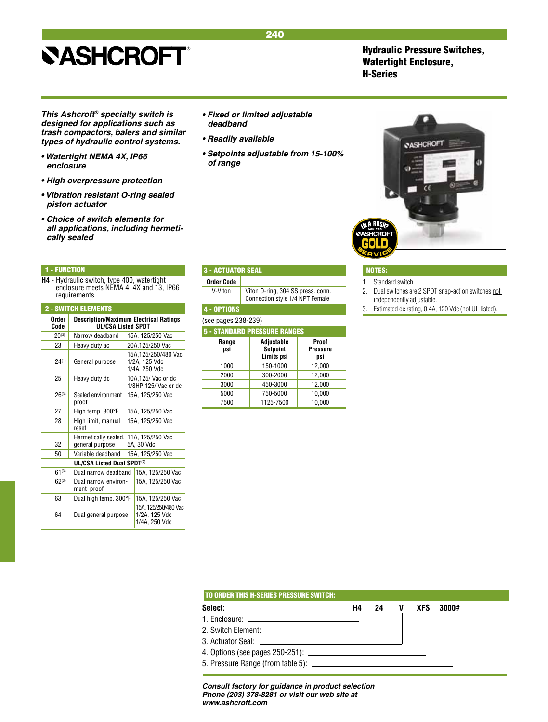## Hydraulic Pressure Switches, Watertight Enclosure, H-Series

*This Ashcroft® specialty switch is designed for applications such as trash compactors, balers and similar types of hydraulic control systems.*

- **Watertight NEMA 4X, IP66**  *enclosure*
- **High overpressure protection**
- **Vibration resistant O-ring sealed**  *piston actuator*
- **Choice of switch elements for**  *all applications, including hermetically sealed*

### 1 - FUNCTION

**H4** - Hydraulic switch, type 400, watertight enclosure meets NEMA 4, 4X and 13, IP66 requirements

| <b>2 - SWITCH ELEMENTS</b> |                                                                     |                  |                                                       |
|----------------------------|---------------------------------------------------------------------|------------------|-------------------------------------------------------|
| Order<br>Code              | <b>Description/Maximum Electrical Ratings</b><br>UL/CSA Listed SPDT |                  |                                                       |
| $20^{(3)}$                 | Narrow deadband                                                     |                  | 15A. 125/250 Vac                                      |
| 23                         | Heavy duty ac                                                       |                  | 20A.125/250 Vac                                       |
| 24(1)                      | General purpose                                                     |                  | 15A.125/250/480 Vac<br>1/2A, 125 Vdc<br>1/4A, 250 Vdc |
| 25                         | Heavy duty dc                                                       |                  | 10A.125/ Vac or dc<br>1/8HP 125/ Vac or dc            |
| $26^{(3)}$                 | Sealed environment<br>proof                                         |                  | 15A, 125/250 Vac                                      |
| 27                         | High temp. 300°F                                                    |                  | 15A, 125/250 Vac                                      |
| 28                         | High limit, manual<br>reset                                         | 15A, 125/250 Vac |                                                       |
| 32                         | Hermetically sealed,<br>general purpose                             |                  | 11A, 125/250 Vac<br>5A. 30 Vdc                        |
| 50                         | Variable deadband                                                   |                  | 15A, 125/250 Vac                                      |
|                            | <b>UL/CSA Listed Dual SPDT(2)</b>                                   |                  |                                                       |
| $61^{(3)}$                 | Dual narrow deadband                                                |                  | 15A. 125/250 Vac                                      |
| $62^{(3)}$                 | Dual narrow environ-<br>ment proof                                  |                  | 15A, 125/250 Vac                                      |
| 63                         | Dual high temp. 300°F                                               |                  | 15A, 125/250 Vac                                      |
| 64                         | Dual general purpose                                                |                  | 15A.125/250/480 Vac<br>1/2A, 125 Vdc<br>1/4A, 250 Vdc |

- **Fixed or limited adjustable**  *deadband*
- **Readily available**
- **Setpoints adjustable from 15-100%**  *of range*

 3 - ACTUATOR SEAL **Order Code**

V-Viton Viton O-ring, 304 SS press. conn. Connection style 1/4 NPT Female

| <b>4 - OPTIONS</b>  |                                      |                                 |  |  |  |
|---------------------|--------------------------------------|---------------------------------|--|--|--|
| (see pages 238-239) |                                      |                                 |  |  |  |
|                     | <b>5 - STANDARD PRESSURE RANGES</b>  |                                 |  |  |  |
| Range<br>psi        | Adjustable<br>Setpoint<br>Limits psi | Proof<br><b>Pressure</b><br>psi |  |  |  |
| 1000                | 150-1000                             | 12,000                          |  |  |  |
| 2000                | 300-2000                             | 12,000                          |  |  |  |
| 3000                | 450-3000                             | 12,000                          |  |  |  |
| 5000                | 750-5000                             | 10.000                          |  |  |  |

7500 1125-7500 10,000



## NOTES:

- 1. Standard switch.
- 2. Dual switches are 2 SPDT snap-action switches not independently adjustable.
- 3. Estimated dc rating, 0.4A, 120 Vdc (not UL listed)..

| H4 | 24 | V                                                                                                              | <b>XFS</b> | 3000# |
|----|----|----------------------------------------------------------------------------------------------------------------|------------|-------|
|    |    |                                                                                                                |            |       |
|    |    |                                                                                                                |            |       |
|    |    |                                                                                                                |            |       |
|    |    |                                                                                                                |            |       |
|    |    |                                                                                                                |            |       |
|    |    | 3. Actuator Seal: Electric Sealer Sealer Sealer Sealer Sealer Sealer Sealer Sealer Sealer Sealer Sealer Sealer |            |       |

*Consult factory for guidance in product selection Phone (203) 378-8281 or visit our web site at www.ashcroft.com*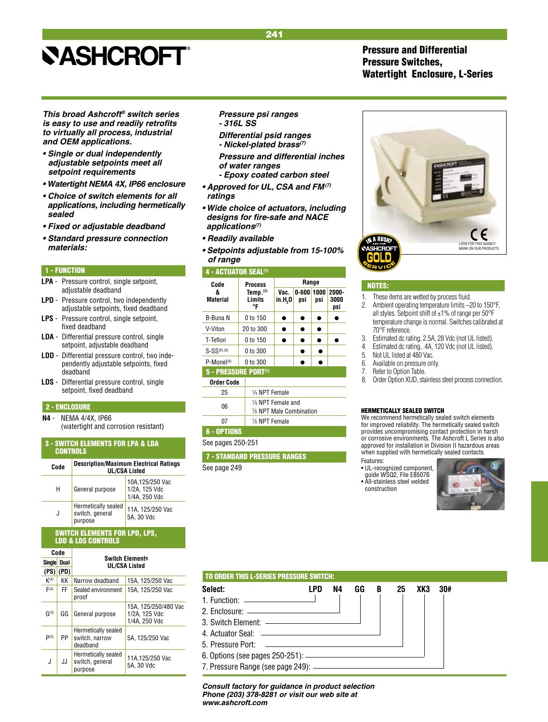## *This broad Ashcroft® switch series*  **is easy to use and readily retrofits**  *to virtually all process, industrial and OEM applications.*

- **Single or dual independently adjustable setpoints meet all**  *setpoint requirements*
- **Watertight NEMA 4X, IP66 enclosure**
- **Choice of switch elements for all** *applications, including hermetically sealed*
- **Fixed or adjustable deadband**
- **Standard pressure connection**  *materials:*

## 1 - FUNCTION

- **LPA**  Pressure control, single setpoint, adjustable deadband
- **LPD** Pressure control, two independently adjustable setpoints, fixed deadband
- **LPS** Pressure control, single setpoint, fixed deadband
- **LDA**  Differential pressure control, single setpoint, adjustable deadband
- **LDD** Differential pressure control, two inde pendently adjustable setpoints, fixed deadband
- **LDS** Differential pressure control, single setpoint, fixed deadband

## 2 - ENCLOSURE

**N4** - NEMA 4/4X, IP66 (watertight and corrosion resistant)6 - OPTIONS

## 3 - SWITCH ELEMENTS FOR LPA & LDA **CONTROLS Description/Maximum Electrical Ratings Code UL/CSA Listed**

| н | General purpose                                   | 10A,125/250 Vac<br>1/2A, 125 Vdc<br>1/4A, 250 Vdc |
|---|---------------------------------------------------|---------------------------------------------------|
| J | Hermetically sealed<br>switch, general<br>purpose | 11A, 125/250 Vac<br>5A. 30 Vdc                    |

#### SWITCH ELEMENTS FOR LPD, LPS, LDD & LDS CONTROLS

| Code<br><b>Single</b><br>Dual |      |           | <b>Switch Elements</b><br><b>UL/CSA Listed</b>    |                                                        |  |  |
|-------------------------------|------|-----------|---------------------------------------------------|--------------------------------------------------------|--|--|
|                               |      |           |                                                   |                                                        |  |  |
|                               |      | (PS) (PD) |                                                   |                                                        |  |  |
|                               | K(4) | KΚ        | Narrow deadband                                   | 15A, 125/250 Vac                                       |  |  |
|                               | F(4) | FF        | Sealed environment<br>proof                       | 15A, 125/250 Vac                                       |  |  |
|                               | G(5) | GG        | General purpose                                   | 15A, 125/250/480 Vac<br>1/2A, 125 Vdc<br>1/4A, 250 Vdc |  |  |
|                               | P(3) | PP        | Hermetically sealed<br>switch, narrow<br>deadband | 5A. 125/250 Vac                                        |  |  |
|                               | J    | JJ        | Hermetically sealed<br>switch, general<br>purpose | 11A,125/250 Vac<br>5A, 30 Vdc                          |  |  |

## *Pressure psi ranges*

- *316L SS*
- **Differential psid ranges - Nickel-plated brass***(7)*
- *Pressure and differential inches of water ranges*
- *Epoxy coated carbon steel*
- **Approved for UL, CSA and FM***(7) ratings*
- **Wide choice of actuators, including designs for fire-safe and NACE**  *applications(7)*
- **Readily available**
- **Setpoints adjustable from 15-100%**  *of range*

### 4 - ACTUATOR SEAL<sup>(1)</sup>



## 7 - STANDARD PRESSURE RANGES

See page 249

## Pressure and Differential Pressure Switches, Watertight Enclosure, L-Series



### NOTES:

- 1. These items are wetted by process fluid.<br>2. Ambient operating temperature limits -2
- Ambient operating temperature limits -20 to 150°F, all styles. Setpoint shift of  $\pm 1\%$  of range per 50°F temperature change is normal. Switches calibrated at 70°F reference.
- 3. Estimated dc rating, 2.5A, 28 Vdc (not UL listed).
- 4. Estimated dc rating, .4A, 120 Vdc (not UL listed).
- Not UL listed at 480 Vac.
- 6. Available on pressure only.<br>7 Befer to Option Table
- 
- 7. Refer to Option Table.<br>8. Order Option XUD, sta Order Option XUD, stainless steel process connection.

#### HERMETICALLY SEALED SWITCH

We recommend hermetically sealed switch elements for improved reliability. The hermetically sealed switch provides uncompromising contact protection in harsh or corrosive environments. The Ashcroft L Series is also approved for installation in Division II hazardous areas when supplied with hermetically sealed contacts.

- Features:
- UL-recognized component, quide WSQ2, File E85076
- All-stainless steel welded
- construction



| <b>TO ORDER THIS L-SERIES PRESSURE SWITCH:</b>          |                                               |    |    |   |    |     |     |  |
|---------------------------------------------------------|-----------------------------------------------|----|----|---|----|-----|-----|--|
| Select:                                                 | LPD                                           | N4 | GG | B | 25 | XK3 | 30# |  |
| 1. Function: $\qquad \qquad$                            |                                               |    |    |   |    |     |     |  |
| 2. Enclosure: <u>____________________________</u>       |                                               |    |    |   |    |     |     |  |
| 3. Switch Element: - <b>Campbell</b> 2. Switch Flement: |                                               |    |    |   |    |     |     |  |
|                                                         |                                               |    |    |   |    |     |     |  |
| 5. Pressure Port:                                       | <u> 1989 - Andrea Andrew Maria (h. 1989).</u> |    |    |   |    |     |     |  |
|                                                         |                                               |    |    |   |    |     |     |  |
|                                                         |                                               |    |    |   |    |     |     |  |

*Consult factory for guidance in product selection Phone (203) 378-8281 or visit our web site at www.ashcroft.com*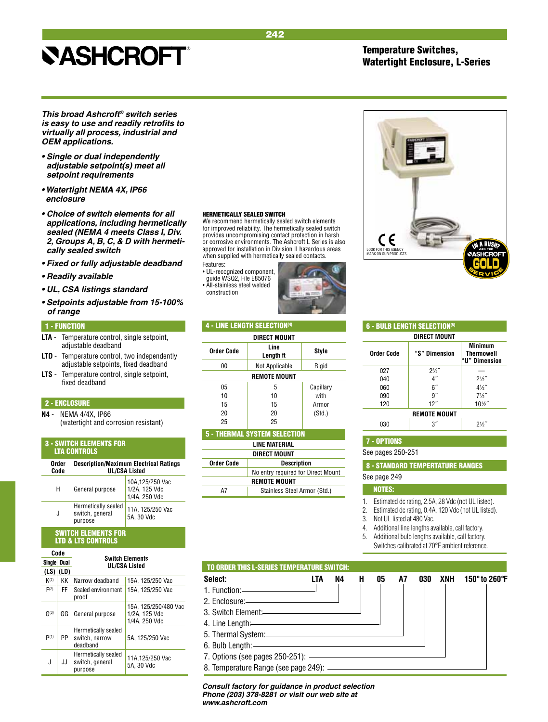Temperature Switches, Watertight Enclosure, L-Series

*This broad Ashcroft® switch series*  **is easy to use and readily retrofits to**  *virtually all process, industrial and OEM applications.*

- **Single or dual independently adjustable setpoint(s) meet all**  *setpoint requirements*
- **Watertight NEMA 4X, IP66**  *enclosure*
- **Choice of switch elements for all**  *applications, including hermetically*  **sealed (NEMA 4 meets Class I, Div. 2, Groups A, B, C, & D with hermeti***cally sealed switch*
- **Fixed or fully adjustable deadband**
- **Readily available**
- **UL, CSA listings standard**
- **Setpoints adjustable from 15-100%**  *of range*

#### 1 - FUNCTION

- **LTA**  Temperature control, single setpoint, adjustable deadband
- **LTD** Temperature control, two independently adjustable setpoints, fixed deadband
- **LTS** Temperature control, single setpoint, fixed deadband

## 2 - ENCLOSURE

**N4** - NEMA 4/4X, IP66 (watertight and corrosion resistant)

#### **SWITCH ELEMENTS FOR** LTA CONTROLS

| Order<br>Code | <b>Description/Maximum Electrical Ratings</b><br><b>UL/CSA Listed</b> |                                                    |  |
|---------------|-----------------------------------------------------------------------|----------------------------------------------------|--|
| н             | General purpose                                                       | 10A, 125/250 Vac<br>1/2A, 125 Vdc<br>1/4A, 250 Vdc |  |
| J             | Hermetically sealed<br>switch, general<br>purpose                     | 11A, 125/250 Vac<br>5A, 30 Vdc                     |  |
|               |                                                                       |                                                    |  |

## SWITCH ELEMENTS FOR LTD & LTS CONTROLS

| Code<br>Single Dual |    | <b>Switch Elements</b><br><b>UL/CSA Listed</b>    |                                                        |  |  |
|---------------------|----|---------------------------------------------------|--------------------------------------------------------|--|--|
|                     |    |                                                   |                                                        |  |  |
| K(2)                | KΚ | Narrow deadband                                   | 15A, 125/250 Vac                                       |  |  |
| F(2)                | FF | Sealed environment<br>proof                       | 15A, 125/250 Vac                                       |  |  |
| G(3)                | GG | General purpose                                   | 15A, 125/250/480 Vac<br>1/2A. 125 Vdc<br>1/4A, 250 Vdc |  |  |
| P(1)                | PP | Hermetically sealed<br>switch, narrow<br>deadband | 5A. 125/250 Vac                                        |  |  |
| J                   | JJ | Hermetically sealed<br>switch, general<br>purpose | 11A.125/250 Vac<br>5A, 30 Vdc                          |  |  |

#### HERMETICALLY SEALED SWITCH

We recommend hermetically sealed switch elements for improved reliability. The hermetically sealed switch provides uncompromising contact protection in harsh or corrosive environments. The Ashcroft L Series is also approved for installation in Division II hazardous areas when supplied with hermetically sealed contacts.

242

Features:

• UL-recognized component, guide WSQ2, File E85076 • All-stainless steel welded construction



| <b>6 - BULB LENGTH SELECTION<sup>(5)</sup></b> |                     |                                               |  |  |
|------------------------------------------------|---------------------|-----------------------------------------------|--|--|
|                                                | <b>DIRECT MOUNT</b> |                                               |  |  |
| <b>Order Code</b>                              | "S" Dimension       | Minimum<br><b>Thermowell</b><br>"U" Dimension |  |  |
| 027                                            | $2\frac{3}{4}$      |                                               |  |  |
| 040                                            |                     | $2\frac{1}{2}$                                |  |  |
| 060                                            | 6″                  | $4\frac{1}{2}$                                |  |  |
| 090                                            | g                   | $7\frac{1}{2}$                                |  |  |
| 120                                            | 12"                 | $10\frac{1}{2}$                               |  |  |
|                                                | <b>REMOTE MOUNT</b> |                                               |  |  |
| 030                                            |                     |                                               |  |  |

#### 7 - OPTIONS

See pages 250-251

8 - STANDARD TEMPERTATURE RANGES

## See page 249

#### NOTES:

1. Estimated dc rating, 2.5A, 28 Vdc (not UL listed).

- 2. Estimated dc rating, 0.4A, 120 Vdc (not UL listed).
- 3. Not UL listed at 480 Vac.

4. Additional line lengths available, call factory.

- 5. Additional bulb lengths available, call factory.
	- Switches calibrated at 70°F ambient reference.
- TO ORDER THIS L-SERIES TEMPERATURE SWITCH:
- **Select: LTA N4 H 05 A7 030 XNH 150° to 260°F** 1. Function:
- 2. Enclosure:
- 3. Switch Element:
- 4. Line Length:
- 5. Thermal System:
- 6. Bulb Length:
- 7. Options (see pages 250-251):
- 8. Temperature Range (see page 249):

*Consult factory for guidance in product selection Phone (203) 378-8281 or visit our web site at www.ashcroft.com*



|  | Not Applicable |  |
|--|----------------|--|
|  |                |  |

4 - LINE LENGTH SELECTION(4)

| v v                 |    | .         |  |  |
|---------------------|----|-----------|--|--|
| <b>REMOTE MOUNT</b> |    |           |  |  |
| 05                  | 5  | Capillary |  |  |
| 10                  | 10 | with      |  |  |
| 15                  | 15 | Armor     |  |  |
| 20                  | 20 | (Std.)    |  |  |
| 25                  | 25 |           |  |  |
|                     |    |           |  |  |

 **Direct Mount Order Code** Line Style

| <b>5 - THERMAL SYSTEM SELECTION</b> |                              |  |  |  |
|-------------------------------------|------------------------------|--|--|--|
| LINE MATERIAL                       |                              |  |  |  |
| <b>DIRECT MOUNT</b>                 |                              |  |  |  |
| <b>Order Code</b>                   | <b>Description</b>           |  |  |  |
| No entry required for Direct Mount  |                              |  |  |  |
| <b>REMOTE MOUNT</b>                 |                              |  |  |  |
|                                     | Stainless Steel Armor (Std.) |  |  |  |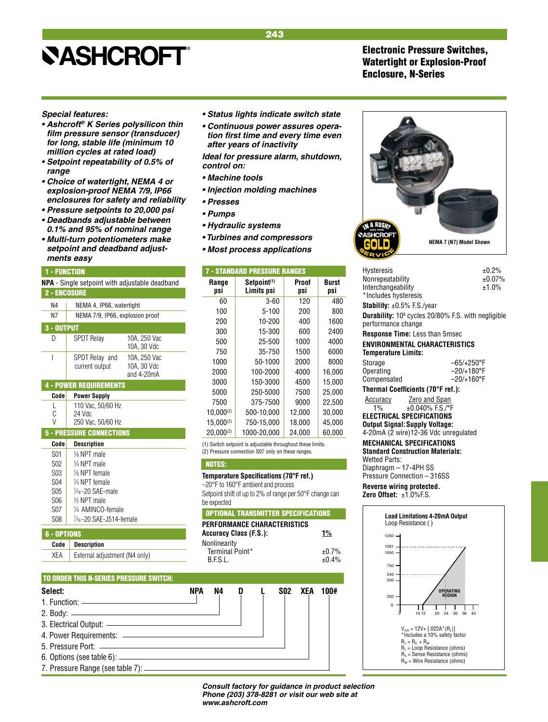## <span id="page-18-0"></span>*Special features:*

- **Ashcroft***®* **K Series polysilicon thin film pressure sensor (transducer)**  *for long, stable life (minimum 10 million cycles at rated load)*
- **Setpoint repeatability of 0.5% of**  *range*
- **Choice of watertight, NEMA 4 or explosion-proof NEMA 7/9, IP66**  *enclosures for safety and reliability*
- **Pressure setpoints to 20,000 psi**
- **Deadbands adjustable between 0.1% and 95% of nominal range**
- **Multi-turn potentiometers make setpoint and deadband adjust***ments easy*

### 1 - FUNCTION

| <b>NPA</b> - Single setpoint with adjustable deadband |                                  |                                             |  |  |
|-------------------------------------------------------|----------------------------------|---------------------------------------------|--|--|
| <b>2 - ENCOSURE</b>                                   |                                  |                                             |  |  |
| N4                                                    | NEMA 4, IP66, watertight         |                                             |  |  |
| N7                                                    | NEMA 7/9, IP66, explosion proof  |                                             |  |  |
| 3 - OUTPUT                                            |                                  |                                             |  |  |
| D                                                     | <b>SPDT Relay</b>                | 10A. 250 Vac<br>10A. 30 Vdc                 |  |  |
| I                                                     | SPDT Relay and<br>current output | 10A. 250 Vac<br>10A, 30 Vdc<br>and $4-20mA$ |  |  |
|                                                       | <b>4 - POWER REQUIREMENTS</b>    |                                             |  |  |
| Code                                                  | Power Sunnly                     |                                             |  |  |

## **Code Power Supply**

| vvuv. | i uwui uuppiy                  |
|-------|--------------------------------|
|       | 110 Vac, 50/60 Hz              |
| C     | $24$ Vdc                       |
| V     | $250 \text{ V}$ $60 \text{ R}$ |

## V 250 Vac, 50/60 Hz

| <b>5 - PRESSURE CONNECTIONS</b> |                             |  |
|---------------------------------|-----------------------------|--|
| Code                            | <b>Description</b>          |  |
| S01                             | $\frac{1}{8}$ NPT male      |  |
| S <sub>02</sub>                 | 1/4 NPT male                |  |
| S <sub>03</sub>                 | 1/8 NPT female              |  |
| S <sub>04</sub>                 | 1/4 NPT female              |  |
| S <sub>05</sub>                 | $\frac{7}{16}$ -20 SAE-male |  |
| S <sub>06</sub>                 | $\frac{1}{2}$ NPT male      |  |
| <b>S07</b>                      | 1/4 AMINCO-female           |  |
| <b>S08</b>                      | 7/16-20 SAE-J514-female     |  |
|                                 |                             |  |

## 6 - OPTIONS

## **Code Description**

XEA | External adjustment (N4 only)

## TO ORDER THIS N-SERIES PRESSURE SWITCH:

**Select: NPA N4 D L S02 XEA 100#** 1. Function: 2. Body: 3. Electrical Output: 4. Power Requirements: 5. Pressure Port: 6. Options (see table 6): 7. Pressure Range (see table 7):

- **Status lights indicate switch state**
- **Continuous power assures operation first time and every time even**  *after years of inactivity*

*Ideal for pressure alarm, shutdown, control on:*

- **Machine tools**
- **Injection molding machines**
- **Presses**
- **Pumps**
- **Hydraulic systems**
- **Turbines and compressors**
- **Most process applications**

| <b>7 - STANDARD PRESSURE RANGES</b> |                                       |              |              |
|-------------------------------------|---------------------------------------|--------------|--------------|
| Range<br>psi                        | Setpoint <sup>(1)</sup><br>Limits psi | Proof<br>psi | Burst<br>psi |
| 60                                  | $3 - 60$                              | 120          | 480          |
| 100                                 | 5-100                                 | 200          | 800          |
| 200                                 | 10-200                                | 400          | 1600         |
| 300                                 | 15-300                                | 600          | 2400         |
| 500                                 | 25-500                                | 1000         | 4000         |
| 750                                 | 35-750                                | 1500         | 6000         |
| 1000                                | 50-1000                               | 2000         | 8000         |
| 2000                                | 100-2000                              | 4000         | 16,000       |
| 3000                                | 150-3000                              | 4500         | 15.000       |
| 5000                                | 250-5000                              | 7500         | 25.000       |
| 7500                                | 375-7500                              | 9000         | 22.500       |
| $10.000^{(2)}$                      | 500-10.000                            | 12,000       | 30,000       |
| $15.000^{(2)}$                      | 750-15,000                            | 18,000       | 45,000       |
| $20.000^{(2)}$                      | 1000-20.000                           | 24.000       | 60.000       |

(1) Switch setpoint is adjustable throughout these limits. (2) Pressure connection S07 only on these ranges.

#### NOTES:

–20°F to 160°F ambient and process

Setpoint shift of up to 2% of range per 50°F change can be expected

| PERFORMANCE CHARACTERISTICS<br><b>Accuracy Class (F.S.):</b> | 1%               |
|--------------------------------------------------------------|------------------|
| Nonlinearity<br>Terminal Point*<br><b>BESI</b>               | ±0.7%<br>$+0.4%$ |







**NEMA 7 (N7) Model Shown**

**Output Signal:Supply Voltage:** 4-20mA (2 wire)12-36 Vdc unregulated **MECHANICAL SPECIFICATIONS Standard Construction Materials:** Wetted Parts: Diaphragm – 17-4PH SS

Pressure Connection – 316SS **Reverse wiring protected. Zero Offset:** ±1.0%F.S.



*Consult factory for guidance in product selection Phone (203) 378-8281 or visit our web site at www.ashcroft.com*

## 243

## Electronic Pressure Switches, Watertight or Explosion-Proof Enclosure, N-Series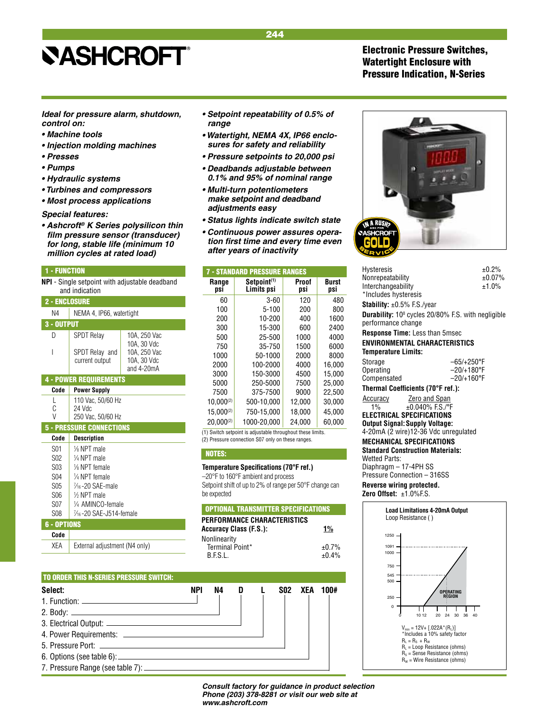## Electronic Pressure Switches, Watertight Enclosure with Pressure Indication, N-Series

<span id="page-19-0"></span>*Ideal for pressure alarm, shutdown, control on:*

- **Machine tools**
- **Injection molding machines**
- **Presses**
- **Pumps**
- **Hydraulic systems**
- **Turbines and compressors**
- **Most process applications**

### *Special features:*

**• Ashcroft***®* **K Series polysilicon thin film pressure sensor (transducer)**  *for long, stable life (minimum 10 million cycles at rated load)*

#### 1 - FUNCTION

**NPI** - Single setpoint with adjustable deadband and indication

| <b>2 - Enclosure</b> |
|----------------------|
|----------------------|

| ---------  |                                                                                              |              |  |
|------------|----------------------------------------------------------------------------------------------|--------------|--|
| N4         | NEMA 4, IP66, watertight                                                                     |              |  |
| 3 - OUTPUT |                                                                                              |              |  |
| D          | <b>SPDT Relay</b>                                                                            | 10A, 250 Vac |  |
|            | 10A, 30 Vdc<br>10A, 250 Vac<br>SPDT Relay and<br>10A, 30 Vdc<br>current output<br>and 4-20mA |              |  |
|            | <b>4 - POWER REQUIREMENTS</b>                                                                |              |  |
| Code       | <b>Power Supply</b>                                                                          |              |  |
| L          | 110 Vac, 50/60 Hz                                                                            |              |  |
| C          | 24 Vdc                                                                                       |              |  |
| V          | 250 Vac, 50/60 Hz                                                                            |              |  |
|            | <b>5 - PRESSURE CONNECTIONS</b>                                                              |              |  |
| Code       | <b>Description</b>                                                                           |              |  |
| S01        | $\frac{1}{8}$ NPT male                                                                       |              |  |
| S02        | $\frac{1}{4}$ NPT male                                                                       |              |  |
| S03        | 1/8 NPT female                                                                               |              |  |
| <b>S04</b> | $\frac{1}{4}$ NPT female                                                                     |              |  |
| S05        | 1/ <sub>16</sub> -20 SAE-male                                                                |              |  |
| S06        | $%$ NPT male                                                                                 |              |  |
| S07        | 1⁄4 AMINCO-female                                                                            |              |  |

## S<sub>08</sub> 6 - OPTIONS

## **Code**

XEA | External adjustment (N4 only)

⁄4 AMINCO-female

⁄16 -20 SAE-J514-female

- **Setpoint repeatability of 0.5% of**  *range*
- **Watertight, NEMA 4X, IP66 enclo***sures for safety and reliability*
- **Pressure setpoints to 20,000 psi**
- **Deadbands adjustable between 0.1% and 95% of nominal range**
- **Multi-turn potentiometers make setpoint and deadband adjustments easy**
- **Status lights indicate switch state**
- **Continuous power assures opera****tion first time and every time even**  *after years of inactivity*

| <b>7 - STANDARD PRESSURE RANGES</b> |                                       |              |              |
|-------------------------------------|---------------------------------------|--------------|--------------|
| Range<br>psi                        | Setpoint <sup>(1)</sup><br>Limits psi | Proof<br>psi | Burst<br>psi |
| 60                                  | $3 - 60$                              | 120          | 480          |
| 100                                 | $5 - 100$                             | 200          | 800          |
| 200                                 | 10-200                                | 400          | 1600         |
| 300                                 | 15-300                                | 600          | 2400         |
| 500                                 | 25-500                                | 1000         | 4000         |
| 750                                 | 35-750                                | 1500         | 6000         |
| 1000                                | 50-1000                               | 2000         | 8000         |
| 2000                                | 100-2000                              | 4000         | 16,000       |
| 3000                                | 150-3000                              | 4500         | 15,000       |
| 5000                                | 250-5000                              | 7500         | 25.000       |
| 7500                                | 375-7500                              | 9000         | 22.500       |
| $10.000^{(2)}$                      | 500-10,000                            | 12,000       | 30,000       |
| $15.000^{(2)}$                      | 750-15,000                            | 18,000       | 45,000       |
| $20.000^{(2)}$                      | 1000-20.000                           | 24.000       | 60.000       |

(1) Switch setpoint is adjustable throughout these limits. (2) Pressure connection S07 only on these ranges.

## NOTES:

## **Temperature Specifications (70°F ref.)**

–20°F to 160°F ambient and process Setpoint shift of up to 2% of range per 50°F change can be expected

### OPTIONAL TRANSMITTER SPECIFICATIONS

| PERFORMANCE CHARACTERISTICS<br><b>Accuracy Class (F.S.):</b> | $1\%$ |
|--------------------------------------------------------------|-------|
| Nonlinearity                                                 |       |
| Terminal Point*                                              | ±0.7% |
| B.F.S.L.                                                     | ±0.4% |

## TO ORDER THIS N-SERIES PRESSURE SWITCH: **Select: NPI N4 D L S02 XEA 100#** 1. Function: 2. Body: 3. Electrical Output: 4. Power Requirements: 5. Pressure Port: 6. Options (see table 6): 7. Pressure Range (see table 7):

*Consult factory for guidance in product selection Phone (203) 378-8281 or visit our web site at www.ashcroft.com*



| Hysteresis                                                                                  |                      | ±0.2%  |  |  |
|---------------------------------------------------------------------------------------------|----------------------|--------|--|--|
| Nonrepeatability                                                                            |                      | ±0.07% |  |  |
| Interchangeability                                                                          |                      | ±1.0%  |  |  |
| *Includes hysteresis                                                                        |                      |        |  |  |
| $\textsf{Stability: } \pm 0.5\%$ F.S./year                                                  |                      |        |  |  |
| <b>Durability:</b> 10 <sup>8</sup> cycles 20/80% F.S. with negligible<br>performance change |                      |        |  |  |
| <b>Response Time:</b> Less than 5msec                                                       |                      |        |  |  |
| ENVIRONMENTAL CHARACTERISTICS                                                               |                      |        |  |  |
| Temperature Limits:                                                                         |                      |        |  |  |
| Storage                                                                                     | $-65/+250$ °F        |        |  |  |
| Operating                                                                                   | $-20/+180^{\circ}F$  |        |  |  |
| Compensated                                                                                 | $-20/+160^{\circ}$ F |        |  |  |
| Thermal Coefficients (70°F ref.):                                                           |                      |        |  |  |
| <b>Accuracy Zero and Span</b>                                                               |                      |        |  |  |
| $±0.040\%$ F.S./°F<br>$1\%$                                                                 |                      |        |  |  |
| ELECTRICAL SPECIFICATIONS                                                                   |                      |        |  |  |
| Output Signal: Supply Voltage:                                                              |                      |        |  |  |
| 4-20mA (2 wire)12-36 Vdc unregulated                                                        |                      |        |  |  |
| MECHANICAL SPECIFICATIONS                                                                   |                      |        |  |  |
|                                                                                             |                      |        |  |  |

**Standard Construction Materials:** Wetted Parts: Diaphragm – 17-4PH SS Pressure Connection – 316SS

**Reverse wiring protected. Zero Offset:** ±1.0%F.S.

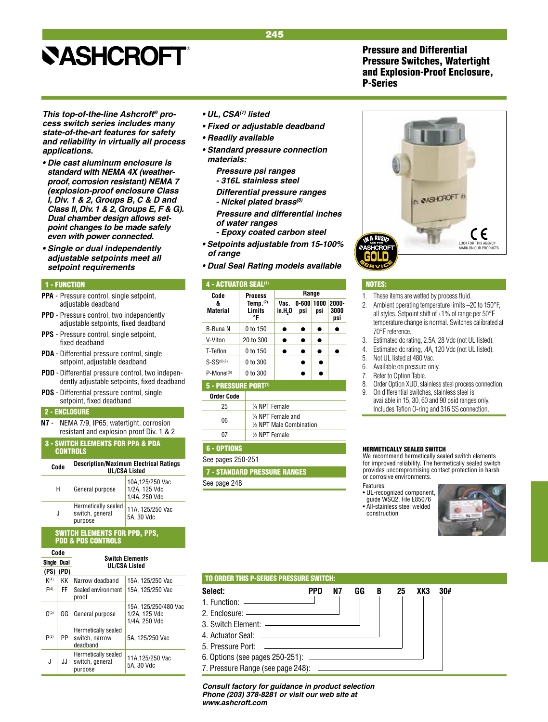Pressure and Differential Pressure Switches, Watertight and Explosion-Proof Enclosure, P-Series

<span id="page-20-0"></span>*This top-of-the-line Ashcroft® process switch series includes many state-of-the-art features for safety and reliability in virtually all process applications.*

- **Die cast aluminum enclosure is**  *standard with NEMA 4X (weatherproof, corrosion resistant) NEMA 7 (explosion-proof enclosure Class*  **I, Div. 1 & 2, Groups B, C & D and Class II, Div. 1 & 2, Groups E, F & G). Dual chamber design allows set***point changes to be made safely even with power connected.*
- **Single or dual independently adjustable setpoints meet all**  *setpoint requirements*

### 1 - FUNCTION

- **PPA**  Pressure control, single setpoint, adjustable deadband
- **PPD** Pressure control, two independently adjustable setpoints, fixed deadband
- **PPS** Pressure control, single setpoint, fixed deadband
- **PDA**  Differential pressure control, single setpoint, adjustable deadband
- **PDD** Differential pressure control, two independently adjustable setpoints, fixed deadband
- **PDS** Differential pressure control, single setpoint, fixed deadband

## 2 - ENCLOSURE

**N7** - NEMA 7/9, IP65, watertight, corrosion resistant and explosion proof Div. 1 & 2

|                 | <b>3 - SWITCH ELEMENTS FOR PPA &amp; PDA</b> |  |
|-----------------|----------------------------------------------|--|
| <b>CONTROLS</b> |                                              |  |
|                 |                                              |  |

| Code | <b>Description/Maximum Electrical Ratings</b><br><b>UL/CSA Listed</b> |                                                    |  |  |  |  |  |
|------|-----------------------------------------------------------------------|----------------------------------------------------|--|--|--|--|--|
| н    | General purpose                                                       | 10A, 125/250 Vac<br>1/2A, 125 Vdc<br>1/4A, 250 Vdc |  |  |  |  |  |
| J    | Hermetically sealed<br>switch, general<br>purpose                     | 11A, 125/250 Vac<br>5A, 30 Vdc                     |  |  |  |  |  |

## SWITCH ELEMENTS FOR PPD, PPS, PDD & PDS CONTROLS

| Code          |               |                                                   |                                                        |  |  |  |  |  |
|---------------|---------------|---------------------------------------------------|--------------------------------------------------------|--|--|--|--|--|
| <b>Single</b> | Dual          | <b>Switch Elements</b><br><b>UL/CSA Listed</b>    |                                                        |  |  |  |  |  |
|               | $(PS)$ $(PD)$ |                                                   |                                                        |  |  |  |  |  |
| K(4)          | KΚ            | Narrow deadband                                   | 15A. 125/250 Vac                                       |  |  |  |  |  |
| F(4)          | FF.           | Sealed environment<br>proof                       | 15A, 125/250 Vac                                       |  |  |  |  |  |
| G(5)          | GG            | General purpose                                   | 15A, 125/250/480 Vac<br>1/2A. 125 Vdc<br>1/4A, 250 Vdc |  |  |  |  |  |
| P(3)          | PP            | Hermetically sealed<br>switch, narrow<br>deadband | 5A. 125/250 Vac                                        |  |  |  |  |  |
| J             | JJ            | Hermetically sealed<br>switch, general<br>purpose | 11A, 125/250 Vac<br>5A, 30 Vdc                         |  |  |  |  |  |

- **UL, CSA***(7) listed*
- **Fixed or adjustable deadband**
- **Readily available**
- **Standard pressure connection**  *materials:*
	- *Pressure psi ranges - 316L stainless steel*
	- **Differential pressure ranges - Nickel plated brass***(8)*

*Pressure and differential inches of water ranges* 

- *Epoxy coated carbon steel*
- **Setpoints adjustable from 15-100%**  *of range*
- **Dual Seal Rating models available**

#### 4 - ACTUATOR SEAL<sup>(1)</sup>

| Code                 | <b>Process</b>                   | Range              |                           |     |                         |  |  |
|----------------------|----------------------------------|--------------------|---------------------------|-----|-------------------------|--|--|
| &<br><b>Material</b> | Temp. $(2)$<br>Limits<br>°F      | Vac.<br>in.H,0     | $0 - 600   1000  $<br>psi | psi | $2000 -$<br>3000<br>psi |  |  |
| B-Buna N             | 0 to 150                         |                    |                           |     |                         |  |  |
| V-Viton              | 20 to 300                        |                    |                           |     |                         |  |  |
| T-Teflon             | 0 to 150                         |                    |                           |     |                         |  |  |
| $S-SS^{(6)(9)}$      | 0 to 300                         |                    |                           |     |                         |  |  |
| $P-Mone1(6)$         | 0 to 300                         |                    |                           |     |                         |  |  |
|                      | 5 - PRESSURE PORT <sup>(1)</sup> |                    |                           |     |                         |  |  |
| <b>Order Code</b>    |                                  |                    |                           |     |                         |  |  |
| 25                   | 1/4 NPT Female                   |                    |                           |     |                         |  |  |
| nc                   |                                  | 1/4 NPT Female and |                           |     |                         |  |  |

| 06 | 74 NPT Female and<br>1/2 NPT Male Combination |
|----|-----------------------------------------------|
|    | 1/2 NPT Female                                |
|    |                                               |

## 6 - OPTIONS

See pages 250-251

7 - STANDARD PRESSURE RANGES

See page 248



#### NOTES:

- 1. These items are wetted by process fluid.
- 2. Ambient operating temperature limits –20 to 150°F, all styles. Setpoint shift of  $\pm 1\%$  of range per 50°F temperature change is normal. Switches calibrated at 70°F reference.
- 3. Estimated dc rating, 2.5A, 28 Vdc (not UL listed).
- 4. Estimated dc rating, .4A, 120 Vdc (not UL listed).
- 5. Not UL listed at 480 Vac.
- 6. Available on pressure only.
- 7. Refer to Option Table.
- 8. Order Option XUD, stainless steel process connection. 9. On differential switches, stainless steel is
- available in 15, 30, 60 and 90 psid ranges only. Includes Teflon O-ring and 316 SS connection.

### HERMETICALLY SEALED SWITCH

We recommend hermetically sealed switch elements for improved reliability. The hermetically sealed switch provides uncompromising contact protection in harsh or corrosive environments.

Features:

construction

- UL-recognized component, guide WSQ2, File E85076 • All-stainless steel welded
- 

## TO ORDER THIS P-SERIES PRESSURE SWITCH: **Select: PPD N7 GG B 25 XK3 30#** 1. Function:

- 2. Enclosure: 3. Switch Element: 4. Actuator Seal: 5. Pressure Port:
- 6. Options (see pages 250-251):
- 7. Pressure Range (see page 248):

*Consult factory for guidance in product selection Phone (203) 378-8281 or visit our web site at www.ashcroft.com*

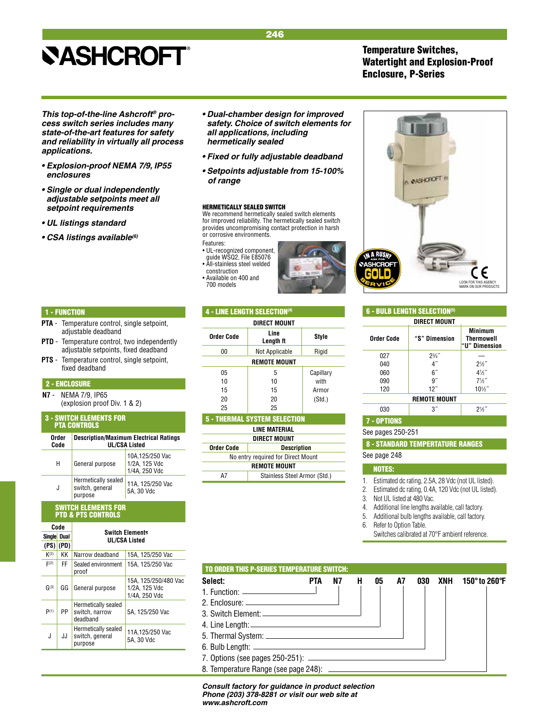## Temperature Switches, Watertight and Explosion-Proof Enclosure, P-Series

*This top-of-the-line Ashcroft® process switch series includes many state-of-the-art features for safety and reliability in virtually all process applications.*

- **Explosion-proof NEMA 7/9, IP55**  *enclosures*
- **Single or dual independently adjustable setpoints meet all**  *setpoint requirements*
- **UL listings standard**
- **CSA listings available***(6)*
- **Dual-chamber design for improved**  *safety. Choice of switch elements for all applications, including hermetically sealed*
- **Fixed or fully adjustable deadband**
- **Setpoints adjustable from 15-100%**  *of range*

### HERMETICALLY SEALED SWITCH

We recommend hermetically sealed switch elements for improved reliability. The hermetically sealed switch provides uncompromising contact protection in harsh or corrosive environments.

- Features:
- UL-recognized component, guide WSQ2, File E85076 • All-stainless steel welded

4 - LINE LENGTH SELECTION(4)

construction • Available on 400 and<br>700 models





- **PTA**  Temperature control, single setpoint, adjustable deadband
- **PTD** Temperature control, two independently adjustable setpoints, fixed deadband
- **PTS** Temperature control, single setpoint, fixed deadband

### 2 - ENCLOSURE

**N7** - NEMA 7/9, IP65 (explosion proof Div. 1 & 2)

#### 3 - SWITCH ELEMENTS FOR PTA CONTROLS

| Order<br>Code | <b>Description/Maximum Electrical Ratings</b><br><b>UL/CSA Listed</b> |                                                    |  |  |  |  |  |
|---------------|-----------------------------------------------------------------------|----------------------------------------------------|--|--|--|--|--|
| Н             | General purpose                                                       | 10A, 125/250 Vac<br>1/2A, 125 Vdc<br>1/4A, 250 Vdc |  |  |  |  |  |
| J             | Hermetically sealed<br>switch, general<br>purpose                     | 11A, 125/250 Vac<br>5A. 30 Vdc                     |  |  |  |  |  |

### SWITCH ELEMENTS FOR PTD & PTS CONTROLS

| Code          |               |                                                   |                                                        |  |  |  |  |  |  |
|---------------|---------------|---------------------------------------------------|--------------------------------------------------------|--|--|--|--|--|--|
| <b>Single</b> | Dual          | <b>Switch Elements</b><br><b>UL/CSA Listed</b>    |                                                        |  |  |  |  |  |  |
|               | $(PS)$ $(PD)$ |                                                   |                                                        |  |  |  |  |  |  |
| K(2)          | ĸк            | Narrow deadband                                   | 15A. 125/250 Vac                                       |  |  |  |  |  |  |
| F(2)          | FF            | Sealed environment<br>proof                       | 15A. 125/250 Vac                                       |  |  |  |  |  |  |
| G(3)          | GG            | General purpose                                   | 15A, 125/250/480 Vac<br>1/2A. 125 Vdc<br>1/4A, 250 Vdc |  |  |  |  |  |  |
| P(1)          | PP            | Hermetically sealed<br>switch, narrow<br>deadband | 5A. 125/250 Vac                                        |  |  |  |  |  |  |
| J             | JJ            | Hermetically sealed<br>switch, general<br>purpose | 11A.125/250 Vac<br>5A. 30 Vdc                          |  |  |  |  |  |  |
|               |               |                                                   |                                                        |  |  |  |  |  |  |

| DIRECT MOUNT |                   |           |  |  |  |  |  |  |
|--------------|-------------------|-----------|--|--|--|--|--|--|
| Order Code   | Line<br>Length ft | Style     |  |  |  |  |  |  |
| 00           | Not Applicable    | Rigid     |  |  |  |  |  |  |
| REMOTE MOUNT |                   |           |  |  |  |  |  |  |
| 05           | 5                 | Capillary |  |  |  |  |  |  |
| 10           | 10                | with      |  |  |  |  |  |  |
| 15           | 15                | Armor     |  |  |  |  |  |  |
| 20           | 20                | (Std.)    |  |  |  |  |  |  |
| 25           | 25                |           |  |  |  |  |  |  |

| <b>5 - THERMAL SYSTEM SELECTION</b> |
|-------------------------------------|
| . = ---- <b>--</b> -                |

| LINE MATERIAL                      |  |  |  |  |  |  |
|------------------------------------|--|--|--|--|--|--|
| DIRECT MOUNT                       |  |  |  |  |  |  |
| Order Code<br><b>Description</b>   |  |  |  |  |  |  |
| No entry required for Direct Mount |  |  |  |  |  |  |
| <b>REMOTE MOUNT</b>                |  |  |  |  |  |  |
| Stainless Steel Armor (Std.)<br>Δ7 |  |  |  |  |  |  |



| <b>6 - BULB LENGTH SELECTION<sup>(5)</sup></b> |                     |                                               |  |  |  |  |  |  |
|------------------------------------------------|---------------------|-----------------------------------------------|--|--|--|--|--|--|
| DIRECT MOUNT                                   |                     |                                               |  |  |  |  |  |  |
| Order Code                                     | "S" Dimension       | <b>Minimum</b><br>Thermowell<br>"U" Dimension |  |  |  |  |  |  |
| 027                                            | $2\frac{3}{4}$ "    |                                               |  |  |  |  |  |  |
| 040                                            | 4″                  | $21/5$ "                                      |  |  |  |  |  |  |
| 060                                            | 6 <sup>''</sup>     | $4\frac{1}{2}$                                |  |  |  |  |  |  |
| 090                                            | 9"                  | $7\frac{1}{2}$                                |  |  |  |  |  |  |
| 120                                            | 12"                 | $10\frac{1}{2}$                               |  |  |  |  |  |  |
|                                                | <b>REMOTE MOUNT</b> |                                               |  |  |  |  |  |  |
| 030                                            | 3″                  | $2\frac{1}{2}$                                |  |  |  |  |  |  |
| <b>7 - OPTIONS</b>                             |                     |                                               |  |  |  |  |  |  |
| See pages 250-251                              |                     |                                               |  |  |  |  |  |  |
| <b>8 - STANDARD TEMPERTATURE RANGES</b>        |                     |                                               |  |  |  |  |  |  |
| See page 248                                   |                     |                                               |  |  |  |  |  |  |

## NOTES:

1. Estimated dc rating, 2.5A, 28 Vdc (not UL listed).

2. Estimated dc rating, 0.4A, 120 Vdc (not UL listed).

3. Not UL listed at 480 Vac.

- 4. Additional line lengths available, call factory.
- 5. Additional bulb lengths available, call factory.
- 6. Refer to Option Table.

Switches calibrated at 70°F ambient reference.

| <b>TO ORDER THIS P-SERIES TEMPERATURE SWITCH:</b> |            |    |   |    |    |     |     |               |
|---------------------------------------------------|------------|----|---|----|----|-----|-----|---------------|
| Select:                                           | <b>PTA</b> | N7 | H | 05 | A7 | 030 | XNH | 150° to 260°F |
| 1. Function: $\qquad \qquad$                      |            |    |   |    |    |     |     |               |
|                                                   |            |    |   |    |    |     |     |               |
|                                                   |            |    |   |    |    |     |     |               |
|                                                   |            |    |   |    |    |     |     |               |
|                                                   |            |    |   |    |    |     |     |               |
|                                                   |            |    |   |    |    |     |     |               |
|                                                   |            |    |   |    |    |     |     |               |
|                                                   |            |    |   |    |    |     |     |               |

*Consult factory for guidance in product selection Phone (203) 378-8281 or visit our web site at www.ashcroft.com*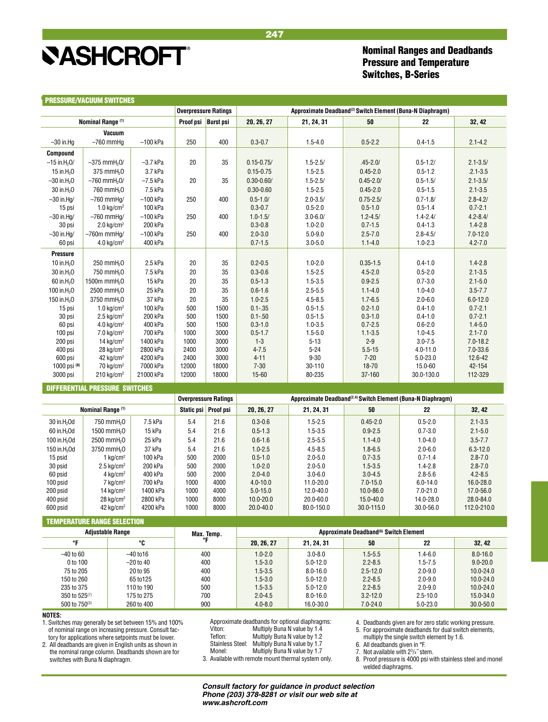<span id="page-22-0"></span>**PRESSURE AIA CUIDA SWITCHES** 

## Nominal Ranges and Deadbands Pressure and Temperature Switches, B-Series

|                            | <b>PRESSURE/VALUUM SWIILNES</b>                                                  |                      | <b>Overpressure Ratings</b><br>Approximate Deadband <sup>(2)</sup> Switch Element (Buna-N Diaphragm) |              |                       |                      |                        |                              |                         |
|----------------------------|----------------------------------------------------------------------------------|----------------------|------------------------------------------------------------------------------------------------------|--------------|-----------------------|----------------------|------------------------|------------------------------|-------------------------|
|                            | Proof psi Burst psi<br>Nominal Range (1)<br>50<br>20, 26, 27<br>22<br>21, 24, 31 |                      |                                                                                                      |              | 32, 42                |                      |                        |                              |                         |
|                            | Vacuum                                                                           |                      |                                                                                                      |              |                       |                      |                        |                              |                         |
| $-30$ in.Hq                | $-760$ mmHa                                                                      | $-100$ kPa           | 250                                                                                                  | 400          | $0.3 - 0.7$           | $1.5 - 4.0$          | $0.5 - 2.2$            | $0.4 - 1.5$                  | $2.1 - 4.2$             |
| Compound                   |                                                                                  |                      |                                                                                                      |              |                       |                      |                        |                              |                         |
| $-15$ in H <sub>2</sub> O/ | $-375$ mmH <sub>2</sub> 0/                                                       | $-3.7$ kPa           | 20                                                                                                   | 35           | $0.15 - 0.75/$        | $1.5 - 2.5/$         | $.45 - 2.0/$           | $0.5 - 1.2/$                 | $2.1 - 3.5/$            |
| 15 in $H2O$                | 375 mmH <sub>2</sub> 0                                                           | 3.7 kPa              |                                                                                                      |              | $0.15 - 0.75$         | $1.5 - 2.5$          | $0.45 - 2.0$           | $0.5 - 1.2$                  | $.2.1 - 3.5$            |
| $-30$ in $H_2O$            | $-760$ mmH $20$                                                                  | $-7.5$ kPa           | 20                                                                                                   | 35           | $0.30 - 0.60/$        | $1.5 - 2.5/$         | $0.45 - 2.0/$          | $0.5 - 1.5/$                 | $2.1 - 3.5/$            |
| 30 in H <sub>2</sub> O     | 760 mmH <sub>2</sub> 0                                                           | 7.5 kPa              |                                                                                                      |              | $0.30 - 0.60$         | $1.5 - 2.5$          | $0.45 - 2.0$           | $0.5 - 1.5$                  | $2.1 - 3.5$             |
| $-30$ in.Hg/               | $-760$ mmHa/                                                                     | $-100$ kPa           | 250                                                                                                  | 400          | $0.5 - 1.0/$          | $2.0 - 3.5/$         | $0.75 - 2.5/$          | $0.7 - 1.8/$                 | $2.8 - 4.2/$            |
| 15 psi                     | $1.0 \text{ kg/cm}^2$                                                            | 100 kPa              |                                                                                                      |              | $0.3 - 0.7$           | $0.5 - 2.0$          | $0.5 - 1.0$            | $0.5 - 1.4$                  | $0.7 - 2.1$             |
| $-30$ in Hq/               | $-760$ mmHg/                                                                     | $-100$ kPa           | 250                                                                                                  | 400          | $1.0 - 1.5/$          | $3.0 - 6.0/$         | $1.2 - 4.5/$           | $1.4 - 2.4/$                 | $4.2 - 8.4/$            |
| 30 psi                     | $2.0 \text{ kg/cm}^2$                                                            | 200 kPa              |                                                                                                      |              | $0.3 - 0.8$           | $1.0 - 2.0$          | $0.7 - 1.5$            | $0.4 - 1.3$                  | $1.4 - 2.8$             |
| $-30$ in.Hg/               | $-760m$ mmHa/                                                                    | $-100$ kPa           | 250                                                                                                  | 400          | $2.0 - 3.0$           | $5.0 - 9.0$          | $2.5 - 7.0$            | $2.8 - 4.5/$                 | $7.0 - 12.0$            |
| 60 psi                     | $4.0 \text{ kg/cm}^2$                                                            | 400 kPa              |                                                                                                      |              | $0.7 - 1.5$           | $3.0 - 5.0$          | $1.1 - 4.0$            | $1.0 - 2.3$                  | $4.2 - 7.0$             |
| Pressure                   |                                                                                  |                      |                                                                                                      |              |                       |                      |                        |                              |                         |
| 10 in.H <sub>2</sub> 0     | 250 mmH <sub>2</sub> 0                                                           | 2.5 kPa              | 20                                                                                                   | 35           | $0.2 - 0.5$           | $1.0 - 2.0$          | $0.35 - 1.5$           | $0.4 - 1.0$                  | $1.4 - 2.8$             |
| 30 in H <sub>2</sub> O     | 750 mmH <sub>2</sub> 0                                                           | 7.5 kPa              | 20                                                                                                   | 35           | $0.3 - 0.6$           | $1.5 - 2.5$          | $4.5 - 2.0$            | $0.5 - 2.0$                  | $2.1 - 3.5$             |
| 60 in H <sub>2</sub> O     | 1500m mmH <sub>2</sub> 0                                                         | 15 kPa               | 20                                                                                                   | 35           | $0.5 - 1.3$           | $1.5 - 3.5$          | $0.9 - 2.5$            | $0.7 - 3.0$                  | $2.1 - 5.0$             |
| 100 in.H <sub>2</sub> 0    | 2500 mmH <sub>2</sub> 0                                                          | 25 kPa               | 20                                                                                                   | 35           | $0.6 - 1.6$           | $2.5 - 5.5$          | $1.1 - 4.0$            | $1.0 - 4.0$                  | $3.5 - 7.7$             |
| 150 in.H <sub>2</sub> 0    | 3750 mmH <sub>2</sub> 0                                                          | 37 kPa               | 20                                                                                                   | 35           | $1.0 - 2.5$           | $4.5 - 8.5$          | $1.7 - 6.5$            | $2.0 - 6.0$                  | $6.0 - 12.0$            |
| 15 psi                     | $1.0 \text{ kg/cm}^2$                                                            | 100 kPa              | 500                                                                                                  | 1500         | $0.1 - 0.35$          | $0.5 - 1.5$          | $0.2 - 1.0$            | $0.4 - 1.0$                  | $0.7 - 2.1$             |
| 30 psi                     | $2.5 \text{ kg/cm}^2$                                                            | 200 kPa              | 500                                                                                                  | 1500         | $0.1 - 50$            | $0.5 - 1.5$          | $0.3 - 1.0$            | $0.4 - 1.0$                  | $0.7 - 2.1$             |
| 60 psi                     | $4.0 \text{ kg/cm}^2$                                                            | 400 kPa              | 500                                                                                                  | 1500         | $0.3 - 1.0$           | $1.0 - 3.5$          | $0.7 - 2.5$            | $0.6 - 2.0$                  | $1.4 - 5.0$             |
| 100 psi                    | $7.0 \text{ kg/cm}^2$                                                            | 700 kPa              | 1000                                                                                                 | 3000         | $0.5 - 1.7$           | $1.5 - 5.0$          | $1.1 - 3.5$            | $1.0 - 4.5$                  | $2.1 - 7.0$             |
| 200 psi                    | 14 kg/cm <sup>2</sup>                                                            | 1400 kPa             | 1000                                                                                                 | 3000         | $1 - 3$               | $5 - 13$             | $2 - 9$                | $3.0 - 7.5$                  | $7.0 - 18.2$            |
| 400 psi                    | $28$ kg/cm <sup>2</sup><br>42 $kg/cm2$                                           | 2800 kPa<br>4200 kPa | 2400<br>2400                                                                                         | 3000<br>3000 | $4 - 7.5$<br>$4 - 11$ | $5 - 24$<br>$9 - 30$ | $5.5 - 15$<br>$7 - 20$ | $4.0 - 11.0$<br>$5.0 - 23.0$ | $7.0 - 33.6$<br>12.6-42 |
| 600 psi<br>1000 psi (8)    | $70 \text{ kg/cm}^2$                                                             | 7000 kPa             | 12000                                                                                                | 18000        | $7 - 30$              | 30-110               | $18 - 70$              | 15.0-60                      | 42-154                  |
| 3000 psi                   | $210$ kg/cm <sup>2</sup>                                                         | 21000 kPa            | 12000                                                                                                | 18000        | 15-60                 | 80-235               | 37-160                 | 30.0-130.0                   | 112-329                 |
|                            |                                                                                  |                      |                                                                                                      |              |                       |                      |                        |                              |                         |

247

#### DIFFERENTIAL PRESSURE SWITCHES

|                          |                         |          |            | <b>Overpressure Ratings</b> | Approximate Deadband <sup>(2,4)</sup> Switch Element (Buna-N Diaphragm) |               |               |              |               |  |  |  |  |  |
|--------------------------|-------------------------|----------|------------|-----------------------------|-------------------------------------------------------------------------|---------------|---------------|--------------|---------------|--|--|--|--|--|
|                          | Nominal Range (1)       |          | Static psi | Proof psi                   | 20, 26, 27                                                              | 21, 24, 31    | 50            | 22           | 32, 42        |  |  |  |  |  |
| $30$ in $H2$ Od          | 750 mmH <sub>2</sub> 0  | 7.5 kPa  | 5.4        | 21.6                        | $0.3 - 0.6$                                                             | $1.5 - 2.5$   | $0.45 - 2.0$  | $0.5 - 2.0$  | $2.1 - 3.5$   |  |  |  |  |  |
| 60 in.H <sub>2</sub> Od  | 1500 mmH <sub>2</sub> 0 | 15 kPa   | 5.4        | 21.6                        | $0.5 - 1.3$                                                             | $1.5 - 3.5$   | $0.9 - 2.5$   | $0.7 - 3.0$  | $2.1 - 5.0$   |  |  |  |  |  |
| 100 in.H <sub>2</sub> Od | 2500 mmH <sub>2</sub> 0 | 25 kPa   | 5.4        | 21.6                        | $0.6 - 1.6$                                                             | $2.5 - 5.5$   | $1.1 - 4.0$   | $1.0 - 4.0$  | $3.5 - 7.7$   |  |  |  |  |  |
| 150 in.H <sub>2</sub> Od | 3750 mmH <sub>2</sub> 0 | 37 kPa   | 5.4        | 21.6                        | $1.0 - 2.5$                                                             | $4.5 - 8.5$   | $1.8 - 6.5$   | $2.0 - 6.0$  | $6.3 - 12.0$  |  |  |  |  |  |
| 15 psid                  | 1 kg/cm $^2$            | 100 kPa  | 500        | 2000                        | $0.5 - 1.0$                                                             | $2.0 - 5.0$   | $0.7 - 3.5$   | $0.7 - 1.4$  | $2.8 - 7.0$   |  |  |  |  |  |
| 30 psid                  | $2.5 \text{ kg/cm}^2$   | 200 kPa  | 500        | 2000                        | $1.0 - 2.0$                                                             | $2.0 - 5.0$   | $1.5 - 3.5$   | $1.4 - 2.8$  | $2.8 - 7.0$   |  |  |  |  |  |
| 60 psid                  | 4 kg/cm <sup>2</sup>    | 400 kPa  | 500        | 2000                        | $2.0 - 4.0$                                                             | $3.0 - 6.0$   | $3.0 - 4.5$   | $2.8 - 5.6$  | $4.2 - 8.5$   |  |  |  |  |  |
| 100 psid                 | $7 \text{ ka/cm}^2$     | 700 kPa  | 1000       | 4000                        | $4.0 - 10.0$                                                            | $11.0 - 20.0$ | $7.0 - 15.0$  | $6.0 - 14.0$ | $16.0 - 28.0$ |  |  |  |  |  |
| 200 psid                 | 14 kg/cm <sup>2</sup>   | 1400 kPa | 1000       | 4000                        | $5.0 - 15.0$                                                            | 12.0-40.0     | $10.0 - 86.0$ | $7.0 - 21.0$ | 17.0-56.0     |  |  |  |  |  |
| 400 psid                 | $28 \text{ ka/cm}^2$    | 2800 kPa | 1000       | 8000                        | $10.0 - 20.0$                                                           | $20.0 - 60.0$ | $15.0 - 40.0$ | 14.0-28.0    | $28.0 - 84.0$ |  |  |  |  |  |
| 600 psid                 | $42 \text{ kg/cm}^2$    | 4200 kPa | 1000       | 8000                        | $20.0 - 40.0$                                                           | 80.0-150.0    | 30.0-115.0    | 30.0-56.0    | 112.0-210.0   |  |  |  |  |  |

## TEMPERATURE RANGE SELECTION

| <b>Adjustable Range</b> |            | Max. Temp. | Approximate Deadband <sup>(6)</sup> Switch Element |              |              |              |               |  |  |  |  |  |  |  |
|-------------------------|------------|------------|----------------------------------------------------|--------------|--------------|--------------|---------------|--|--|--|--|--|--|--|
| ᅂ                       | ℃          | °F         | 20, 26, 27                                         | 21, 24, 31   | 50           | 22           | 32, 42        |  |  |  |  |  |  |  |
| –40 to 60               | –40 to 16  | 400        | $1.0 - 2.0$                                        | $3.0 - 8.0$  | $1.5 - 5.5$  | $1.4 - 6.0$  | $8.0 - 16.0$  |  |  |  |  |  |  |  |
| 0 to 100                | –20 to 40  | 400        | $1.5 - 3.0$                                        | $5.0 - 12.0$ | $2.2 - 8.5$  | $1.5 - 7.5$  | $9.0 - 20.0$  |  |  |  |  |  |  |  |
| 75 to 205               | 20 to 95   | 400        | $1.5 - 3.5$                                        | $8.0 - 16.0$ | $2.5 - 12.0$ | $2.0 - 9.0$  | $10.0 - 24.0$ |  |  |  |  |  |  |  |
| 150 to 260              | 65 to 125  | 400        | $1.5 - 3.0$                                        | $5.0 - 12.0$ | $2.2 - 8.5$  | $2.0 - 9.0$  | $10.0 - 24.0$ |  |  |  |  |  |  |  |
| 235 to 375              | 110 to 190 | 500        | $1.5 - 3.5$                                        | $5.0 - 12.0$ | $2.2 - 8.5$  | $2.0 - 9.0$  | $10.0 - 24.0$ |  |  |  |  |  |  |  |
| 350 to $525^{(7)}$      | 175 to 275 | 700        | $2.0 - 4.5$                                        | $8.0 - 16.0$ | $3.2 - 12.0$ | $2.5 - 10.0$ | $15.0 - 34.0$ |  |  |  |  |  |  |  |
| 500 to $750^{(3)}$      | 260 to 400 | 900        | $4.0 - 8.0$                                        | 16.0-30.0    | $7.0 - 24.0$ | $5.0 - 23.0$ | $30.0 - 50.0$ |  |  |  |  |  |  |  |

#### **NOTES:**

1. Switches may generally be set between 15% and 100% of nominal range on increasing pressure. Consult fac-

tory for applications where setpoints must be lower. 2. All deadbands are given in English units as shown in the nominal range column. Deadbands shown are for

switches with Buna N diaphragm.

Approximate deadbands for optional diaphragms:<br>Viton: Multiply Buna N value by 1.4 Multiply Buna N value by 1.4

- Teflon: Multiply Buna N value by 1.2
- Stainless Steel: Multiply Buna N value by 1.7<br>Monel: Multiply Buna N value by 1.7
	- Multiply Buna N value by 1.7
- 3. Available with remote mount thermal system only.

4. Deadbands given are for zero static working pressure.

- 5. For approximate deadbands for dual switch elements, multiply the single switch element by 1.6.
- 6. All deadbands given in °F.
- 

7. Not available with 23 /4˝ stem. 8. Proof pressure is 4000 psi with stainless steel and monel

welded diaphragms.

*Consult factory for guidance in product selection Phone (203) 378-8281 or visit our web site at www.ashcroft.com*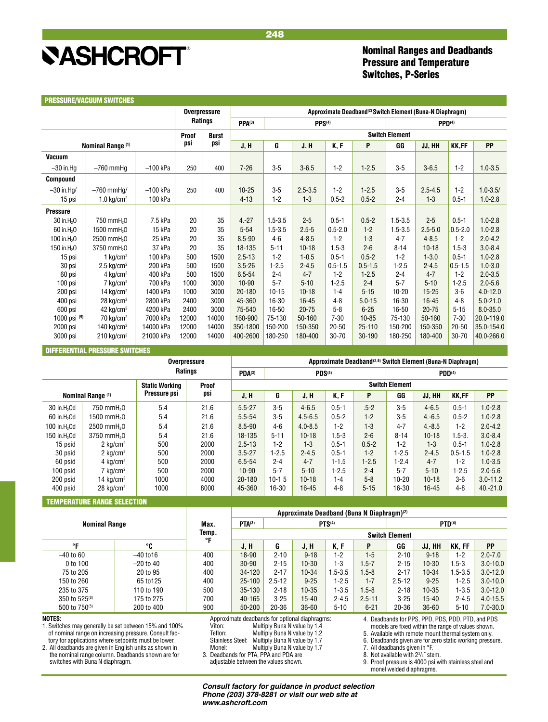## Nominal Ranges and Deadbands Pressure and Temperature Switches, P-Series

<span id="page-23-0"></span>

|                         |                                       |            | <b>Overpressure</b> |              |             |             |                    |             | Approximate Deadband <sup>(2)</sup> Switch Element (Buna-N Diaphragm) |                       |             |              |              |
|-------------------------|---------------------------------------|------------|---------------------|--------------|-------------|-------------|--------------------|-------------|-----------------------------------------------------------------------|-----------------------|-------------|--------------|--------------|
|                         |                                       |            | <b>Ratings</b>      |              | $PPA^{(3)}$ |             | PPS <sup>(4)</sup> |             |                                                                       | PPD <sup>(4)</sup>    |             |              |              |
|                         |                                       |            | Proof               | <b>Burst</b> |             |             |                    |             |                                                                       | <b>Switch Element</b> |             |              |              |
|                         | Nominal Range (1)                     |            | psi                 | psi          | J, H        | G           | J, H               | K, F        | P                                                                     | GG                    | JJ, HH      | KK,FF        | PP           |
| Vacuum                  |                                       |            |                     |              |             |             |                    |             |                                                                       |                       |             |              |              |
| $-30$ in.Ha             | $-760$ mmHa                           | $-100$ kPa | 250                 | 400          | $7 - 26$    | $3-5$       | $3 - 6.5$          | $1 - 2$     | $1 - 2.5$                                                             | $3-5$                 | $3 - 6.5$   | $1-2$        | $1.0 - 3.5$  |
| <b>Compound</b>         |                                       |            |                     |              |             |             |                    |             |                                                                       |                       |             |              |              |
| $-30$ in.Ha/            | $-760$ mmHa/                          | $-100$ kPa | 250                 | 400          | $10 - 25$   | $3-5$       | $2.5 - 3.5$        | $1 - 2$     | $1 - 2.5$                                                             | $3 - 5$               | $2.5 - 4.5$ | $1 - 2$      | $1.0 - 3.5/$ |
| 15 psi                  | 1.0 kg/cm <sup>2</sup>                | 100 kPa    |                     |              | $4 - 13$    | $1 - 2$     | $1 - 3$            | $0.5 - 2$   | $0.5 - 2$                                                             | $2 - 4$               | $1 - 3$     | $0.5 - 1$    | $1.0 - 2.8$  |
| <b>Pressure</b>         |                                       |            |                     |              |             |             |                    |             |                                                                       |                       |             |              |              |
| 30 in.H <sub>2</sub> 0  | 750 mmH <sub>2</sub> 0                | 7.5 kPa    | 20                  | 35           | $4 - 27$    | $1.5 - 3.5$ | $2 - 5$            | $0.5 - 1$   | $0.5 - 2$                                                             | $1.5 - 3.5$           | $2 - 5$     | $0.5 - 1$    | $1.0 - 2.8$  |
| 60 in.H <sub>2</sub> 0  | 1500 mmH <sub>2</sub> 0               | 15 kPa     | 20                  | 35           | $5 - 54$    | $1.5 - 3.5$ | $2.5 - 5$          | $0.5 - 2.0$ | $1 - 2$                                                               | $1.5 - 3.5$           | $2.5 - 5.0$ | $.0.5 - 2.0$ | $1.0 - 2.8$  |
| 100 in.H <sub>2</sub> 0 | 2500 mmH <sub>2</sub> 0               | 25 kPa     | 20                  | 35           | $8.5 - 90$  | $4 - 6$     | $4 - 8.5$          | $1 - 2$     | $1 - 3$                                                               | $4 - 7$               | $4 - 8.5$   | $1 - 2$      | $2.0 - 4.2$  |
| 150 in H <sub>2</sub> 0 | 3750 mmH <sub>2</sub> 0               | 37 kPa     | 20                  | 35           | 18-135      | $5 - 11$    | $10-18$            | $1.5 - 3$   | $2 - 6$                                                               | $8 - 14$              | $10 - 18$   | $1.5 - 3$    | $3.0 - 8.4$  |
| 15 psi                  | $1$ ka/cm <sup>2</sup>                | 100 kPa    | 500                 | 1500         | $2.5 - 13$  | $1 - 2$     | $1 - 0.5$          | $0.5 - 1$   | $0.5 - 2$                                                             | $1 - 2$               | $1 - 3.0$   | $0.5 - 1$    | $1.0 - 2.8$  |
| 30 psi                  | $2.5 \text{ kg/cm}^2$                 | 200 kPa    | 500                 | 1500         | $3.5 - 26$  | $1 - 2.5$   | $2 - 4.5$          | $0.5 - 1.5$ | $0.5 - 1.5$                                                           | $1 - 2.5$             | $2 - 4.5$   | $0.5 - 1.5$  | $1.0 - 3.0$  |
| 60 psi                  | 4 kg/cm <sup>2</sup>                  | 400 kPa    | 500                 | 1500         | $6.5 - 54$  | $2 - 4$     | $4 - 7$            | $1 - 2$     | $1 - 2.5$                                                             | $2 - 4$               | $4 - 7$     | $1 - 2$      | $2.0 - 3.5$  |
| 100 psi                 | 7 kg/cm <sup>2</sup>                  | 700 kPa    | 1000                | 3000         | $10 - 90$   | $5 - 7$     | $5 - 10$           | $1 - 2.5$   | $2 - 4$                                                               | $5 - 7$               | $5 - 10$    | $1 - 2.5$    | $2.0 - 5.6$  |
| 200 psi                 | 14 kg/cm <sup>2</sup>                 | 1400 kPa   | 1000                | 3000         | 20-180      | $10 - 15$   | $10 - 18$          | $1 - 4$     | $5 - 15$                                                              | $10 - 20$             | $15 - 25$   | $3-6$        | $4.0 - 12.0$ |
| 400 psi                 | $28$ kg/cm <sup>2</sup>               | 2800 kPa   | 2400                | 3000         | 45-360      | 16-30       | $16 - 45$          | $4 - 8$     | $5.0 - 15$                                                            | 16-30                 | 16-45       | $4 - 8$      | $5.0 - 21.0$ |
| 600 psi                 | 42 $kg/cm2$                           | 4200 kPa   | 2400                | 3000         | 75-540      | 16-50       | $20 - 75$          | $5 - 8$     | $6 - 25$                                                              | 16-50                 | $20 - 75$   | $5 - 15$     | $8.0 - 35.0$ |
| 1000 psi (9)            | $70 \text{ kg/cm}^2$                  | 7000 kPa   | 12000               | 14000        | 160-900     | 75-130      | 50-160             | $7 - 30$    | $10 - 85$                                                             | 75-130                | 50-160      | $7 - 30$     | 20.0-119.0   |
| 2000 psi                | 140 kg/cm <sup>2</sup>                | 14000 kPa  | 12000               | 14000        | 350-1800    | 150-200     | 150-350            | $20 - 50$   | $25 - 110$                                                            | 150-200               | 150-350     | $20 - 50$    | 35.0-154.0   |
| 3000 psi                | $210 \text{ kg/cm}^2$                 | 21000 kPa  | 12000               | 14000        | 400-2600    | 180-250     | 180-400            | 30-70       | 30-190                                                                | 180-250               | 180-400     | 30-70        | 40.0-266.0   |
|                         | <b>DIFFERENTIAL PRESSURE SWITCHES</b> |            |                     |              |             |             |                    |             |                                                                       |                       |             |              |              |

**Overpressure Approximate Deadband<sup>(2,6)</sup> Switch Element (Buna-N Diaphragm) Ratings PDA(3) PDS(4) PDD(4) Static Working Proof** Switch Element<br>Pressure psi psi psi psi pressure psi psi psi pressure psi psi proof and proof and proof of the proof of the proof of the proof of the proof of the proof of the proof of the proof of t  **Nominal Range (1) Pressure psi psi J, H G J, H K, F P GG JJ, HH KK,FF PP** 30 in.H<sub>2</sub>Od 750 mmH<sub>2</sub>O 6.54 21.6 5.5-27 3-5 4-6.5 0.5-1 5-2 3-5 4-6.5 0.5-1 1.0-2.8 60 in.H2Od 1500 mmH2O 5.4 21.6 5.5-54 3-5 4.5-6.5 0.5-2 1-2 3-5 4.-6.5 0.5-2 1.0-2.8 100 in.H2Od 2500 mmH2O 5.4 21.6 8.5-90 4-6 4.0-8.5 1-2 1-3 4-7 4.-8.5 1-2 2.0-4.2 150 in.H2Od 3750 mmH2O 5.4 21.6 18-135 5-11 10-18 1.5-3 2-6 8-14 10-18 1.5-3. 3.0-8.4 15 psid  $\begin{array}{c} 2 \text{ kg/cm}^2 \\ 30 \text{ psid} \end{array}$  500 2000 2.5-13 1-2 1-3 0.5-1 0.5-2 1-2 1-3 0.5-1 1.0-2.8  $2$  kg/cm<sup>2</sup> 500 2000 3.5-27 1-2.5 2-4.5 0.5-1 1-2 1-2.5 2-4.5 0.5-1.5 1.0-2.8 60 psid | 4 kg/cm<sup>2</sup> | 500 | 2000 | 6.5-54 | 2-4 | 4-7 | 1-1.5 | 1-2.5 | 1-2.4 | 4-7 | 1-2 | 1.0-3.5 100 psid | 7 kg/cm<sup>2</sup> | 500 | 2000 | 10-90 | 5-7 | 5-10 | 1-2.5 | 2-4 | 5-7 | 5-10 | 1-2.5 | 2.0-5.6 200 psid  $14 \text{ kg/cm}^2$  1000 4000 20-180 10-1 5 10-18 1-4 5-8 10-20 10-18 3-6 3.0-11.2 400 psid 28 kg/cm<sup>2</sup> 1000 8000 45-360 16-30 16-45 4-8 5-15 16-30 16-45 4-8 40.-21.0

#### TEMPERATURE RANGE SELECTION

|                           |             |             | Approximate Deadband (Buna N Diaphragm) <sup>(2)</sup> |            |           |               |            |                    |           |             |              |  |  |  |  |
|---------------------------|-------------|-------------|--------------------------------------------------------|------------|-----------|---------------|------------|--------------------|-----------|-------------|--------------|--|--|--|--|
| <b>Nominal Range</b>      |             | Max.        | $PTA^{(3)}$                                            |            |           | <b>PTS(4)</b> |            | PTD <sup>(4)</sup> |           |             |              |  |  |  |  |
|                           |             | Temp.<br>۰r | <b>Switch Element</b>                                  |            |           |               |            |                    |           |             |              |  |  |  |  |
| ۰F                        | °C          |             | J, H                                                   | G          | J, H      | K, F          | P          | GG                 | JJ, HH    | KK, FF      | <b>PP</b>    |  |  |  |  |
| $-40$ to 60               | $-40$ to 16 | 400         | 18-90                                                  | $2 - 10$   | $9 - 18$  | $1 - 2$       | $1 - 5$    | $2 - 10$           | $9 - 18$  | $1-2$       | $2.0 - 7.0$  |  |  |  |  |
| 0 to 100                  | $-20$ to 40 | 400         | $30 - 90$                                              | $2 - 15$   | $10 - 30$ | $1 - 3$       | $.5 - 7$   | $2 - 15$           | $10 - 30$ | $1.5 - 3$   | $3.0 - 10.0$ |  |  |  |  |
| 75 to 205                 | 20 to 95    | 400         | 34-120                                                 | $2 - 17$   | $10 - 34$ | $1.5 - 3.5$   | $.5 - 8$   | $2 - 17$           | $10 - 34$ | $1.5 - 3.5$ | $3.0 - 12.0$ |  |  |  |  |
| 150 to 260                | 65 to 125   | 400         | $25 - 100$                                             | $2.5 - 12$ | $9 - 25$  | $1-2.5$       | $1 - 7$    | $2.5 - 12$         | $9 - 25$  | $1 - 2.5$   | $3.0 - 10.0$ |  |  |  |  |
| 235 to 375                | 110 to 190  | 500         | $35 - 130$                                             | $2 - 18$   | $10 - 35$ | $1 - 3.5$     | $1.5 - 8$  | $2 - 18$           | $10 - 35$ | $1 - 3.5$   | $3.0 - 12.0$ |  |  |  |  |
| 350 to 525 <sup>(8)</sup> | 175 to 275  | 700         | 40-165                                                 | $3 - 25$   | $15 - 40$ | $2 - 4.5$     | $2.5 - 11$ | $3 - 25$           | $15 - 40$ | $2 - 4.5$   | $4.0 - 15.5$ |  |  |  |  |
| 500 to 750(5)             | 200 to 400  | 900         | 50-200                                                 | $20 - 36$  | $36 - 60$ | 5-10          | $6 - 21$   | $20 - 36$          | $36 - 60$ | $5 - 10$    | $7.0 - 30.0$ |  |  |  |  |

#### **NOTES:**

1. Switches may generally be set between 15% and 100% of nominal range on increasing pressure. Consult factory for applications where setpoints must be lower.

2. All deadbands are given in English units as shown in the nominal range column. Deadbands shown are for switches with Buna N diaphragm.

Approximate deadbands for optional diaphragms:<br>Viton: Multiply Buna N value by 1.4

Viton: Multiply Buna N value by 1.4<br>Teflon: Multiply Buna N value by 1.2 Teflon: Multiply Buna N value by 1.2<br>Stainless Steel: Multiply Buna N value by 1.7

Stainless Steel: Multiply Buna N value by 1.7<br>Monel: Multiply Buna N value by 1.7

Multiply Buna N value by 1.7

3. Deadbands for PTA, PPA and PDA are adjustable between the values shown. 4. Deadbands for PPS, PPD, PDS, PDD, PTD, and PDS models are fixed within the range of values shown.

5. Available with remote mount thermal system only.

6. Deadbands given are for zero static working pressure.<br>7. All deadbands given in  ${}^{\circ}$ F.

All deadbands given in °F.

8. Not available with 23 /4˝ stem.

9. Proof pressure is 4000 psi with stainless steel and monel welded diaphragms.

248

#### *Consult factory for guidance in product selection Phone (203) 378-8281 or visit our web site at www.ashcroft.com*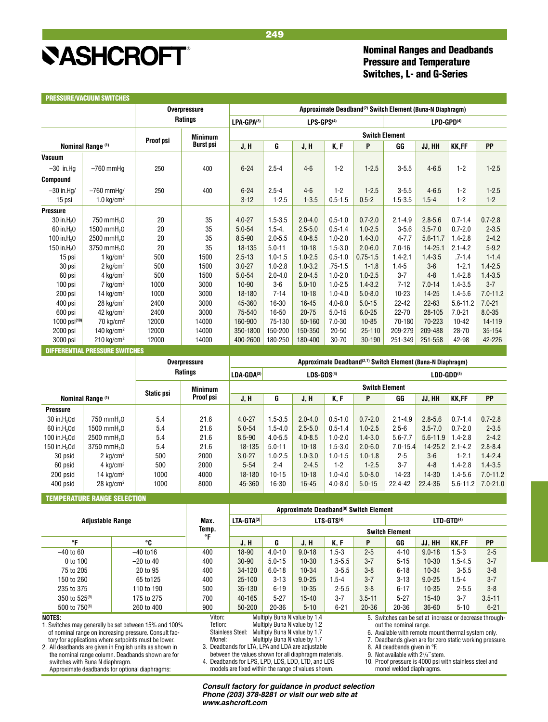## Nominal Ranges and Deadbands Pressure and Temperature Switches, L- and G-Series

<span id="page-24-0"></span>

|                         |                              |           | <b>Overpressure</b> | Approximate Deadband <sup>(2)</sup> Switch Element (Buna-N Diaphragm) |             |                        |             |                       |                        |              |              |              |  |
|-------------------------|------------------------------|-----------|---------------------|-----------------------------------------------------------------------|-------------|------------------------|-------------|-----------------------|------------------------|--------------|--------------|--------------|--|
|                         |                              |           | <b>Ratings</b>      | LPA-GPA(3)                                                            |             | LPS-GPS <sup>(4)</sup> |             |                       | LPD-GPD <sup>(4)</sup> |              |              |              |  |
|                         |                              |           | <b>Minimum</b>      |                                                                       |             |                        |             | <b>Switch Element</b> |                        |              |              |              |  |
|                         | Nominal Range <sup>(1)</sup> | Proof psi | <b>Burst psi</b>    | J, H                                                                  | G           | J, H                   | K, F        | P                     | GG                     | JJ, HH       | <b>KK,FF</b> | <b>PP</b>    |  |
| <b>Vacuum</b>           |                              |           |                     |                                                                       |             |                        |             |                       |                        |              |              |              |  |
| $-30$ in.Hq             | $-760$ mmHa                  | 250       | 400                 | $6 - 24$                                                              | $2.5 - 4$   | $4-6$                  | $1 - 2$     | $1 - 2.5$             | $3 - 5.5$              | $4 - 6.5$    | $1 - 2$      | $1 - 2.5$    |  |
| <b>Compound</b>         |                              |           |                     |                                                                       |             |                        |             |                       |                        |              |              |              |  |
| $-30$ in Ha/            | $-760$ mmHa/                 | 250       | 400                 | $6 - 24$                                                              | $2.5 - 4$   | $4-6$                  | $1 - 2$     | $1 - 2.5$             | $3 - 5.5$              | $4 - 6.5$    | $1-2$        | $1 - 2.5$    |  |
| 15 psi                  | $1.0 \text{ kg/cm}^2$        |           |                     | $3 - 12$                                                              | $1 - 2.5$   | $1 - 3.5$              | $0.5 - 1.5$ | $0.5 - 2$             | $1.5 - 3.5$            | $1.5 - 4$    | $1 - 2$      | $1 - 2$      |  |
| <b>Pressure</b>         |                              |           |                     |                                                                       |             |                        |             |                       |                        |              |              |              |  |
| 30 in.H <sub>2</sub> 0  | 750 mmH <sub>2</sub> 0       | 20        | 35                  | $4.0 - 27$                                                            | $1.5 - 3.5$ | $2.0 - 4.0$            | $0.5 - 1.0$ | $0.7 - 2.0$           | $2.1 - 4.9$            | $2.8 - 5.6$  | $0.7 - 1.4$  | $0.7 - 2.8$  |  |
| 60 in.H <sub>2</sub> 0  | 1500 mmH <sub>2</sub> 0      | 20        | 35                  | $5.0 - 54$                                                            | $1.5 - 4.$  | $2.5 - 5.0$            | $0.5 - 1.4$ | $1.0 - 2.5$           | $3 - 5.6$              | $3.5 - 7.0$  | $0.7 - 2.0$  | $2 - 3.5$    |  |
| 100 in H <sub>2</sub> 0 | 2500 mmH <sub>2</sub> 0      | 20        | 35                  | $8.5 - 90$                                                            | $2.0 - 5.5$ | $4.0 - 8.5$            | $1.0 - 2.0$ | $1.4 - 3.0$           | $4 - 7.7$              | $5.6 - 11.7$ | $1.4 - 2.8$  | $2 - 4.2$    |  |
| 150 in H <sub>2</sub> 0 | 3750 mmH <sub>2</sub> 0      | 20        | 35                  | 18-135                                                                | $5.0 - 11$  | $10 - 18$              | $1.5 - 3.0$ | $2.0 - 6.0$           | $7.0 - 16$             | 14-25.1      | $2.1 - 4.2$  | $5 - 9.2$    |  |
| 15 psi                  | 1 $kg/cm2$                   | 500       | 1500                | $2.5 - 13$                                                            | $1.0 - 1.5$ | $1.0 - 2.5$            | $0.5 - 1.0$ | $0.75 - 1.5$          | $1.4 - 2.1$            | $1.4 - 3.5$  | $.7 - 1.4$   | $1 - 1.4$    |  |
| 30 psi                  | $2$ kg/cm <sup>2</sup>       | 500       | 1500                | $3.0 - 27$                                                            | $1.0 - 2.8$ | $1.0 - 3.2$            | $.75 - 1.5$ | $1 - 1.8$             | $1.4 - 5$              | $3-6$        | $1 - 2.1$    | $1.4 - 2.5$  |  |
| 60 psi                  | 4 kg/cm <sup>2</sup>         | 500       | 1500                | $5.0 - 54$                                                            | $2.0 - 4.0$ | $2.0 - 4.5$            | $1.0 - 2.0$ | $1.0 - 2.5$           | $3 - 7$                | $4 - 8$      | $1.4 - 2.8$  | $1.4 - 3.5$  |  |
| 100 psi                 | $7 \text{ kg/cm}^2$          | 1000      | 3000                | $10 - 90$                                                             | $3-6$       | $5.0 - 10$             | $1.0 - 2.5$ | $1.4 - 3.2$           | $7 - 12$               | $7.0 - 14$   | $1.4 - 3.5$  | $3 - 7$      |  |
| 200 psi                 | 14 kg/cm <sup>2</sup>        | 1000      | 3000                | 18-180                                                                | $7 - 14$    | $10 - 18$              | $1.0 - 4.0$ | $5.0 - 8.0$           | $10 - 23$              | $14 - 25$    | $1.4 - 5.6$  | $7.0 - 11.2$ |  |
| 400 psi                 | $28$ kg/cm <sup>2</sup>      | 2400      | 3000                | 45-360                                                                | 16-30       | 16-45                  | $4.0 - 8.0$ | $5.0 - 15$            | $22 - 42$              | $22 - 63$    | $5.6 - 11.2$ | $7.0 - 21$   |  |
| 600 psi                 | 42 $kg/cm2$                  | 2400      | 3000                | 75-540                                                                | $16 - 50$   | $20 - 75$              | $5.0 - 15$  | $6.0 - 25$            | 22-70                  | 28-105       | $7.0 - 21$   | $8.0 - 35$   |  |
| 1000 psi(10)            | 70 kg/cm <sup>2</sup>        | 12000     | 14000               | 160-900                                                               | 75-130      | 50-160                 | $7.0 - 30$  | $10 - 85$             | 70-180                 | 70-223       | $10 - 42$    | 14-119       |  |
| 2000 psi                | 140 kg/cm <sup>2</sup>       | 12000     | 14000               | 350-1800                                                              | 150-200     | 150-350                | $20 - 50$   | $25 - 110$            | 209-279                | 209-488      | 28-70        | 35-154       |  |
| 3000 psi                | $210 \text{ kg/cm}^2$        | 12000     | 14000               | 400-2600                                                              | 180-250     | 180-400                | 30-70       | 30-190                | 251-349                | 251-558      | 42-98        | 42-226       |  |

|                          |                         | <b>Overpressure</b> | Approximate Deadband <sup>(2,7)</sup> Switch Element (Buna-N Diaphragm) |                       |             |              |             |             |              |              |              |              |  |  |  |
|--------------------------|-------------------------|---------------------|-------------------------------------------------------------------------|-----------------------|-------------|--------------|-------------|-------------|--------------|--------------|--------------|--------------|--|--|--|
|                          |                         | <b>Ratings</b>      |                                                                         | LDA-GDA(3)            |             | $LDS-GDS(4)$ |             |             | $LDD-GDD(4)$ |              |              |              |  |  |  |
|                          |                         | <b>Static psi</b>   | <b>Minimum</b>                                                          | <b>Switch Element</b> |             |              |             |             |              |              |              |              |  |  |  |
|                          | Nominal Range (1)       |                     | Proof psi                                                               | J, H                  | G           | J, H         | K, F        | P           | GG           | JJ, HH       | <b>KK.FF</b> | <b>PP</b>    |  |  |  |
| <b>Pressure</b>          |                         |                     |                                                                         |                       |             |              |             |             |              |              |              |              |  |  |  |
| $30$ in $H2$ Od          | 750 mmH <sub>2</sub> 0  | 5.4                 | 21.6                                                                    | $4.0 - 27$            | $1.5 - 3.5$ | $2.0 - 4.0$  | $0.5 - 1.0$ | $0.7 - 2.0$ | $2.1 - 4.9$  | $2.8 - 5.6$  | $0.7 - 1.4$  | $0.7 - 2.8$  |  |  |  |
| 60 in H <sub>2</sub> Od  | 1500 mmH <sub>2</sub> 0 | 5.4                 | 21.6                                                                    | $5.0 - 54$            | $1.5 - 4.0$ | $2.5 - 5.0$  | $0.5 - 1.4$ | $1.0 - 2.5$ | $2.5 - 6$    | $3.5 - 7.0$  | $0.7 - 2.0$  | $2 - 3.5$    |  |  |  |
| 100 in H <sub>2</sub> Od | 2500 mmH <sub>2</sub> 0 | 5.4                 | 21.6                                                                    | $8.5 - 90$            | $4.0 - 5.5$ | $4.0 - 8.5$  | $1.0 - 2.0$ | $1.4 - 3.0$ | $5.6 - 7.7$  | $5.6 - 11.9$ | $1.4 - 2.8$  | $2 - 4.2$    |  |  |  |
| 150 in H <sub>2</sub> Od | 3750 mmH <sub>2</sub> 0 | 5.4                 | 21.6                                                                    | 18-135                | $5.0 - 11$  | $10 - 18$    | $1.5 - 3.0$ | $2.0 - 6.0$ | $7.0 - 15.4$ | $14 - 25.2$  | $2.1 - 4.2$  | $2.8 - 8.4$  |  |  |  |
| 30 psid                  | $2 \text{ kg/cm}^2$     | 500                 | 2000                                                                    | $3.0 - 27$            | $1.0 - 2.5$ | $1.0 - 3.0$  | $1.0 - 1.5$ | $1.0 - 1.8$ | $2 - 5$      | $3-6$        | $1 - 2.1$    | $1.4 - 2.4$  |  |  |  |
| 60 psid                  | 4 $kg/cm2$              | 500                 | 2000                                                                    | $5 - 54$              | $2 - 4$     | $2 - 4.5$    | $1 - 2$     | $1 - 2.5$   | $3 - 7$      | $4 - 8$      | $1.4 - 2.8$  | $1.4 - 3.5$  |  |  |  |
| 200 psid                 | 14 $kg/cm2$             | 1000                | 4000                                                                    | 18-180                | $10 - 15$   | $10 - 18$    | $1.0 - 4.0$ | $5.0 - 8.0$ | $14-23$      | $14 - 30$    | $1.4 - 5.6$  | $7.0 - 11.2$ |  |  |  |
| 400 psid                 | $28$ kg/cm <sup>2</sup> | 1000                | 8000                                                                    | 45-360                | 16-30       | $16 - 45$    | $4.0 - 8.0$ | $5.0 - 15$  | 22.4-42      | 22.4-36      | $5.6 - 11.2$ | $7.0 - 21.0$ |  |  |  |
|                          |                         |                     |                                                                         |                       |             |              |             |             |              |              |              |              |  |  |  |

### TEMPERATURE RANGE SELECTION

| Max.                                                                                                      | $LTA-GTA^{(3)}$       |            |            |                              |                        | LTD-GTD <sup>(4)</sup> |                                                    |                        |                                                        |  |
|-----------------------------------------------------------------------------------------------------------|-----------------------|------------|------------|------------------------------|------------------------|------------------------|----------------------------------------------------|------------------------|--------------------------------------------------------|--|
| Temp.                                                                                                     | <b>Switch Element</b> |            |            |                              |                        |                        |                                                    |                        |                                                        |  |
|                                                                                                           | J, H                  | G          | J, H       | K.F                          | P                      | GG                     | JJ, HH                                             | <b>KK.FF</b>           | PP                                                     |  |
| 400                                                                                                       | 18-90                 | $4.0 - 10$ | $9.0 - 18$ | 1.5-3                        | $2 - 5$                | $4 - 10$               | $9.0 - 18$                                         | $1.5 - 3$              | $2 - 5$                                                |  |
| 400                                                                                                       | $30 - 90$             | $5.0 - 15$ | $10 - 30$  | $1.5 - 5.5$                  | $3 - 7$                | $5 - 15$               | $10 - 30$                                          | $1.5 - 4.5$            | $3 - 7$                                                |  |
| 400                                                                                                       | 34-120                | $6.0 - 18$ | $10 - 34$  | $3 - 5.5$                    | $3 - 8$                | $6 - 18$               | $10 - 34$                                          | $3 - 5.5$              | $3 - 8$                                                |  |
| 400                                                                                                       | $25 - 100$            | $3 - 13$   | $9.0 - 25$ | $1.5 - 4$                    | $3 - 7$                | $3 - 13$               | $9.0 - 25$                                         | $.5 - 4$               | $3 - 7$                                                |  |
| 500                                                                                                       | 35-130                | $6 - 19$   | $10 - 35$  | $2 - 5.5$                    | $3-8$                  | $6 - 17$               | $10 - 35$                                          | $2 - 5.5$              | $3 - 8$                                                |  |
| 700                                                                                                       | 40-165                | $5-27$     | $15-40$    | $3 - 7$                      | $3.5 - 11$             | $5 - 27$               | $15-40$                                            | $3 - 7$                | $3.5 - 11$                                             |  |
| 900                                                                                                       | 50-200                | $20 - 36$  | $5 - 10$   | $6 - 21$                     | $20 - 36$              | $20 - 36$              | $36 - 60$                                          | $5 - 10$               | $6 - 21$                                               |  |
| Viton:<br>Multiply Buna N value by 1.4<br>NOTES:<br>1. Switches may generally be set between 15% and 100% |                       |            |            |                              |                        |                        |                                                    |                        |                                                        |  |
|                                                                                                           | ۰r<br>Teflon:         |            |            | Multiply Buna N value by 1.2 | LTS-GTS <sup>(4)</sup> |                        | Approximate Deadband <sup>(8)</sup> Switch Element | out the nominal range. | 5. Switches can be set at increase or decrease through |  |

#### **NOTES:**

1. Switches may generally be set between 15% and 100% of nominal range on increasing pressure. Consult fac-

tory for applications where setpoints must be lower. 2. All deadbands are given in English units as shown in

the nominal range column. Deadbands shown are for switches with Buna N diaphragm. Approximate deadbands for optional diaphragms:

Stainless Steel: Multiply Buna N value by 1.7<br>Monel: Multiply Buna N value by 1.7 Multiply Buna N value by 1.7 3. Deadbands for LTA, LPA and LDA are adjustable between the values shown for all diaphragm materials. 4. Deadbands for LPS, LPD, LDS, LDD, LTD, and LDS

models are fixed within the range of values shown.

5. Switches can be set at increase or decrease throughout the nominal range.

6. Available with remote mount thermal system only.

7. Deadbands given are for zero static working pressure.

8. All deadbands given in °F.

9. Not available with 23 /4˝ stem.

10. Proof pressure is 4000 psi with stainless steel and monel welded diaphragms.

*Consult factory for guidance in product selection Phone (203) 378-8281 or visit our web site at www.ashcroft.com*

Multiply Buna N value by 1.2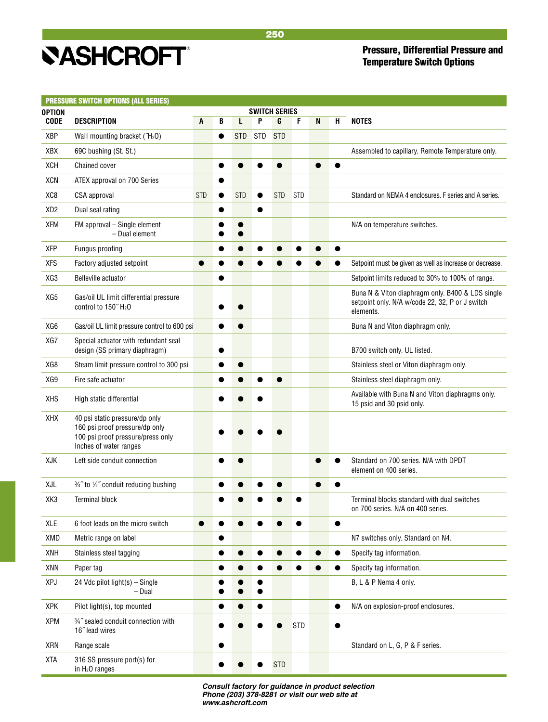## Pressure, Differential Pressure and Temperature Switch Options

<span id="page-25-0"></span>

| <b>OPTION</b>   | <b>PRESSURE SWITCH OPTIONS (ALL SERIES)</b>                                                                                     |            |   |            |           | <b>SWITCH SERIES</b> |            |   |   |                                                                                                                  |
|-----------------|---------------------------------------------------------------------------------------------------------------------------------|------------|---|------------|-----------|----------------------|------------|---|---|------------------------------------------------------------------------------------------------------------------|
| <b>CODE</b>     | <b>DESCRIPTION</b>                                                                                                              | A          | B | L          | P         | G                    | F          | N | H | <b>NOTES</b>                                                                                                     |
| XBP             | Wall mounting bracket ("H <sub>2</sub> O)                                                                                       |            | ● | <b>STD</b> | STD       | <b>STD</b>           |            |   |   |                                                                                                                  |
| XBX             | 69C bushing (St. St.)                                                                                                           |            |   |            |           |                      |            |   |   | Assembled to capillary. Remote Temperature only.                                                                 |
| XCH             | <b>Chained cover</b>                                                                                                            |            |   |            |           |                      |            |   |   |                                                                                                                  |
| XCN             | ATEX approval on 700 Series                                                                                                     |            |   |            |           |                      |            |   |   |                                                                                                                  |
| XC8             | CSA approval                                                                                                                    | <b>STD</b> |   | <b>STD</b> | $\bullet$ | <b>STD</b>           | <b>STD</b> |   |   | Standard on NEMA 4 enclosures. F series and A series.                                                            |
| XD <sub>2</sub> | Dual seal rating                                                                                                                |            |   |            |           |                      |            |   |   |                                                                                                                  |
| <b>XFM</b>      | FM approval – Single element<br>- Dual element                                                                                  |            |   |            |           |                      |            |   |   | N/A on temperature switches.                                                                                     |
| <b>XFP</b>      | Fungus proofing                                                                                                                 |            |   |            |           |                      |            |   |   |                                                                                                                  |
| <b>XFS</b>      | Factory adjusted setpoint                                                                                                       |            |   |            |           |                      |            |   |   | Setpoint must be given as well as increase or decrease.                                                          |
| XG3             | Belleville actuator                                                                                                             |            |   |            |           |                      |            |   |   | Setpoint limits reduced to 30% to 100% of range.                                                                 |
| XG5             | Gas/oil UL limit differential pressure<br>control to 150" H <sub>2</sub> O                                                      |            |   |            |           |                      |            |   |   | Buna N & Viton diaphragm only. B400 & LDS single<br>setpoint only. N/A w/code 22, 32, P or J switch<br>elements. |
| XG6             | Gas/oil UL limit pressure control to 600 psi                                                                                    |            |   |            |           |                      |            |   |   | Buna N and Viton diaphragm only.                                                                                 |
| XG7             | Special actuator with redundant seal<br>design (SS primary diaphragm)                                                           |            |   |            |           |                      |            |   |   | B700 switch only. UL listed.                                                                                     |
| XG8             | Steam limit pressure control to 300 psi                                                                                         |            |   |            |           |                      |            |   |   | Stainless steel or Viton diaphragm only.                                                                         |
| XG9             | Fire safe actuator                                                                                                              |            |   |            |           |                      |            |   |   | Stainless steel diaphragm only.                                                                                  |
| <b>XHS</b>      | High static differential                                                                                                        |            |   |            |           |                      |            |   |   | Available with Buna N and Viton diaphragms only.<br>15 psid and 30 psid only.                                    |
| XHX             | 40 psi static pressure/dp only<br>160 psi proof pressure/dp only<br>100 psi proof pressure/press only<br>Inches of water ranges |            |   |            |           |                      |            |   |   |                                                                                                                  |
| XJK             | Left side conduit connection                                                                                                    |            |   |            |           |                      |            |   |   | Standard on 700 series. N/A with DPDT<br>element on 400 series.                                                  |
| XJL             | 3/4" to 1/2" conduit reducing bushing                                                                                           |            |   |            |           |                      |            |   |   |                                                                                                                  |
| XK3             | <b>Terminal block</b>                                                                                                           |            |   |            |           |                      |            |   |   | Terminal blocks standard with dual switches<br>on 700 series. N/A on 400 series.                                 |
| XLE             | 6 foot leads on the micro switch                                                                                                |            |   |            |           |                      |            |   |   |                                                                                                                  |
| XMD             | Metric range on label                                                                                                           |            |   |            |           |                      |            |   |   | N7 switches only. Standard on N4.                                                                                |
| <b>XNH</b>      | Stainless steel tagging                                                                                                         |            |   |            |           |                      |            |   |   | Specify tag information.                                                                                         |
| XNN             | Paper tag                                                                                                                       |            |   |            |           |                      |            |   |   | Specify tag information.                                                                                         |
| XPJ             | 24 Vdc pilot light(s) – Single<br>- Dual                                                                                        |            |   |            |           |                      |            |   |   | B, L & P Nema 4 only.                                                                                            |
| XPK             | Pilot light(s), top mounted                                                                                                     |            |   |            |           |                      |            |   |   | N/A on explosion-proof enclosures.                                                                               |
| <b>XPM</b>      | 3/4" sealed conduit connection with<br>16" lead wires                                                                           |            |   |            |           |                      | <b>STD</b> |   |   |                                                                                                                  |
| XRN             | Range scale                                                                                                                     |            |   |            |           |                      |            |   |   | Standard on L, G, P & F series.                                                                                  |
| <b>XTA</b>      | 316 SS pressure port(s) for<br>in H <sub>2</sub> O ranges                                                                       |            |   |            |           | <b>STD</b>           |            |   |   |                                                                                                                  |

*Consult factory for guidance in product selection Phone (203) 378-8281 or visit our web site at www.ashcroft.com*